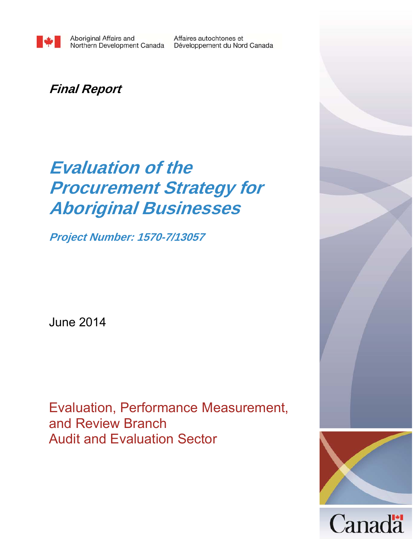Affaires autochtones et Développement du Nord Canada

## **Final Report**

# **Evaluation of the Procurement Strategy for Aboriginal Businesses**

**Project Number: 1570-7/13057** 

June 2014

Evaluation, Performance Measurement, and Review Branch Audit and Evaluation Sector



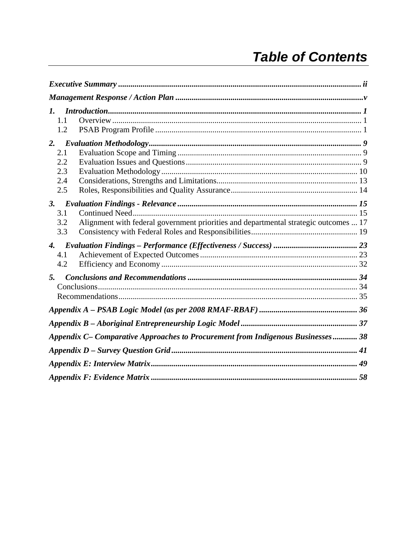## **Table of Contents**

| $\mathbf{I}$ .<br>1.1<br>1.2                                                                                    |  |
|-----------------------------------------------------------------------------------------------------------------|--|
| 2.<br>2.1<br>2.2<br>2.3<br>2.4<br>2.5                                                                           |  |
| 3.<br>3.1<br>Alignment with federal government priorities and departmental strategic outcomes  17<br>3.2<br>3.3 |  |
| $\mathcal{A}$<br>4.1<br>4.2                                                                                     |  |
| 5.                                                                                                              |  |
|                                                                                                                 |  |
|                                                                                                                 |  |
| Appendix C- Comparative Approaches to Procurement from Indigenous Businesses 38                                 |  |
|                                                                                                                 |  |
|                                                                                                                 |  |
|                                                                                                                 |  |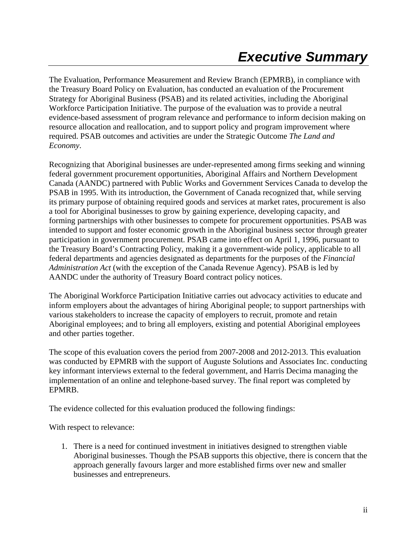The Evaluation, Performance Measurement and Review Branch (EPMRB), in compliance with the Treasury Board Policy on Evaluation, has conducted an evaluation of the Procurement Strategy for Aboriginal Business (PSAB) and its related activities, including the Aboriginal Workforce Participation Initiative. The purpose of the evaluation was to provide a neutral evidence-based assessment of program relevance and performance to inform decision making on resource allocation and reallocation, and to support policy and program improvement where required. PSAB outcomes and activities are under the Strategic Outcome *The Land and Economy*.

Recognizing that Aboriginal businesses are under-represented among firms seeking and winning federal government procurement opportunities, Aboriginal Affairs and Northern Development Canada (AANDC) partnered with Public Works and Government Services Canada to develop the PSAB in 1995. With its introduction, the Government of Canada recognized that, while serving its primary purpose of obtaining required goods and services at market rates, procurement is also a tool for Aboriginal businesses to grow by gaining experience, developing capacity, and forming partnerships with other businesses to compete for procurement opportunities. PSAB was intended to support and foster economic growth in the Aboriginal business sector through greater participation in government procurement. PSAB came into effect on April 1, 1996, pursuant to the Treasury Board's Contracting Policy, making it a government-wide policy, applicable to all federal departments and agencies designated as departments for the purposes of the *Financial Administration Act* (with the exception of the Canada Revenue Agency). PSAB is led by AANDC under the authority of Treasury Board contract policy notices.

The Aboriginal Workforce Participation Initiative carries out advocacy activities to educate and inform employers about the advantages of hiring Aboriginal people; to support partnerships with various stakeholders to increase the capacity of employers to recruit, promote and retain Aboriginal employees; and to bring all employers, existing and potential Aboriginal employees and other parties together.

The scope of this evaluation covers the period from 2007-2008 and 2012-2013. This evaluation was conducted by EPMRB with the support of Auguste Solutions and Associates Inc. conducting key informant interviews external to the federal government, and Harris Decima managing the implementation of an online and telephone-based survey. The final report was completed by EPMRB.

The evidence collected for this evaluation produced the following findings:

With respect to relevance:

1. There is a need for continued investment in initiatives designed to strengthen viable Aboriginal businesses. Though the PSAB supports this objective, there is concern that the approach generally favours larger and more established firms over new and smaller businesses and entrepreneurs.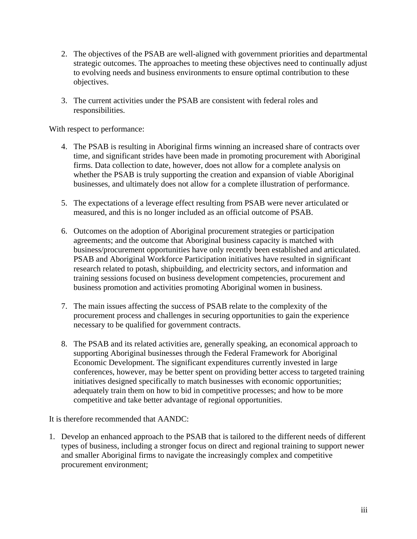- 2. The objectives of the PSAB are well-aligned with government priorities and departmental strategic outcomes. The approaches to meeting these objectives need to continually adjust to evolving needs and business environments to ensure optimal contribution to these objectives.
- 3. The current activities under the PSAB are consistent with federal roles and responsibilities.

With respect to performance:

- 4. The PSAB is resulting in Aboriginal firms winning an increased share of contracts over time, and significant strides have been made in promoting procurement with Aboriginal firms. Data collection to date, however, does not allow for a complete analysis on whether the PSAB is truly supporting the creation and expansion of viable Aboriginal businesses, and ultimately does not allow for a complete illustration of performance.
- 5. The expectations of a leverage effect resulting from PSAB were never articulated or measured, and this is no longer included as an official outcome of PSAB.
- 6. Outcomes on the adoption of Aboriginal procurement strategies or participation agreements; and the outcome that Aboriginal business capacity is matched with business/procurement opportunities have only recently been established and articulated. PSAB and Aboriginal Workforce Participation initiatives have resulted in significant research related to potash, shipbuilding, and electricity sectors, and information and training sessions focused on business development competencies, procurement and business promotion and activities promoting Aboriginal women in business.
- 7. The main issues affecting the success of PSAB relate to the complexity of the procurement process and challenges in securing opportunities to gain the experience necessary to be qualified for government contracts.
- 8. The PSAB and its related activities are, generally speaking, an economical approach to supporting Aboriginal businesses through the Federal Framework for Aboriginal Economic Development. The significant expenditures currently invested in large conferences, however, may be better spent on providing better access to targeted training initiatives designed specifically to match businesses with economic opportunities; adequately train them on how to bid in competitive processes; and how to be more competitive and take better advantage of regional opportunities.

It is therefore recommended that AANDC:

1. Develop an enhanced approach to the PSAB that is tailored to the different needs of different types of business, including a stronger focus on direct and regional training to support newer and smaller Aboriginal firms to navigate the increasingly complex and competitive procurement environment;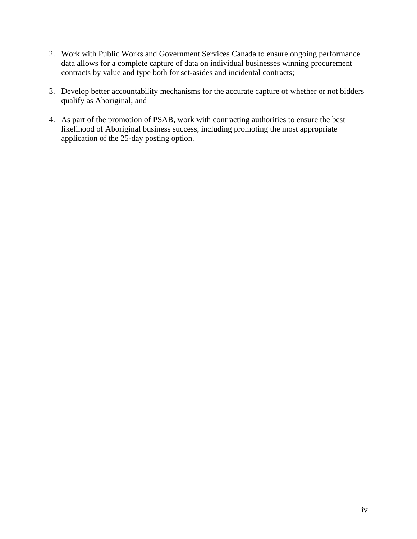- 2. Work with Public Works and Government Services Canada to ensure ongoing performance data allows for a complete capture of data on individual businesses winning procurement contracts by value and type both for set-asides and incidental contracts;
- 3. Develop better accountability mechanisms for the accurate capture of whether or not bidders qualify as Aboriginal; and
- 4. As part of the promotion of PSAB, work with contracting authorities to ensure the best likelihood of Aboriginal business success, including promoting the most appropriate application of the 25-day posting option.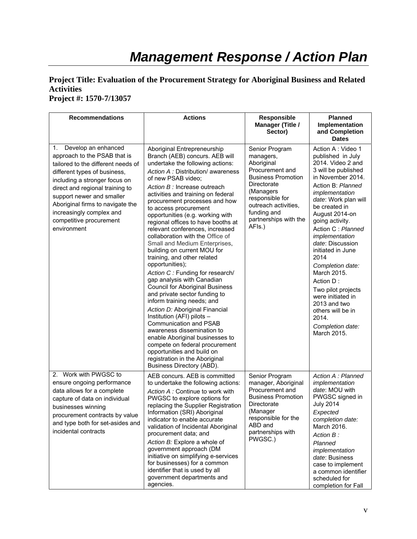## *Management Response / Action Plan*

#### **Project Title: Evaluation of the Procurement Strategy for Aboriginal Business and Related Activities Project #: 1570-7/13057**

| <b>Recommendations</b>                                                                                                                                                                                                                                                                                                                     | <b>Actions</b>                                                                                                                                                                                                                                                                                                                                                                                                                                                                                                                                                                                                                                                                                                                                                                                                                                                                                                                                                                                                                      | <b>Responsible</b><br>Manager (Title /<br>Sector)                                                                                                                                                                  | <b>Planned</b><br>Implementation<br>and Completion                                                                                                                                                                                                                                                                                                                                                                                                                                                |
|--------------------------------------------------------------------------------------------------------------------------------------------------------------------------------------------------------------------------------------------------------------------------------------------------------------------------------------------|-------------------------------------------------------------------------------------------------------------------------------------------------------------------------------------------------------------------------------------------------------------------------------------------------------------------------------------------------------------------------------------------------------------------------------------------------------------------------------------------------------------------------------------------------------------------------------------------------------------------------------------------------------------------------------------------------------------------------------------------------------------------------------------------------------------------------------------------------------------------------------------------------------------------------------------------------------------------------------------------------------------------------------------|--------------------------------------------------------------------------------------------------------------------------------------------------------------------------------------------------------------------|---------------------------------------------------------------------------------------------------------------------------------------------------------------------------------------------------------------------------------------------------------------------------------------------------------------------------------------------------------------------------------------------------------------------------------------------------------------------------------------------------|
|                                                                                                                                                                                                                                                                                                                                            |                                                                                                                                                                                                                                                                                                                                                                                                                                                                                                                                                                                                                                                                                                                                                                                                                                                                                                                                                                                                                                     |                                                                                                                                                                                                                    | <b>Dates</b>                                                                                                                                                                                                                                                                                                                                                                                                                                                                                      |
| Develop an enhanced<br>1.<br>approach to the PSAB that is<br>tailored to the different needs of<br>different types of business,<br>including a stronger focus on<br>direct and regional training to<br>support newer and smaller<br>Aboriginal firms to navigate the<br>increasingly complex and<br>competitive procurement<br>environment | Aboriginal Entrepreneurship<br>Branch (AEB) concurs. AEB will<br>undertake the following actions:<br>Action A: Distribution/ awareness<br>of new PSAB video;<br>Action B : Increase outreach<br>activities and training on federal<br>procurement processes and how<br>to access procurement<br>opportunities (e.g. working with<br>regional offices to have booths at<br>relevant conferences, increased<br>collaboration with the Office of<br>Small and Medium Enterprises,<br>building on current MOU for<br>training, and other related<br>opportunities);<br>Action C: Funding for research/<br>gap analysis with Canadian<br><b>Council for Aboriginal Business</b><br>and private sector funding to<br>inform training needs; and<br>Action D: Aboriginal Financial<br>Institution (AFI) pilots -<br>Communication and PSAB<br>awareness dissemination to<br>enable Aboriginal businesses to<br>compete on federal procurement<br>opportunities and build on<br>registration in the Aboriginal<br>Business Directory (ABD). | Senior Program<br>managers,<br>Aboriginal<br>Procurement and<br><b>Business Promotion</b><br>Directorate<br>(Managers<br>responsible for<br>outreach activities,<br>funding and<br>partnerships with the<br>AFIs.) | Action A : Video 1<br>published in July<br>2014. Video 2 and<br>3 will be published<br>in November 2014.<br>Action B: Planned<br>implementation<br>date: Work plan will<br>be created in<br>August 2014-on<br>going activity.<br>Action C: Planned<br>implementation<br>date: Discussion<br>initiated in June<br>2014<br>Completion date:<br>March 2015.<br>Action D:<br>Two pilot projects<br>were initiated in<br>2013 and two<br>others will be in<br>2014.<br>Completion date:<br>March 2015. |
| 2. Work with PWGSC to<br>ensure ongoing performance<br>data allows for a complete<br>capture of data on individual<br>businesses winning<br>procurement contracts by value<br>and type both for set-asides and<br>incidental contracts                                                                                                     | AEB concurs. AEB is committed<br>to undertake the following actions:<br>Action A: Continue to work with<br>PWGSC to explore options for<br>replacing the Supplier Registration<br>Information (SRI) Aboriginal<br>indicator to enable accurate<br>validation of Incidental Aboriginal<br>procurement data; and<br>Action B: Explore a whole of<br>government approach (DM<br>initiative on simplifying e-services<br>for businesses) for a common<br>identifier that is used by all<br>government departments and<br>agencies.                                                                                                                                                                                                                                                                                                                                                                                                                                                                                                      | Senior Program<br>manager, Aboriginal<br>Procurement and<br><b>Business Promotion</b><br>Directorate<br>(Manager<br>responsible for the<br>ABD and<br>partnerships with<br>PWGSC.)                                 | Action A : Planned<br>implementation<br>date: MOU with<br>PWGSC signed in<br><b>July 2014</b><br>Expected<br>completion date:<br>March 2016.<br>Action B:<br>Planned<br>implementation<br>date: Business<br>case to implement<br>a common identifier<br>scheduled for<br>completion for Fall                                                                                                                                                                                                      |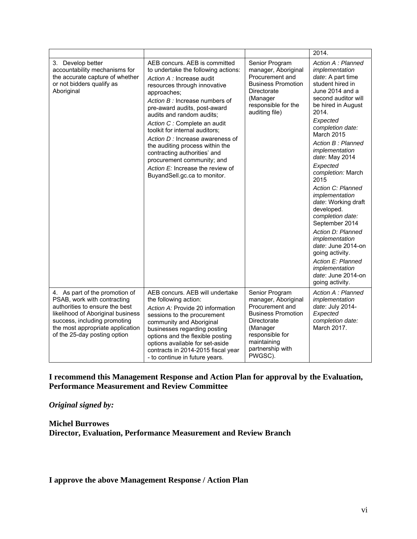|                                                                                                                                                                                                                                          |                                                                                                                                                                                                                                                                                                                                                                                                                                                                                                                           |                                                                                                                                                                                   | 2014.                                                                                                                                                                                                                                                                                                                                                                                                                                                                                                                                                                                    |
|------------------------------------------------------------------------------------------------------------------------------------------------------------------------------------------------------------------------------------------|---------------------------------------------------------------------------------------------------------------------------------------------------------------------------------------------------------------------------------------------------------------------------------------------------------------------------------------------------------------------------------------------------------------------------------------------------------------------------------------------------------------------------|-----------------------------------------------------------------------------------------------------------------------------------------------------------------------------------|------------------------------------------------------------------------------------------------------------------------------------------------------------------------------------------------------------------------------------------------------------------------------------------------------------------------------------------------------------------------------------------------------------------------------------------------------------------------------------------------------------------------------------------------------------------------------------------|
| 3. Develop better<br>accountability mechanisms for<br>the accurate capture of whether<br>or not bidders qualify as<br>Aboriginal                                                                                                         | AEB concurs. AEB is committed<br>to undertake the following actions:<br>Action A : Increase audit<br>resources through innovative<br>approaches;<br>Action B: Increase numbers of<br>pre-award audits, post-award<br>audits and random audits;<br>Action C : Complete an audit<br>toolkit for internal auditors;<br>Action D : Increase awareness of<br>the auditing process within the<br>contracting authorities' and<br>procurement community; and<br>Action E: Increase the review of<br>BuyandSell.gc.ca to monitor. | Senior Program<br>manager, Aboriginal<br>Procurement and<br><b>Business Promotion</b><br>Directorate<br>(Manager<br>responsible for the<br>auditing file)                         | Action A : Planned<br>implementation<br>date: A part time<br>student hired in<br>June 2014 and a<br>second auditor will<br>be hired in August<br>2014.<br>Expected<br>completion date:<br>March 2015<br>Action B: Planned<br>implementation<br>date: May 2014<br>Expected<br>completion: March<br>2015<br>Action C: Planned<br>implementation<br>date: Working draft<br>developed.<br>completion date:<br>September 2014<br>Action D: Planned<br>implementation<br>date: June 2014-on<br>going activity.<br>Action E: Planned<br>implementation<br>date: June 2014-on<br>going activity. |
| 4. As part of the promotion of<br>PSAB, work with contracting<br>authorities to ensure the best<br>likelihood of Aboriginal business<br>success, including promoting<br>the most appropriate application<br>of the 25-day posting option | AEB concurs. AEB will undertake<br>the following action:<br>Action A: Provide 20 information<br>sessions to the procurement<br>community and Aboriginal<br>businesses regarding posting<br>options and the flexible posting<br>options available for set-aside<br>contracts in 2014-2015 fiscal year<br>- to continue in future years.                                                                                                                                                                                    | Senior Program<br>manager, Aboriginal<br>Procurement and<br><b>Business Promotion</b><br>Directorate<br>(Manager<br>responsible for<br>maintaining<br>partnership with<br>PWGSC). | Action A : Planned<br>implementation<br>date: July 2014-<br>Expected<br>completion date:<br>March 2017.                                                                                                                                                                                                                                                                                                                                                                                                                                                                                  |

**I recommend this Management Response and Action Plan for approval by the Evaluation, Performance Measurement and Review Committee** 

*Original signed by:* 

**Michel Burrowes Director, Evaluation, Performance Measurement and Review Branch** 

**I approve the above Management Response / Action Plan**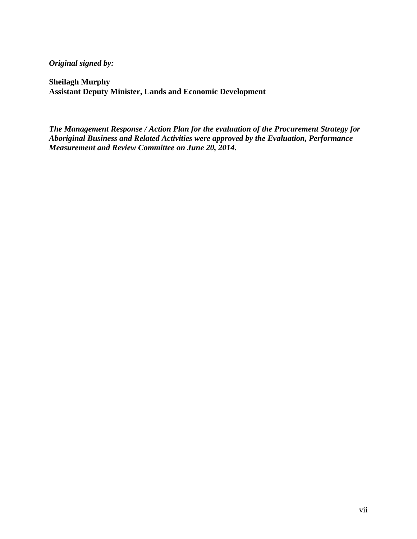*Original signed by:* 

**Sheilagh Murphy Assistant Deputy Minister, Lands and Economic Development** 

*The Management Response / Action Plan for the evaluation of the Procurement Strategy for Aboriginal Business and Related Activities were approved by the Evaluation, Performance Measurement and Review Committee on June 20, 2014.*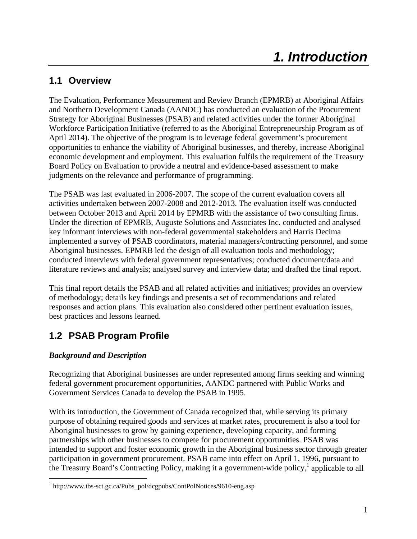## **1.1 Overview**

The Evaluation, Performance Measurement and Review Branch (EPMRB) at Aboriginal Affairs and Northern Development Canada (AANDC) has conducted an evaluation of the Procurement Strategy for Aboriginal Businesses (PSAB) and related activities under the former Aboriginal Workforce Participation Initiative (referred to as the Aboriginal Entrepreneurship Program as of April 2014). The objective of the program is to leverage federal government's procurement opportunities to enhance the viability of Aboriginal businesses, and thereby, increase Aboriginal economic development and employment. This evaluation fulfils the requirement of the Treasury Board Policy on Evaluation to provide a neutral and evidence-based assessment to make judgments on the relevance and performance of programming.

The PSAB was last evaluated in 2006-2007. The scope of the current evaluation covers all activities undertaken between 2007-2008 and 2012-2013. The evaluation itself was conducted between October 2013 and April 2014 by EPMRB with the assistance of two consulting firms. Under the direction of EPMRB, Auguste Solutions and Associates Inc. conducted and analysed key informant interviews with non-federal governmental stakeholders and Harris Decima implemented a survey of PSAB coordinators, material managers/contracting personnel, and some Aboriginal businesses. EPMRB led the design of all evaluation tools and methodology; conducted interviews with federal government representatives; conducted document/data and literature reviews and analysis; analysed survey and interview data; and drafted the final report.

This final report details the PSAB and all related activities and initiatives; provides an overview of methodology; details key findings and presents a set of recommendations and related responses and action plans. This evaluation also considered other pertinent evaluation issues, best practices and lessons learned.

## **1.2 PSAB Program Profile**

### *Background and Description*

Recognizing that Aboriginal businesses are under represented among firms seeking and winning federal government procurement opportunities, AANDC partnered with Public Works and Government Services Canada to develop the PSAB in 1995.

With its introduction, the Government of Canada recognized that, while serving its primary purpose of obtaining required goods and services at market rates, procurement is also a tool for Aboriginal businesses to grow by gaining experience, developing capacity, and forming partnerships with other businesses to compete for procurement opportunities. PSAB was intended to support and foster economic growth in the Aboriginal business sector through greater participation in government procurement. PSAB came into effect on April 1, 1996, pursuant to the Treasury Board's Contracting Policy, making it a government-wide policy,<sup>1</sup> applicable to all

 <sup>1</sup> http://www.tbs-sct.gc.ca/Pubs\_pol/dcgpubs/ContPolNotices/9610-eng.asp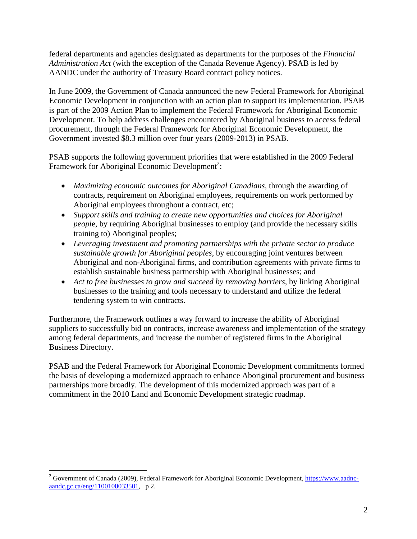federal departments and agencies designated as departments for the purposes of the *Financial Administration Act* (with the exception of the Canada Revenue Agency). PSAB is led by AANDC under the authority of Treasury Board contract policy notices.

In June 2009, the Government of Canada announced the new Federal Framework for Aboriginal Economic Development in conjunction with an action plan to support its implementation. PSAB is part of the 2009 Action Plan to implement the Federal Framework for Aboriginal Economic Development. To help address challenges encountered by Aboriginal business to access federal procurement, through the Federal Framework for Aboriginal Economic Development, the Government invested \$8.3 million over four years (2009-2013) in PSAB.

PSAB supports the following government priorities that were established in the 2009 Federal Framework for Aboriginal Economic Development<sup>2</sup>:

- *Maximizing economic outcomes for Aboriginal Canadians*, through the awarding of contracts, requirement on Aboriginal employees, requirements on work performed by Aboriginal employees throughout a contract, etc;
- *Support skills and training to create new opportunities and choices for Aboriginal peopl*e, by requiring Aboriginal businesses to employ (and provide the necessary skills training to) Aboriginal peoples;
- *Leveraging investment and promoting partnerships with the private sector to produce sustainable growth for Aboriginal peoples*, by encouraging joint ventures between Aboriginal and non-Aboriginal firms, and contribution agreements with private firms to establish sustainable business partnership with Aboriginal businesses; and
- *Act to free businesses to grow and succeed by removing barriers*, by linking Aboriginal businesses to the training and tools necessary to understand and utilize the federal tendering system to win contracts.

Furthermore, the Framework outlines a way forward to increase the ability of Aboriginal suppliers to successfully bid on contracts, increase awareness and implementation of the strategy among federal departments, and increase the number of registered firms in the Aboriginal Business Directory.

PSAB and the Federal Framework for Aboriginal Economic Development commitments formed the basis of developing a modernized approach to enhance Aboriginal procurement and business partnerships more broadly. The development of this modernized approach was part of a commitment in the 2010 Land and Economic Development strategic roadmap.

<sup>&</sup>lt;sup>2</sup> Government of Canada (2009), Federal Framework for Aboriginal Economic Development, https://www.aadncaandc.gc.ca/eng/1100100033501, p 2.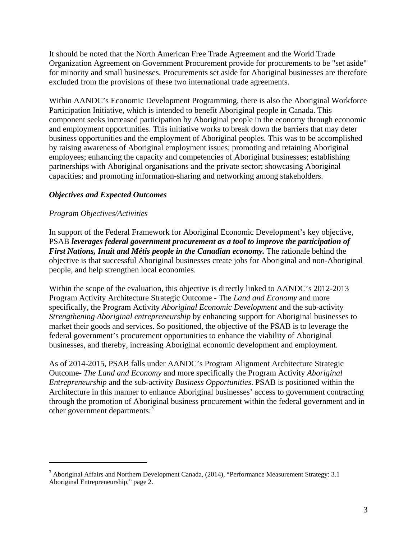It should be noted that the North American Free Trade Agreement and the World Trade Organization Agreement on Government Procurement provide for procurements to be "set aside" for minority and small businesses. Procurements set aside for Aboriginal businesses are therefore excluded from the provisions of these two international trade agreements.

Within AANDC's Economic Development Programming, there is also the Aboriginal Workforce Participation Initiative, which is intended to benefit Aboriginal people in Canada. This component seeks increased participation by Aboriginal people in the economy through economic and employment opportunities. This initiative works to break down the barriers that may deter business opportunities and the employment of Aboriginal peoples. This was to be accomplished by raising awareness of Aboriginal employment issues; promoting and retaining Aboriginal employees; enhancing the capacity and competencies of Aboriginal businesses; establishing partnerships with Aboriginal organisations and the private sector; showcasing Aboriginal capacities; and promoting information-sharing and networking among stakeholders.

#### *Objectives and Expected Outcomes*

#### *Program Objectives/Activities*

In support of the Federal Framework for Aboriginal Economic Development's key objective, PSAB *leverages federal government procurement as a tool to improve the participation of First Nations, Inuit and Métis people in the Canadian economy.* The rationale behind the objective is that successful Aboriginal businesses create jobs for Aboriginal and non-Aboriginal people, and help strengthen local economies.

Within the scope of the evaluation, this objective is directly linked to AANDC's 2012-2013 Program Activity Architecture Strategic Outcome - The *Land and Economy* and more specifically, the Program Activity *Aboriginal Economic Development* and the sub-activity *Strengthening Aboriginal entrepreneurship* by enhancing support for Aboriginal businesses to market their goods and services. So positioned, the objective of the PSAB is to leverage the federal government's procurement opportunities to enhance the viability of Aboriginal businesses, and thereby, increasing Aboriginal economic development and employment.

As of 2014-2015, PSAB falls under AANDC's Program Alignment Architecture Strategic Outcome- *The Land and Economy* and more specifically the Program Activity *Aboriginal Entrepreneurship* and the sub-activity *Business Opportunities*. PSAB is positioned within the Architecture in this manner to enhance Aboriginal businesses' access to government contracting through the promotion of Aboriginal business procurement within the federal government and in other government departments. $\frac{3}{3}$ 

<sup>&</sup>lt;sup>3</sup> Aboriginal Affairs and Northern Development Canada, (2014), "Performance Measurement Strategy: 3.1 Aboriginal Entrepreneurship," page 2.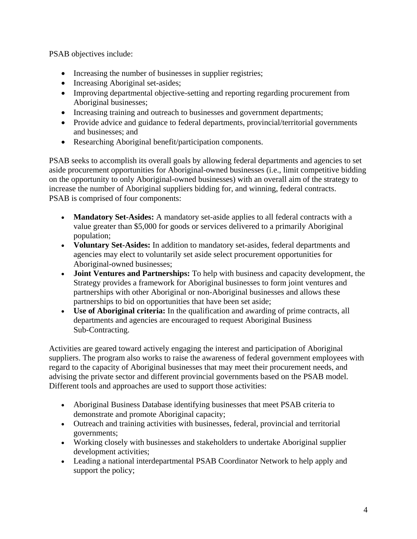PSAB objectives include:

- Increasing the number of businesses in supplier registries;
- Increasing Aboriginal set-asides;
- Improving departmental objective-setting and reporting regarding procurement from Aboriginal businesses;
- Increasing training and outreach to businesses and government departments;
- Provide advice and guidance to federal departments, provincial/territorial governments and businesses; and
- Researching Aboriginal benefit/participation components.

PSAB seeks to accomplish its overall goals by allowing federal departments and agencies to set aside procurement opportunities for Aboriginal-owned businesses (i.e., limit competitive bidding on the opportunity to only Aboriginal-owned businesses) with an overall aim of the strategy to increase the number of Aboriginal suppliers bidding for, and winning, federal contracts. PSAB is comprised of four components:

- **Mandatory Set-Asides:** A mandatory set-aside applies to all federal contracts with a value greater than \$5,000 for goods or services delivered to a primarily Aboriginal population;
- **Voluntary Set-Asides:** In addition to mandatory set-asides, federal departments and agencies may elect to voluntarily set aside select procurement opportunities for Aboriginal-owned businesses;
- **Joint Ventures and Partnerships:** To help with business and capacity development, the Strategy provides a framework for Aboriginal businesses to form joint ventures and partnerships with other Aboriginal or non-Aboriginal businesses and allows these partnerships to bid on opportunities that have been set aside;
- **Use of Aboriginal criteria:** In the qualification and awarding of prime contracts, all departments and agencies are encouraged to request Aboriginal Business Sub-Contracting.

Activities are geared toward actively engaging the interest and participation of Aboriginal suppliers. The program also works to raise the awareness of federal government employees with regard to the capacity of Aboriginal businesses that may meet their procurement needs, and advising the private sector and different provincial governments based on the PSAB model. Different tools and approaches are used to support those activities:

- Aboriginal Business Database identifying businesses that meet PSAB criteria to demonstrate and promote Aboriginal capacity;
- Outreach and training activities with businesses, federal, provincial and territorial governments;
- Working closely with businesses and stakeholders to undertake Aboriginal supplier development activities;
- Leading a national interdepartmental PSAB Coordinator Network to help apply and support the policy;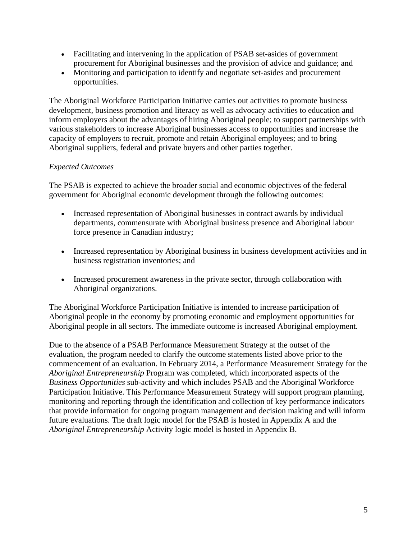- Facilitating and intervening in the application of PSAB set-asides of government procurement for Aboriginal businesses and the provision of advice and guidance; and
- Monitoring and participation to identify and negotiate set-asides and procurement opportunities.

The Aboriginal Workforce Participation Initiative carries out activities to promote business development, business promotion and literacy as well as advocacy activities to education and inform employers about the advantages of hiring Aboriginal people; to support partnerships with various stakeholders to increase Aboriginal businesses access to opportunities and increase the capacity of employers to recruit, promote and retain Aboriginal employees; and to bring Aboriginal suppliers, federal and private buyers and other parties together.

#### *Expected Outcomes*

The PSAB is expected to achieve the broader social and economic objectives of the federal government for Aboriginal economic development through the following outcomes:

- Increased representation of Aboriginal businesses in contract awards by individual departments, commensurate with Aboriginal business presence and Aboriginal labour force presence in Canadian industry;
- Increased representation by Aboriginal business in business development activities and in business registration inventories; and
- Increased procurement awareness in the private sector, through collaboration with Aboriginal organizations.

The Aboriginal Workforce Participation Initiative is intended to increase participation of Aboriginal people in the economy by promoting economic and employment opportunities for Aboriginal people in all sectors. The immediate outcome is increased Aboriginal employment.

Due to the absence of a PSAB Performance Measurement Strategy at the outset of the evaluation, the program needed to clarify the outcome statements listed above prior to the commencement of an evaluation. In February 2014, a Performance Measurement Strategy for the *Aboriginal Entrepreneurship* Program was completed, which incorporated aspects of the *Business Opportunities* sub-activity and which includes PSAB and the Aboriginal Workforce Participation Initiative. This Performance Measurement Strategy will support program planning, monitoring and reporting through the identification and collection of key performance indicators that provide information for ongoing program management and decision making and will inform future evaluations. The draft logic model for the PSAB is hosted in Appendix A and the *Aboriginal Entrepreneurship* Activity logic model is hosted in Appendix B.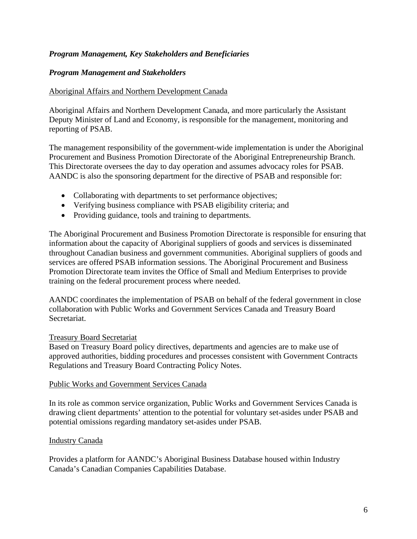#### *Program Management, Key Stakeholders and Beneficiaries*

#### *Program Management and Stakeholders*

#### Aboriginal Affairs and Northern Development Canada

Aboriginal Affairs and Northern Development Canada, and more particularly the Assistant Deputy Minister of Land and Economy, is responsible for the management, monitoring and reporting of PSAB.

The management responsibility of the government-wide implementation is under the Aboriginal Procurement and Business Promotion Directorate of the Aboriginal Entrepreneurship Branch. This Directorate oversees the day to day operation and assumes advocacy roles for PSAB. AANDC is also the sponsoring department for the directive of PSAB and responsible for:

- Collaborating with departments to set performance objectives;
- Verifying business compliance with PSAB eligibility criteria; and
- Providing guidance, tools and training to departments.

The Aboriginal Procurement and Business Promotion Directorate is responsible for ensuring that information about the capacity of Aboriginal suppliers of goods and services is disseminated throughout Canadian business and government communities. Aboriginal suppliers of goods and services are offered PSAB information sessions. The Aboriginal Procurement and Business Promotion Directorate team invites the Office of Small and Medium Enterprises to provide training on the federal procurement process where needed.

AANDC coordinates the implementation of PSAB on behalf of the federal government in close collaboration with Public Works and Government Services Canada and Treasury Board Secretariat.

#### Treasury Board Secretariat

Based on Treasury Board policy directives, departments and agencies are to make use of approved authorities, bidding procedures and processes consistent with Government Contracts Regulations and Treasury Board Contracting Policy Notes.

#### Public Works and Government Services Canada

In its role as common service organization, Public Works and Government Services Canada is drawing client departments' attention to the potential for voluntary set-asides under PSAB and potential omissions regarding mandatory set-asides under PSAB.

#### Industry Canada

Provides a platform for AANDC's Aboriginal Business Database housed within Industry Canada's Canadian Companies Capabilities Database.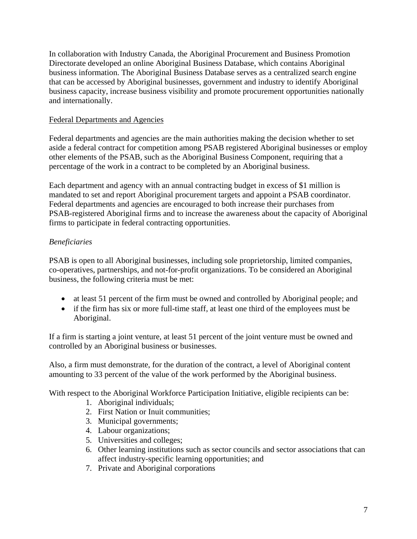In collaboration with Industry Canada, the Aboriginal Procurement and Business Promotion Directorate developed an online Aboriginal Business Database, which contains Aboriginal business information. The Aboriginal Business Database serves as a centralized search engine that can be accessed by Aboriginal businesses, government and industry to identify Aboriginal business capacity, increase business visibility and promote procurement opportunities nationally and internationally.

#### Federal Departments and Agencies

Federal departments and agencies are the main authorities making the decision whether to set aside a federal contract for competition among PSAB registered Aboriginal businesses or employ other elements of the PSAB, such as the Aboriginal Business Component, requiring that a percentage of the work in a contract to be completed by an Aboriginal business.

Each department and agency with an annual contracting budget in excess of \$1 million is mandated to set and report Aboriginal procurement targets and appoint a PSAB coordinator. Federal departments and agencies are encouraged to both increase their purchases from PSAB-registered Aboriginal firms and to increase the awareness about the capacity of Aboriginal firms to participate in federal contracting opportunities.

#### *Beneficiaries*

PSAB is open to all Aboriginal businesses, including sole proprietorship, limited companies, co-operatives, partnerships, and not-for-profit organizations. To be considered an Aboriginal business, the following criteria must be met:

- at least 51 percent of the firm must be owned and controlled by Aboriginal people; and
- if the firm has six or more full-time staff, at least one third of the employees must be Aboriginal.

If a firm is starting a joint venture, at least 51 percent of the joint venture must be owned and controlled by an Aboriginal business or businesses.

Also, a firm must demonstrate, for the duration of the contract, a level of Aboriginal content amounting to 33 percent of the value of the work performed by the Aboriginal business.

With respect to the Aboriginal Workforce Participation Initiative, eligible recipients can be:

- 1. Aboriginal individuals;
- 2. First Nation or Inuit communities;
- 3. Municipal governments;
- 4. Labour organizations;
- 5. Universities and colleges;
- 6. Other learning institutions such as sector councils and sector associations that can affect industry-specific learning opportunities; and
- 7. Private and Aboriginal corporations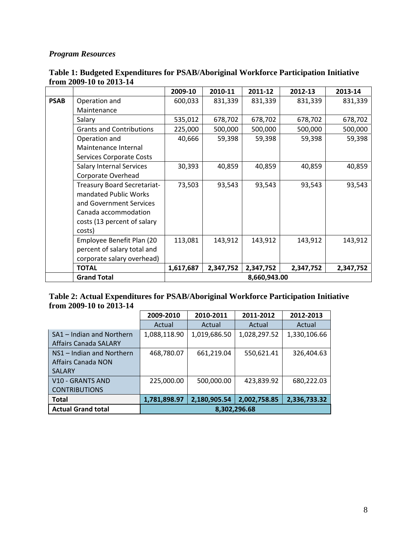#### *Program Resources*

|             |                                    | 2009-10   | 2010-11   | 2011-12      | 2012-13   | 2013-14   |
|-------------|------------------------------------|-----------|-----------|--------------|-----------|-----------|
| <b>PSAB</b> | Operation and                      | 600,033   | 831,339   | 831,339      | 831,339   | 831,339   |
|             | Maintenance                        |           |           |              |           |           |
|             | Salary                             | 535,012   | 678,702   | 678,702      | 678,702   | 678,702   |
|             | <b>Grants and Contributions</b>    | 225,000   | 500,000   | 500,000      | 500,000   | 500,000   |
|             | Operation and                      | 40,666    | 59,398    | 59,398       | 59,398    | 59,398    |
|             | Maintenance Internal               |           |           |              |           |           |
|             | Services Corporate Costs           |           |           |              |           |           |
|             | <b>Salary Internal Services</b>    | 30,393    | 40,859    | 40,859       | 40,859    | 40,859    |
|             | Corporate Overhead                 |           |           |              |           |           |
|             | <b>Treasury Board Secretariat-</b> | 73,503    | 93,543    | 93,543       | 93,543    | 93,543    |
|             | mandated Public Works              |           |           |              |           |           |
|             | and Government Services            |           |           |              |           |           |
|             | Canada accommodation               |           |           |              |           |           |
|             | costs (13 percent of salary        |           |           |              |           |           |
|             | costs)                             |           |           |              |           |           |
|             | Employee Benefit Plan (20          | 113,081   | 143,912   | 143,912      | 143,912   | 143,912   |
|             | percent of salary total and        |           |           |              |           |           |
|             | corporate salary overhead)         |           |           |              |           |           |
|             | <b>TOTAL</b>                       | 1,617,687 | 2,347,752 | 2,347,752    | 2,347,752 | 2,347,752 |
|             | <b>Grand Total</b>                 |           |           | 8,660,943.00 |           |           |

#### **Table 1: Budgeted Expenditures for PSAB/Aboriginal Workforce Participation Initiative from 2009-10 to 2013-14**

#### **Table 2: Actual Expenditures for PSAB/Aboriginal Workforce Participation Initiative from 2009-10 to 2013-14**

|                              | 2009-2010    | 2010-2011    | 2011-2012    | 2012-2013    |
|------------------------------|--------------|--------------|--------------|--------------|
|                              | Actual       | Actual       | Actual       | Actual       |
| SA1 - Indian and Northern    | 1,088,118.90 | 1,019,686.50 | 1,028,297.52 | 1,330,106.66 |
| <b>Affairs Canada SALARY</b> |              |              |              |              |
| NS1 – Indian and Northern    | 468,780.07   | 661,219.04   | 550,621.41   | 326,404.63   |
| Affairs Canada NON           |              |              |              |              |
| <b>SALARY</b>                |              |              |              |              |
| <b>V10 - GRANTS AND</b>      | 225,000.00   | 500,000.00   | 423,839.92   | 680,222.03   |
| <b>CONTRIBUTIONS</b>         |              |              |              |              |
| <b>Total</b>                 | 1,781,898.97 | 2,180,905.54 | 2,002,758.85 | 2,336,733.32 |
| <b>Actual Grand total</b>    | 8,302,296.68 |              |              |              |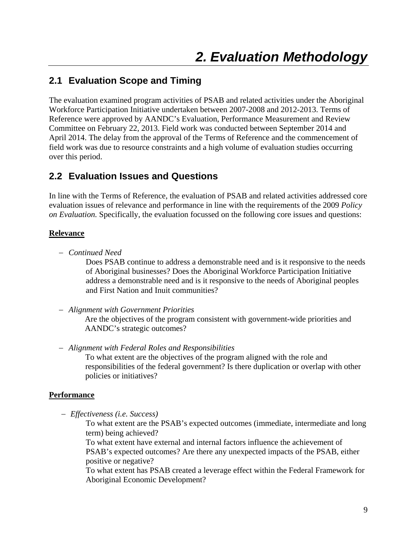## **2.1 Evaluation Scope and Timing**

The evaluation examined program activities of PSAB and related activities under the Aboriginal Workforce Participation Initiative undertaken between 2007-2008 and 2012-2013. Terms of Reference were approved by AANDC's Evaluation, Performance Measurement and Review Committee on February 22, 2013. Field work was conducted between September 2014 and April 2014. The delay from the approval of the Terms of Reference and the commencement of field work was due to resource constraints and a high volume of evaluation studies occurring over this period.

### **2.2 Evaluation Issues and Questions**

In line with the Terms of Reference, the evaluation of PSAB and related activities addressed core evaluation issues of relevance and performance in line with the requirements of the 2009 *Policy on Evaluation.* Specifically, the evaluation focussed on the following core issues and questions:

#### **Relevance**

*Continued Need* 

Does PSAB continue to address a demonstrable need and is it responsive to the needs of Aboriginal businesses? Does the Aboriginal Workforce Participation Initiative address a demonstrable need and is it responsive to the needs of Aboriginal peoples and First Nation and Inuit communities?

*Alignment with Government Priorities*

Are the objectives of the program consistent with government-wide priorities and AANDC's strategic outcomes?

*Alignment with Federal Roles and Responsibilities*

To what extent are the objectives of the program aligned with the role and responsibilities of the federal government? Is there duplication or overlap with other policies or initiatives?

#### **Performance**

*Effectiveness (i.e. Success)* 

To what extent are the PSAB's expected outcomes (immediate, intermediate and long term) being achieved?

To what extent have external and internal factors influence the achievement of PSAB's expected outcomes? Are there any unexpected impacts of the PSAB, either positive or negative?

To what extent has PSAB created a leverage effect within the Federal Framework for Aboriginal Economic Development?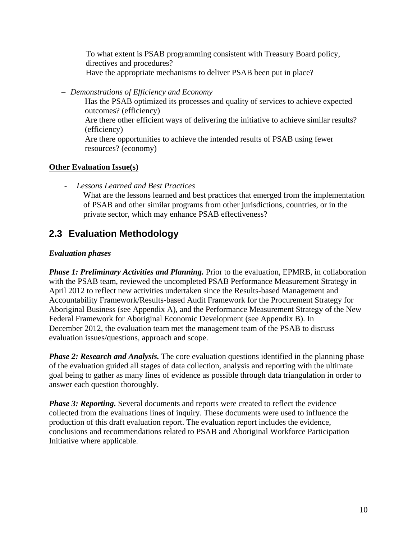To what extent is PSAB programming consistent with Treasury Board policy, directives and procedures? Have the appropriate mechanisms to deliver PSAB been put in place?

*Demonstrations of Efficiency and Economy*

Has the PSAB optimized its processes and quality of services to achieve expected outcomes? (efficiency) Are there other efficient ways of delivering the initiative to achieve similar results? (efficiency) Are there opportunities to achieve the intended results of PSAB using fewer resources? (economy)

#### **Other Evaluation Issue(s)**

*- Lessons Learned and Best Practices* 

What are the lessons learned and best practices that emerged from the implementation of PSAB and other similar programs from other jurisdictions, countries, or in the private sector, which may enhance PSAB effectiveness?

## **2.3 Evaluation Methodology**

#### *Evaluation phases*

*Phase 1: Preliminary Activities and Planning.* Prior to the evaluation, EPMRB, in collaboration with the PSAB team, reviewed the uncompleted PSAB Performance Measurement Strategy in April 2012 to reflect new activities undertaken since the Results-based Management and Accountability Framework/Results-based Audit Framework for the Procurement Strategy for Aboriginal Business (see Appendix A), and the Performance Measurement Strategy of the New Federal Framework for Aboriginal Economic Development (see Appendix B). In December 2012, the evaluation team met the management team of the PSAB to discuss evaluation issues/questions, approach and scope.

*Phase 2: Research and Analysis.* The core evaluation questions identified in the planning phase of the evaluation guided all stages of data collection, analysis and reporting with the ultimate goal being to gather as many lines of evidence as possible through data triangulation in order to answer each question thoroughly.

*Phase 3: Reporting.* Several documents and reports were created to reflect the evidence collected from the evaluations lines of inquiry. These documents were used to influence the production of this draft evaluation report. The evaluation report includes the evidence, conclusions and recommendations related to PSAB and Aboriginal Workforce Participation Initiative where applicable.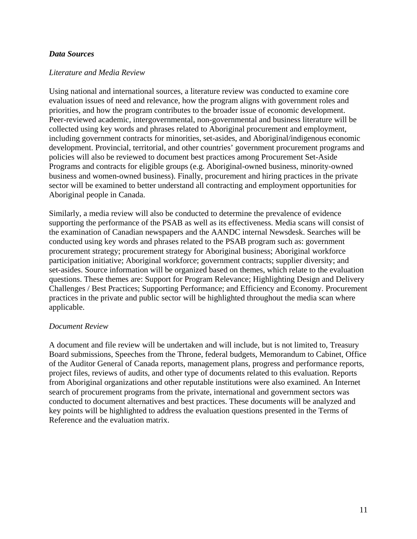#### *Data Sources*

#### *Literature and Media Review*

Using national and international sources, a literature review was conducted to examine core evaluation issues of need and relevance, how the program aligns with government roles and priorities, and how the program contributes to the broader issue of economic development. Peer-reviewed academic, intergovernmental, non-governmental and business literature will be collected using key words and phrases related to Aboriginal procurement and employment, including government contracts for minorities, set-asides, and Aboriginal/indigenous economic development. Provincial, territorial, and other countries' government procurement programs and policies will also be reviewed to document best practices among Procurement Set-Aside Programs and contracts for eligible groups (e.g. Aboriginal-owned business, minority-owned business and women-owned business). Finally, procurement and hiring practices in the private sector will be examined to better understand all contracting and employment opportunities for Aboriginal people in Canada.

Similarly, a media review will also be conducted to determine the prevalence of evidence supporting the performance of the PSAB as well as its effectiveness. Media scans will consist of the examination of Canadian newspapers and the AANDC internal Newsdesk. Searches will be conducted using key words and phrases related to the PSAB program such as: government procurement strategy; procurement strategy for Aboriginal business; Aboriginal workforce participation initiative; Aboriginal workforce; government contracts; supplier diversity; and set-asides. Source information will be organized based on themes, which relate to the evaluation questions. These themes are: Support for Program Relevance; Highlighting Design and Delivery Challenges / Best Practices; Supporting Performance; and Efficiency and Economy. Procurement practices in the private and public sector will be highlighted throughout the media scan where applicable.

#### *Document Review*

A document and file review will be undertaken and will include, but is not limited to, Treasury Board submissions, Speeches from the Throne, federal budgets, Memorandum to Cabinet, Office of the Auditor General of Canada reports, management plans, progress and performance reports, project files, reviews of audits, and other type of documents related to this evaluation. Reports from Aboriginal organizations and other reputable institutions were also examined. An Internet search of procurement programs from the private, international and government sectors was conducted to document alternatives and best practices. These documents will be analyzed and key points will be highlighted to address the evaluation questions presented in the Terms of Reference and the evaluation matrix.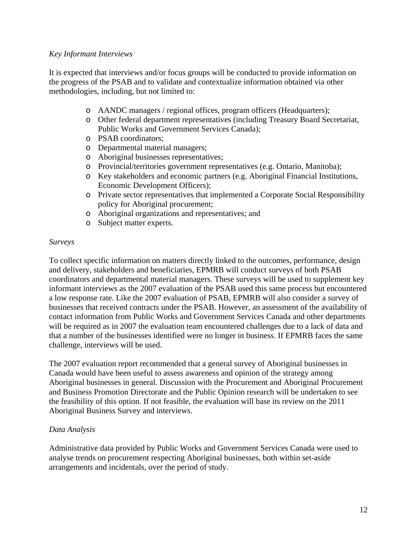#### *Key Informant Interviews*

It is expected that interviews and/or focus groups will be conducted to provide information on the progress of the PSAB and to validate and contextualize information obtained via other methodologies, including, but not limited to:

- o AANDC managers / regional offices, program officers (Headquarters);
- o Other federal department representatives (including Treasury Board Secretariat, Public Works and Government Services Canada);
- o PSAB coordinators;
- o Departmental material managers;
- o Aboriginal businesses representatives;
- o Provincial/territories government representatives (e.g. Ontario, Manitoba);
- o Key stakeholders and economic partners (e.g. Aboriginal Financial Institutions, Economic Development Officers);
- o Private sector representatives that implemented a Corporate Social Responsibility policy for Aboriginal procurement;
- o Aboriginal organizations and representatives; and
- o Subject matter experts.

#### *Surveys*

To collect specific information on matters directly linked to the outcomes, performance, design and delivery, stakeholders and beneficiaries, EPMRB will conduct surveys of both PSAB coordinators and departmental material managers. These surveys will be used to supplement key informant interviews as the 2007 evaluation of the PSAB used this same process but encountered a low response rate. Like the 2007 evaluation of PSAB, EPMRB will also consider a survey of businesses that received contracts under the PSAB. However, an assessment of the availability of contact information from Public Works and Government Services Canada and other departments will be required as in 2007 the evaluation team encountered challenges due to a lack of data and that a number of the businesses identified were no longer in business. If EPMRB faces the same challenge, interviews will be used.

The 2007 evaluation report recommended that a general survey of Aboriginal businesses in Canada would have been useful to assess awareness and opinion of the strategy among Aboriginal businesses in general. Discussion with the Procurement and Aboriginal Procurement and Business Promotion Directorate and the Public Opinion research will be undertaken to see the feasibility of this option. If not feasible, the evaluation will base its review on the 2011 Aboriginal Business Survey and interviews.

#### *Data Analysis*

Administrative data provided by Public Works and Government Services Canada were used to analyse trends on procurement respecting Aboriginal businesses, both within set-aside arrangements and incidentals, over the period of study.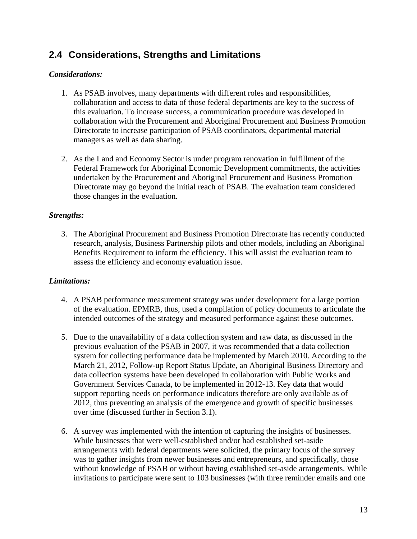## **2.4 Considerations, Strengths and Limitations**

#### *Considerations:*

- 1. As PSAB involves, many departments with different roles and responsibilities, collaboration and access to data of those federal departments are key to the success of this evaluation. To increase success, a communication procedure was developed in collaboration with the Procurement and Aboriginal Procurement and Business Promotion Directorate to increase participation of PSAB coordinators, departmental material managers as well as data sharing.
- 2. As the Land and Economy Sector is under program renovation in fulfillment of the Federal Framework for Aboriginal Economic Development commitments, the activities undertaken by the Procurement and Aboriginal Procurement and Business Promotion Directorate may go beyond the initial reach of PSAB. The evaluation team considered those changes in the evaluation.

#### *Strengths:*

3. The Aboriginal Procurement and Business Promotion Directorate has recently conducted research, analysis, Business Partnership pilots and other models, including an Aboriginal Benefits Requirement to inform the efficiency. This will assist the evaluation team to assess the efficiency and economy evaluation issue.

#### *Limitations:*

- 4. A PSAB performance measurement strategy was under development for a large portion of the evaluation. EPMRB, thus, used a compilation of policy documents to articulate the intended outcomes of the strategy and measured performance against these outcomes.
- 5. Due to the unavailability of a data collection system and raw data, as discussed in the previous evaluation of the PSAB in 2007, it was recommended that a data collection system for collecting performance data be implemented by March 2010. According to the March 21, 2012, Follow-up Report Status Update, an Aboriginal Business Directory and data collection systems have been developed in collaboration with Public Works and Government Services Canada, to be implemented in 2012-13. Key data that would support reporting needs on performance indicators therefore are only available as of 2012, thus preventing an analysis of the emergence and growth of specific businesses over time (discussed further in Section 3.1).
- 6. A survey was implemented with the intention of capturing the insights of businesses. While businesses that were well-established and/or had established set-aside arrangements with federal departments were solicited, the primary focus of the survey was to gather insights from newer businesses and entrepreneurs, and specifically, those without knowledge of PSAB or without having established set-aside arrangements. While invitations to participate were sent to 103 businesses (with three reminder emails and one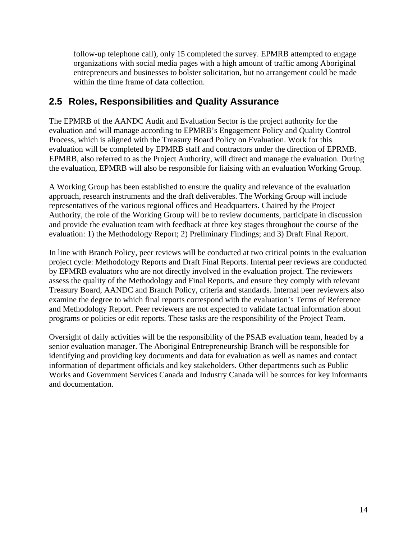follow-up telephone call), only 15 completed the survey. EPMRB attempted to engage organizations with social media pages with a high amount of traffic among Aboriginal entrepreneurs and businesses to bolster solicitation, but no arrangement could be made within the time frame of data collection.

### **2.5 Roles, Responsibilities and Quality Assurance**

The EPMRB of the AANDC Audit and Evaluation Sector is the project authority for the evaluation and will manage according to EPMRB's Engagement Policy and Quality Control Process, which is aligned with the Treasury Board Policy on Evaluation. Work for this evaluation will be completed by EPMRB staff and contractors under the direction of EPRMB. EPMRB, also referred to as the Project Authority, will direct and manage the evaluation. During the evaluation, EPMRB will also be responsible for liaising with an evaluation Working Group.

A Working Group has been established to ensure the quality and relevance of the evaluation approach, research instruments and the draft deliverables. The Working Group will include representatives of the various regional offices and Headquarters. Chaired by the Project Authority, the role of the Working Group will be to review documents, participate in discussion and provide the evaluation team with feedback at three key stages throughout the course of the evaluation: 1) the Methodology Report; 2) Preliminary Findings; and 3) Draft Final Report.

In line with Branch Policy, peer reviews will be conducted at two critical points in the evaluation project cycle: Methodology Reports and Draft Final Reports. Internal peer reviews are conducted by EPMRB evaluators who are not directly involved in the evaluation project. The reviewers assess the quality of the Methodology and Final Reports, and ensure they comply with relevant Treasury Board, AANDC and Branch Policy, criteria and standards. Internal peer reviewers also examine the degree to which final reports correspond with the evaluation's Terms of Reference and Methodology Report. Peer reviewers are not expected to validate factual information about programs or policies or edit reports. These tasks are the responsibility of the Project Team.

Oversight of daily activities will be the responsibility of the PSAB evaluation team, headed by a senior evaluation manager. The Aboriginal Entrepreneurship Branch will be responsible for identifying and providing key documents and data for evaluation as well as names and contact information of department officials and key stakeholders. Other departments such as Public Works and Government Services Canada and Industry Canada will be sources for key informants and documentation.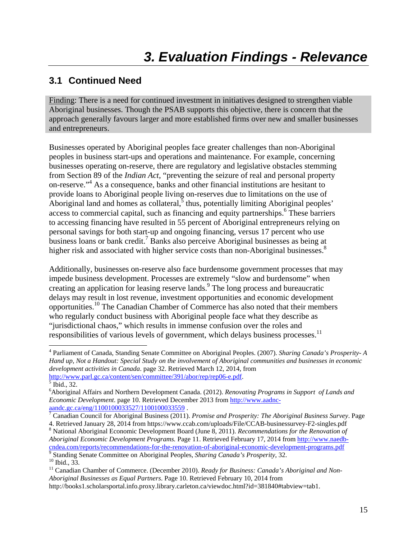## **3.1 Continued Need**

Finding: There is a need for continued investment in initiatives designed to strengthen viable Aboriginal businesses. Though the PSAB supports this objective, there is concern that the approach generally favours larger and more established firms over new and smaller businesses and entrepreneurs.

Businesses operated by Aboriginal peoples face greater challenges than non-Aboriginal peoples in business start-ups and operations and maintenance. For example, concerning businesses operating on-reserve, there are regulatory and legislative obstacles stemming from Section 89 of the *Indian Act*, "preventing the seizure of real and personal property on-reserve."4 As a consequence, banks and other financial institutions are hesitant to provide loans to Aboriginal people living on-reserves due to limitations on the use of Aboriginal land and homes as collateral, $\frac{3}{5}$  thus, potentially limiting Aboriginal peoples' access to commercial capital, such as financing and equity partnerships.<sup>6</sup> These barriers to accessing financing have resulted in 55 percent of Aboriginal entrepreneurs relying on personal savings for both start-up and ongoing financing, versus 17 percent who use business loans or bank credit.<sup>7</sup> Banks also perceive Aboriginal businesses as being at higher risk and associated with higher service costs than non-Aboriginal businesses.<sup>8</sup>

Additionally, businesses on-reserve also face burdensome government processes that may impede business development. Processes are extremely "slow and burdensome" when creating an application for leasing reserve lands.<sup>9</sup> The long process and bureaucratic delays may result in lost revenue, investment opportunities and economic development opportunities.10 The Canadian Chamber of Commerce has also noted that their members who regularly conduct business with Aboriginal people face what they describe as "jurisdictional chaos," which results in immense confusion over the roles and responsibilities of various levels of government, which delays business processes.<sup>11</sup>

4 Parliament of Canada, Standing Senate Committee on Aboriginal Peoples. (2007). *Sharing Canada's Prosperity- A Hand up, Not a Handout: Special Study on the involvement of Aboriginal communities and businesses in economic development activities in Canada*. page 32. Retrieved March 12, 2014, from http://www.parl.gc.ca/content/sen/committee/391/abor/rep/rep06-e.pdf.

 National Aboriginal Economic Development Board (June 8, 2011). *Recommendations for the Renovation of Aboriginal Economic Development Programs.* Page 11. Retrieved February 17, 2014 from http://www.naedbcndea.com/reports/recommendations-for-the-renovation-of-aboriginal-economic-development-programs.pdf 9

 $\overline{5}$  Ibid., 32.

<sup>6</sup> Aboriginal Affairs and Northern Development Canada. (2012). *Renovating Programs in Support of Lands and Economic Development*. page 10. Retrieved December 2013 from http://www.aadncaandc.gc.ca/eng/1100100033527/1100100033559.

Canadian Council for Aboriginal Business (2011). *Promise and Prosperity: The Aboriginal Business Survey*. Page 4. Retrieved January 28, 2014 from https://www.ccab.com/uploads/File/CCAB-businessurvey-F2-singles.pdf 8

Standing Senate Committee on Aboriginal Peoples*, Sharing Canada's Prosperity*, 32. 10 Ibid., 33.

<sup>&</sup>lt;sup>11</sup> Canadian Chamber of Commerce. (December 2010). Ready for Business: Canada's Aboriginal and Non-*Aboriginal Businesses as Equal Partners*. Page 10. Retrieved February 10, 2014 from

http://books1.scholarsportal.info.proxy.library.carleton.ca/viewdoc.html?id=381840#tabview=tab1.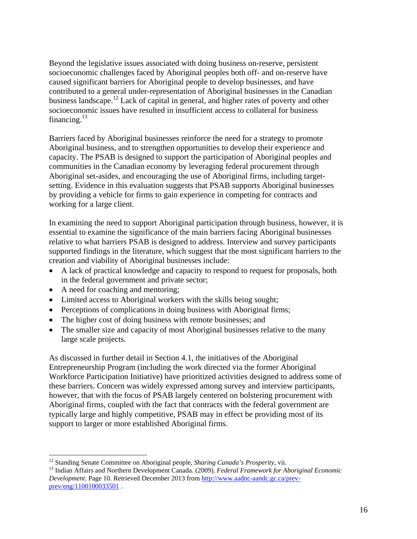Beyond the legislative issues associated with doing business on-reserve, persistent socioeconomic challenges faced by Aboriginal peoples both off- and on-reserve have caused significant barriers for Aboriginal people to develop businesses, and have contributed to a general under-representation of Aboriginal businesses in the Canadian business landscape.<sup>12</sup> Lack of capital in general, and higher rates of poverty and other socioeconomic issues have resulted in insufficient access to collateral for business financing. $^{13}$ 

Barriers faced by Aboriginal businesses reinforce the need for a strategy to promote Aboriginal business, and to strengthen opportunities to develop their experience and capacity. The PSAB is designed to support the participation of Aboriginal peoples and communities in the Canadian economy by leveraging federal procurement through Aboriginal set-asides, and encouraging the use of Aboriginal firms, including targetsetting. Evidence in this evaluation suggests that PSAB supports Aboriginal businesses by providing a vehicle for firms to gain experience in competing for contracts and working for a large client.

In examining the need to support Aboriginal participation through business, however, it is essential to examine the significance of the main barriers facing Aboriginal businesses relative to what barriers PSAB is designed to address. Interview and survey participants supported findings in the literature, which suggest that the most significant barriers to the creation and viability of Aboriginal businesses include:

- A lack of practical knowledge and capacity to respond to request for proposals, both in the federal government and private sector;
- A need for coaching and mentoring;
- Limited access to Aboriginal workers with the skills being sought;
- Perceptions of complications in doing business with Aboriginal firms;
- The higher cost of doing business with remote businesses; and
- The smaller size and capacity of most Aboriginal businesses relative to the many large scale projects.

As discussed in further detail in Section 4.1, the initiatives of the Aboriginal Entrepreneurship Program (including the work directed via the former Aboriginal Workforce Participation Initiative) have prioritized activities designed to address some of these barriers. Concern was widely expressed among survey and interview participants, however, that with the focus of PSAB largely centered on bolstering procurement with Aboriginal firms, coupled with the fact that contracts with the federal government are typically large and highly competitive, PSAB may in effect be providing most of its support to larger or more established Aboriginal firms.

<sup>&</sup>lt;sup>12</sup> Standing Senate Committee on Aboriginal people, Sharing Canada's Prosperity, vii.

<sup>&</sup>lt;sup>13</sup> Indian Affairs and Northern Development Canada. (2009). *Federal Framework for Aboriginal Economic Development*. Page 10. Retrieved December 2013 from http://www.aadnc-aandc.gc.ca/prevprev/eng/1100100033501 .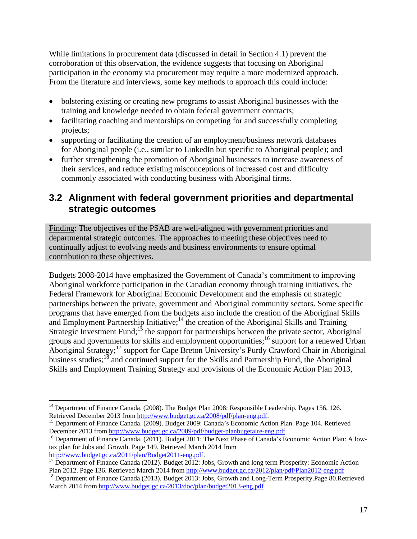While limitations in procurement data (discussed in detail in Section 4.1) prevent the corroboration of this observation, the evidence suggests that focusing on Aboriginal participation in the economy via procurement may require a more modernized approach. From the literature and interviews, some key methods to approach this could include:

- bolstering existing or creating new programs to assist Aboriginal businesses with the training and knowledge needed to obtain federal government contracts;
- facilitating coaching and mentorships on competing for and successfully completing projects;
- supporting or facilitating the creation of an employment/business network databases for Aboriginal people (i.e., similar to LinkedIn but specific to Aboriginal people); and
- further strengthening the promotion of Aboriginal businesses to increase awareness of their services, and reduce existing misconceptions of increased cost and difficulty commonly associated with conducting business with Aboriginal firms.

### **3.2 Alignment with federal government priorities and departmental strategic outcomes**

Finding: The objectives of the PSAB are well-aligned with government priorities and departmental strategic outcomes. The approaches to meeting these objectives need to continually adjust to evolving needs and business environments to ensure optimal contribution to these objectives.

Budgets 2008-2014 have emphasized the Government of Canada's commitment to improving Aboriginal workforce participation in the Canadian economy through training initiatives, the Federal Framework for Aboriginal Economic Development and the emphasis on strategic partnerships between the private, government and Aboriginal community sectors. Some specific programs that have emerged from the budgets also include the creation of the Aboriginal Skills and Employment Partnership Initiative;<sup>14</sup> the creation of the Aboriginal Skills and Training Strategic Investment Fund;<sup>15</sup> the support for partnerships between the private sector, Aboriginal groups and governments for skills and employment opportunities;<sup>16</sup> support for a renewed Urban Aboriginal Strategy;17 support for Cape Breton University's Purdy Crawford Chair in Aboriginal business studies;<sup>18</sup> and continued support for the Skills and Partnership Fund, the Aboriginal Skills and Employment Training Strategy and provisions of the Economic Action Plan 2013,

 <sup>14</sup> Department of Finance Canada. (2008). The Budget Plan 2008: Responsible Leadership. Pages 156, 126.<br>Retrieved December 2013 from  $\frac{http://www.budget.ge.ca/2008/pdf/plan-eng.pdf}{http://www.budget.ge.ca/2008/pdf/plan-eng.pdf}$ .

<sup>&</sup>lt;sup>15</sup> Department of Finance Canada. (2009). Budget 2009: Canada's Economic Action Plan. Page 104. Retrieved December 2013 from  $\frac{http://www.budget.gc.ca/2009/pdf/budget-planbugetaire-eng.pdf}{$ 

<sup>&</sup>lt;sup>16</sup> Department of Finance Canada. (2011). Budget 2011: The Next Phase of Canada's Economic Action Plan: A lowtax plan for Jobs and Growth. Page 149. Retrieved March 2014 from

http://www.budget.gc.ca/2011/plan/Budget2011-eng.pdf.<br><sup>17</sup> Department of Finance Canada (2012). Budget 2012: Jobs, Growth and long term Prosperity: Economic Action<br>Plan 2012. Page 136. Retrieved March 2014 from http://www

<sup>&</sup>lt;sup>18</sup> Department of Finance Canada (2013). Budget 2013: Jobs, Growth and Long-Term Prosperity.Page 80.Retrieved March 2014 from http://www.budget.gc.ca/2013/doc/plan/budget2013-eng.pdf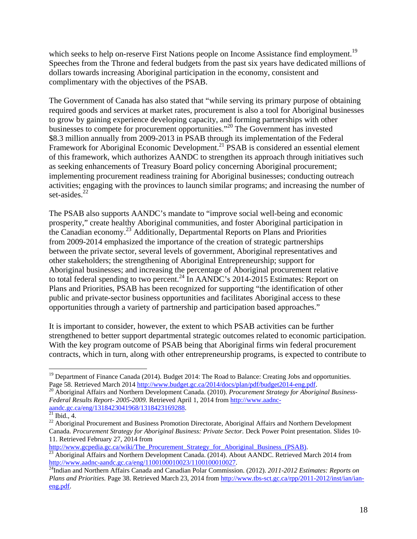which seeks to help on-reserve First Nations people on Income Assistance find employment.<sup>19</sup> Speeches from the Throne and federal budgets from the past six years have dedicated millions of dollars towards increasing Aboriginal participation in the economy, consistent and complimentary with the objectives of the PSAB.

The Government of Canada has also stated that "while serving its primary purpose of obtaining required goods and services at market rates, procurement is also a tool for Aboriginal businesses to grow by gaining experience developing capacity, and forming partnerships with other businesses to compete for procurement opportunities."20 The Government has invested \$8.3 million annually from 2009-2013 in PSAB through its implementation of the Federal Framework for Aboriginal Economic Development.<sup>21</sup> PSAB is considered an essential element of this framework, which authorizes AANDC to strengthen its approach through initiatives such as seeking enhancements of Treasury Board policy concerning Aboriginal procurement; implementing procurement readiness training for Aboriginal businesses; conducting outreach activities; engaging with the provinces to launch similar programs; and increasing the number of set-asides.<sup>22</sup>

The PSAB also supports AANDC's mandate to "improve social well-being and economic prosperity," create healthy Aboriginal communities, and foster Aboriginal participation in the Canadian economy.<sup>23</sup> Additionally, Departmental Reports on Plans and Priorities from 2009-2014 emphasized the importance of the creation of strategic partnerships between the private sector, several levels of government, Aboriginal representatives and other stakeholders; the strengthening of Aboriginal Entrepreneurship; support for Aboriginal businesses; and increasing the percentage of Aboriginal procurement relative to total federal spending to two percent.<sup>24</sup> In AANDC's 2014-2015 Estimates: Report on Plans and Priorities, PSAB has been recognized for supporting "the identification of other public and private-sector business opportunities and facilitates Aboriginal access to these opportunities through a variety of partnership and participation based approaches."

It is important to consider, however, the extent to which PSAB activities can be further strengthened to better support departmental strategic outcomes related to economic participation. With the key program outcome of PSAB being that Aboriginal firms win federal procurement contracts, which in turn, along with other entrepreneurship programs, is expected to contribute to

 <sup>19</sup> Department of Finance Canada (2014). Budget 2014: The Road to Balance: Creating Jobs and opportunities. Page 58. Retrieved March 2014 http://www.budget.gc.ca/2014/docs/plan/pdf/budget2014-eng.pdf. 20 Aboriginal Affairs and Northern Development Canada. (2010). *Procurement Strategy for Aboriginal Business-*

*Federal Results Report- 2005-2009.* Retrieved April 1, 2014 from http://www.aadnc- $\frac{\text{aandc.gc.ca/eng/1318423041968/1318423169288}}{\text{21 }\text{Ibid., 4.}}$ 

<sup>&</sup>lt;sup>22</sup> Aboriginal Procurement and Business Promotion Directorate, Aboriginal Affairs and Northern Development Canada. *Procurement Strategy for Aboriginal Business: Private Sector.* Deck Power Point presentation. Slides 10- 11. Retrieved February 27, 2014 from<br>http://www.gcpedia.gc.ca/wiki/The Procurement Strategy for Aboriginal Business (PSAB).

<sup>&</sup>lt;sup>23</sup> Aboriginal Affairs and Northern Development Canada. (2014). About AANDC. Retrieved March 2014 from http://www.aadnc-aandc.gc.ca/eng/1100100010023/1100100010027.

<sup>&</sup>lt;sup>24</sup>Indian and Northern Affairs Canada and Canadian Polar Commission. (2012). *2011-2012 Estimates: Reports on Plans and Priorities.* Page 38. Retrieved March 23, 2014 from http://www.tbs-sct.gc.ca/rpp/2011-2012/inst/ian/ianeng.pdf.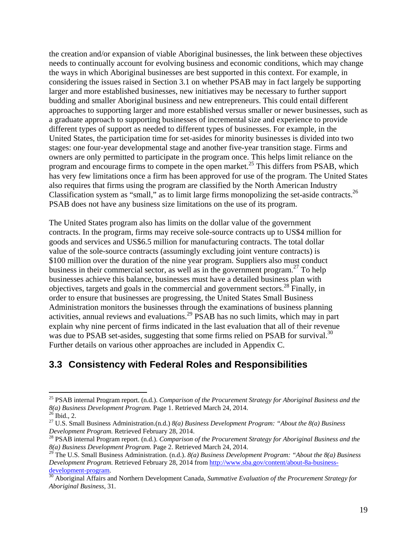the creation and/or expansion of viable Aboriginal businesses, the link between these objectives needs to continually account for evolving business and economic conditions, which may change the ways in which Aboriginal businesses are best supported in this context. For example, in considering the issues raised in Section 3.1 on whether PSAB may in fact largely be supporting larger and more established businesses, new initiatives may be necessary to further support budding and smaller Aboriginal business and new entrepreneurs. This could entail different approaches to supporting larger and more established versus smaller or newer businesses, such as a graduate approach to supporting businesses of incremental size and experience to provide different types of support as needed to different types of businesses. For example, in the United States, the participation time for set-asides for minority businesses is divided into two stages: one four-year developmental stage and another five-year transition stage. Firms and owners are only permitted to participate in the program once. This helps limit reliance on the program and encourage firms to compete in the open market.<sup>25</sup> This differs from PSAB, which has very few limitations once a firm has been approved for use of the program. The United States also requires that firms using the program are classified by the North American Industry Classification system as "small," as to limit large firms monopolizing the set-aside contracts.26 PSAB does not have any business size limitations on the use of its program.

The United States program also has limits on the dollar value of the government contracts. In the program, firms may receive sole-source contracts up to US\$4 million for goods and services and US\$6.5 million for manufacturing contracts. The total dollar value of the sole-source contracts (assumingly excluding joint venture contracts) is \$100 million over the duration of the nine year program. Suppliers also must conduct business in their commercial sector, as well as in the government program.<sup>27</sup> To help businesses achieve this balance, businesses must have a detailed business plan with objectives, targets and goals in the commercial and government sectors.28 Finally, in order to ensure that businesses are progressing, the United States Small Business Administration monitors the businesses through the examinations of business planning activities, annual reviews and evaluations.<sup>29</sup> PSAB has no such limits, which may in part explain why nine percent of firms indicated in the last evaluation that all of their revenue was due to PSAB set-asides, suggesting that some firms relied on PSAB for survival.<sup>30</sup> Further details on various other approaches are included in Appendix C.

### **3.3 Consistency with Federal Roles and Responsibilities**

<sup>25</sup> PSAB internal Program report. (n.d.). *Comparison of the Procurement Strategy for Aboriginal Business and the 8(a) Business Development Program.* Page 1. Retrieved March 24, 2014. 26 Ibid., 2.

<sup>27</sup> U.S. Small Business Administration.(n.d.) *8(a) Business Development Program: "About the 8(a) Business Development Program.* Retrieved February 28, 2014.<br><sup>28</sup> PSAB internal Program report. (n.d.). *Comparison of the Procurement Strategy for Aboriginal Business and the* 

*<sup>8(</sup>a) Business Development Program.* Page 2. Retrieved March 24, 2014.

<sup>29</sup> The U.S. Small Business Administration. (n.d.). *8(a) Business Development Program: "About the 8(a) Business Development Program.* Retrieved February 28, 2014 from http://www.sba.gov/content/about-8a-business-

development-program.<br><sup>30</sup> Aboriginal Affairs and Northern Development Canada, *Summative Evaluation of the Procurement Strategy for Aboriginal Business*, 31.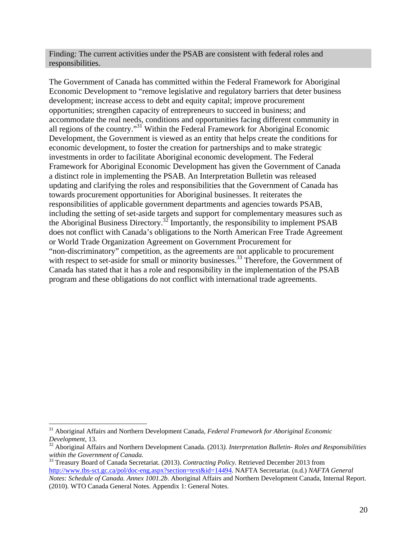Finding: The current activities under the PSAB are consistent with federal roles and responsibilities.

The Government of Canada has committed within the Federal Framework for Aboriginal Economic Development to "remove legislative and regulatory barriers that deter business development; increase access to debt and equity capital; improve procurement opportunities; strengthen capacity of entrepreneurs to succeed in business; and accommodate the real needs, conditions and opportunities facing different community in all regions of the country."31 Within the Federal Framework for Aboriginal Economic Development, the Government is viewed as an entity that helps create the conditions for economic development, to foster the creation for partnerships and to make strategic investments in order to facilitate Aboriginal economic development. The Federal Framework for Aboriginal Economic Development has given the Government of Canada a distinct role in implementing the PSAB. An Interpretation Bulletin was released updating and clarifying the roles and responsibilities that the Government of Canada has towards procurement opportunities for Aboriginal businesses. It reiterates the responsibilities of applicable government departments and agencies towards PSAB, including the setting of set-aside targets and support for complementary measures such as the Aboriginal Business Directory.<sup>32</sup> Importantly, the responsibility to implement PSAB does not conflict with Canada's obligations to the North American Free Trade Agreement or World Trade Organization Agreement on Government Procurement for "non-discriminatory" competition, as the agreements are not applicable to procurement with respect to set-aside for small or minority businesses.<sup>33</sup> Therefore, the Government of Canada has stated that it has a role and responsibility in the implementation of the PSAB program and these obligations do not conflict with international trade agreements.

 <sup>31</sup> Aboriginal Affairs and Northern Development Canada, *Federal Framework for Aboriginal Economic Development*, 13.

*Development,* 13. 32 Aboriginal Affairs and Northern Development Canada. (2013*). Interpretation Bulletin- Roles and Responsibilities within the Government of Canada.*

<sup>33</sup> Treasury Board of Canada Secretariat. (2013). *Contracting Policy.* Retrieved December 2013 from http://www.tbs-sct.gc.ca/pol/doc-eng.aspx?section=text&id=14494. NAFTA Secretariat. (n.d.) *NAFTA General Notes: Schedule of Canada. Annex 1001.2b.* Aboriginal Affairs and Northern Development Canada, Internal Report. (2010). WTO Canada General Notes. Appendix 1: General Notes.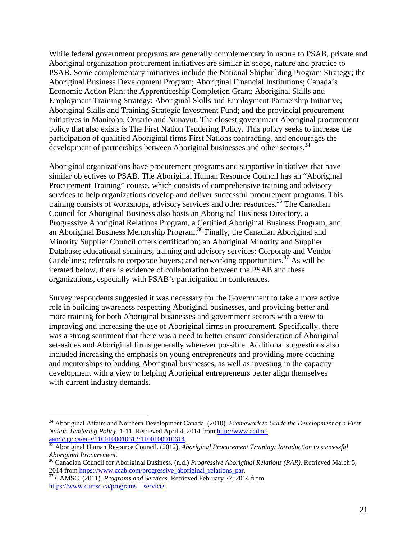While federal government programs are generally complementary in nature to PSAB, private and Aboriginal organization procurement initiatives are similar in scope, nature and practice to PSAB. Some complementary initiatives include the National Shipbuilding Program Strategy; the Aboriginal Business Development Program; Aboriginal Financial Institutions; Canada's Economic Action Plan; the Apprenticeship Completion Grant; Aboriginal Skills and Employment Training Strategy; Aboriginal Skills and Employment Partnership Initiative; Aboriginal Skills and Training Strategic Investment Fund; and the provincial procurement initiatives in Manitoba, Ontario and Nunavut. The closest government Aboriginal procurement policy that also exists is The First Nation Tendering Policy. This policy seeks to increase the participation of qualified Aboriginal firms First Nations contracting, and encourages the development of partnerships between Aboriginal businesses and other sectors.<sup>34</sup>

Aboriginal organizations have procurement programs and supportive initiatives that have similar objectives to PSAB. The Aboriginal Human Resource Council has an "Aboriginal Procurement Training" course, which consists of comprehensive training and advisory services to help organizations develop and deliver successful procurement programs. This training consists of workshops, advisory services and other resources.<sup>35</sup> The Canadian Council for Aboriginal Business also hosts an Aboriginal Business Directory, a Progressive Aboriginal Relations Program, a Certified Aboriginal Business Program, and an Aboriginal Business Mentorship Program.36 Finally, the Canadian Aboriginal and Minority Supplier Council offers certification; an Aboriginal Minority and Supplier Database; educational seminars; training and advisory services; Corporate and Vendor Guidelines; referrals to corporate buyers; and networking opportunities.<sup>37</sup> As will be iterated below, there is evidence of collaboration between the PSAB and these organizations, especially with PSAB's participation in conferences.

Survey respondents suggested it was necessary for the Government to take a more active role in building awareness respecting Aboriginal businesses, and providing better and more training for both Aboriginal businesses and government sectors with a view to improving and increasing the use of Aboriginal firms in procurement. Specifically, there was a strong sentiment that there was a need to better ensure consideration of Aboriginal set-asides and Aboriginal firms generally wherever possible. Additional suggestions also included increasing the emphasis on young entrepreneurs and providing more coaching and mentorships to budding Aboriginal businesses, as well as investing in the capacity development with a view to helping Aboriginal entrepreneurs better align themselves with current industry demands.

<sup>34</sup> Aboriginal Affairs and Northern Development Canada. (2010). *Framework to Guide the Development of a First Nation Tendering Policy*. 1-11. Retrieved April 4, 2014 from http://www.aadnc-

Aboriginal Human Resource Council. (2012). *Aboriginal Procurement Training: Introduction to successful Aboriginal Procurement.*

<sup>36</sup> Canadian Council for Aboriginal Business. (n.d.) *Progressive Aboriginal Relations (PAR).* Retrieved March 5, 2014 from https://www.ccab.com/progressive\_aboriginal\_relations\_par. <sup>37</sup> CAMSC. (2011). *Programs and Services*. Retrieved February 27, 2014 from

https://www.camsc.ca/programs\_\_services.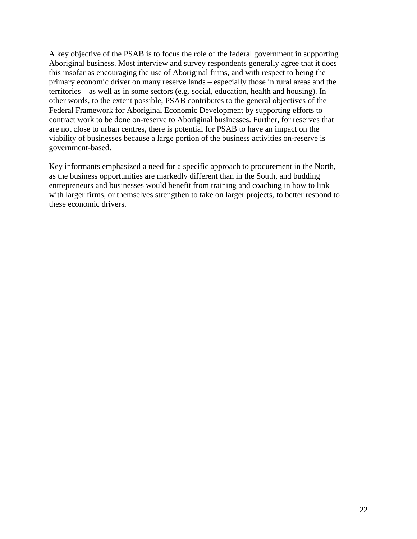A key objective of the PSAB is to focus the role of the federal government in supporting Aboriginal business. Most interview and survey respondents generally agree that it does this insofar as encouraging the use of Aboriginal firms, and with respect to being the primary economic driver on many reserve lands – especially those in rural areas and the territories – as well as in some sectors (e.g. social, education, health and housing). In other words, to the extent possible, PSAB contributes to the general objectives of the Federal Framework for Aboriginal Economic Development by supporting efforts to contract work to be done on-reserve to Aboriginal businesses. Further, for reserves that are not close to urban centres, there is potential for PSAB to have an impact on the viability of businesses because a large portion of the business activities on-reserve is government-based.

Key informants emphasized a need for a specific approach to procurement in the North, as the business opportunities are markedly different than in the South, and budding entrepreneurs and businesses would benefit from training and coaching in how to link with larger firms, or themselves strengthen to take on larger projects, to better respond to these economic drivers.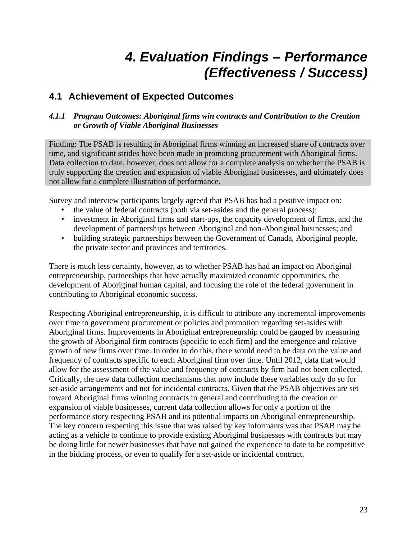## *4. Evaluation Findings – Performance (Effectiveness / Success)*

### **4.1 Achievement of Expected Outcomes**

#### *4.1.1 Program Outcomes: Aboriginal firms win contracts and Contribution to the Creation or Growth of Viable Aboriginal Businesses*

Finding: The PSAB is resulting in Aboriginal firms winning an increased share of contracts over time, and significant strides have been made in promoting procurement with Aboriginal firms. Data collection to date, however, does not allow for a complete analysis on whether the PSAB is truly supporting the creation and expansion of viable Aboriginal businesses, and ultimately does not allow for a complete illustration of performance.

Survey and interview participants largely agreed that PSAB has had a positive impact on:

- the value of federal contracts (both via set-asides and the general process);
- investment in Aboriginal firms and start-ups, the capacity development of firms, and the development of partnerships between Aboriginal and non-Aboriginal businesses; and
- building strategic partnerships between the Government of Canada, Aboriginal people, the private sector and provinces and territories.

There is much less certainty, however, as to whether PSAB has had an impact on Aboriginal entrepreneurship, partnerships that have actually maximized economic opportunities, the development of Aboriginal human capital, and focusing the role of the federal government in contributing to Aboriginal economic success.

Respecting Aboriginal entrepreneurship, it is difficult to attribute any incremental improvements over time to government procurement or policies and promotion regarding set-asides with Aboriginal firms. Improvements in Aboriginal entrepreneurship could be gauged by measuring the growth of Aboriginal firm contracts (specific to each firm) and the emergence and relative growth of new firms over time. In order to do this, there would need to be data on the value and frequency of contracts specific to each Aboriginal firm over time. Until 2012, data that would allow for the assessment of the value and frequency of contracts by firm had not been collected. Critically, the new data collection mechanisms that now include these variables only do so for set-aside arrangements and not for incidental contracts. Given that the PSAB objectives are set toward Aboriginal firms winning contracts in general and contributing to the creation or expansion of viable businesses, current data collection allows for only a portion of the performance story respecting PSAB and its potential impacts on Aboriginal entrepreneurship. The key concern respecting this issue that was raised by key informants was that PSAB may be acting as a vehicle to continue to provide existing Aboriginal businesses with contracts but may be doing little for newer businesses that have not gained the experience to date to be competitive in the bidding process, or even to qualify for a set-aside or incidental contract.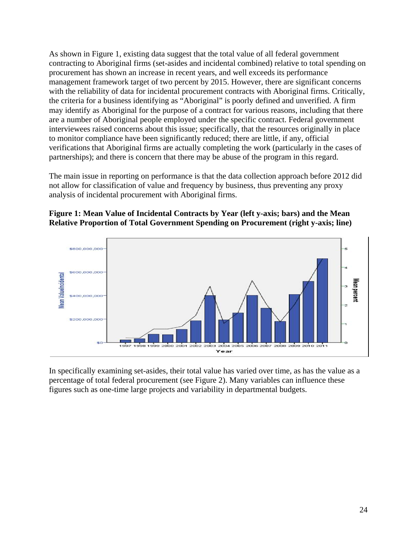As shown in Figure 1, existing data suggest that the total value of all federal government contracting to Aboriginal firms (set-asides and incidental combined) relative to total spending on procurement has shown an increase in recent years, and well exceeds its performance management framework target of two percent by 2015. However, there are significant concerns with the reliability of data for incidental procurement contracts with Aboriginal firms. Critically, the criteria for a business identifying as "Aboriginal" is poorly defined and unverified. A firm may identify as Aboriginal for the purpose of a contract for various reasons, including that there are a number of Aboriginal people employed under the specific contract. Federal government interviewees raised concerns about this issue; specifically, that the resources originally in place to monitor compliance have been significantly reduced; there are little, if any, official verifications that Aboriginal firms are actually completing the work (particularly in the cases of partnerships); and there is concern that there may be abuse of the program in this regard.

The main issue in reporting on performance is that the data collection approach before 2012 did not allow for classification of value and frequency by business, thus preventing any proxy analysis of incidental procurement with Aboriginal firms.

#### **Figure 1: Mean Value of Incidental Contracts by Year (left y-axis; bars) and the Mean Relative Proportion of Total Government Spending on Procurement (right y-axis; line)**



In specifically examining set-asides, their total value has varied over time, as has the value as a percentage of total federal procurement (see Figure 2). Many variables can influence these figures such as one-time large projects and variability in departmental budgets.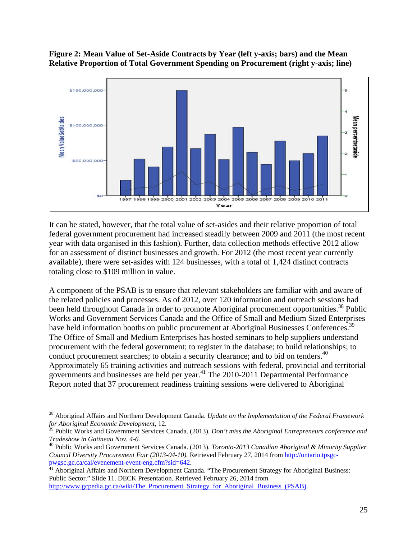**Figure 2: Mean Value of Set-Aside Contracts by Year (left y-axis; bars) and the Mean Relative Proportion of Total Government Spending on Procurement (right y-axis; line)** 



It can be stated, however, that the total value of set-asides and their relative proportion of total federal government procurement had increased steadily between 2009 and 2011 (the most recent year with data organised in this fashion). Further, data collection methods effective 2012 allow for an assessment of distinct businesses and growth. For 2012 (the most recent year currently available), there were set-asides with 124 businesses, with a total of 1,424 distinct contracts totaling close to \$109 million in value.

A component of the PSAB is to ensure that relevant stakeholders are familiar with and aware of the related policies and processes. As of 2012, over 120 information and outreach sessions had been held throughout Canada in order to promote Aboriginal procurement opportunities.<sup>38</sup> Public Works and Government Services Canada and the Office of Small and Medium Sized Enterprises have held information booths on public procurement at Aboriginal Businesses Conferences.<sup>39</sup> The Office of Small and Medium Enterprises has hosted seminars to help suppliers understand procurement with the federal government; to register in the database; to build relationships; to conduct procurement searches; to obtain a security clearance; and to bid on tenders.<sup>40</sup> Approximately 65 training activities and outreach sessions with federal, provincial and territorial governments and businesses are held per year.<sup>41</sup> The 2010-2011 Departmental Performance Report noted that 37 procurement readiness training sessions were delivered to Aboriginal

<sup>38</sup> Aboriginal Affairs and Northern Development Canada. *Update on the Implementation of the Federal Framework for Aboriginal Economic Development,* 12.

<sup>39</sup> Public Works and Government Services Canada. (2013). *Don't miss the Aboriginal Entrepreneurs conference and Tradeshow in Gatineau Nov. 4-6.*

<sup>40</sup> Public Works and Government Services Canada. (2013). *Toronto-2013 Canadian Aboriginal & Minority Supplier Council Diversity Procurement Fair (2013-04-10).* Retrieved February 27, 2014 from http://ontario.tpsgcpwgsc.gc.ca/cal/evenement-event-eng.cfm?sid=642.<br><sup>41</sup> Aboriginal Affairs and Northern Development Canada. "The Procurement Strategy for Aboriginal Business:

Public Sector." Slide 11. DECK Presentation. Retrieved February 26, 2014 from http://www.gcpedia.gc.ca/wiki/The\_Procurement\_Strategy\_for\_Aboriginal\_Business\_(PSAB).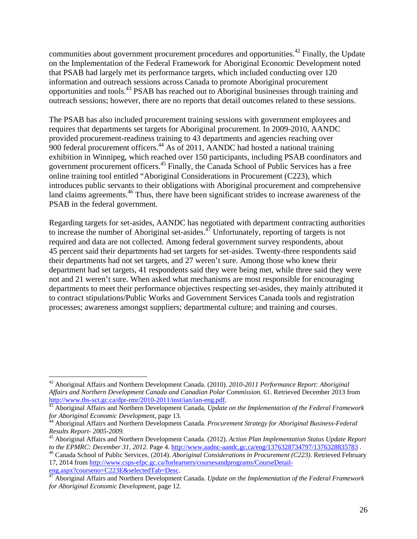communities about government procurement procedures and opportunities.<sup>42</sup> Finally, the Update on the Implementation of the Federal Framework for Aboriginal Economic Development noted that PSAB had largely met its performance targets, which included conducting over 120 information and outreach sessions across Canada to promote Aboriginal procurement opportunities and tools.43 PSAB has reached out to Aboriginal businesses through training and outreach sessions; however, there are no reports that detail outcomes related to these sessions.

The PSAB has also included procurement training sessions with government employees and requires that departments set targets for Aboriginal procurement. In 2009-2010, AANDC provided procurement-readiness training to 43 departments and agencies reaching over 900 federal procurement officers.44 As of 2011, AANDC had hosted a national training exhibition in Winnipeg, which reached over 150 participants, including PSAB coordinators and government procurement officers.45 Finally, the Canada School of Public Services has a free online training tool entitled "Aboriginal Considerations in Procurement (C223), which introduces public servants to their obligations with Aboriginal procurement and comprehensive land claims agreements.<sup>46</sup> Thus, there have been significant strides to increase awareness of the PSAB in the federal government.

Regarding targets for set-asides, AANDC has negotiated with department contracting authorities to increase the number of Aboriginal set-asides.<sup>47</sup> Unfortunately, reporting of targets is not required and data are not collected. Among federal government survey respondents, about 45 percent said their departments had set targets for set-asides. Twenty-three respondents said their departments had not set targets, and 27 weren't sure. Among those who knew their department had set targets, 41 respondents said they were being met, while three said they were not and 21 weren't sure. When asked what mechanisms are most responsible for encouraging departments to meet their performance objectives respecting set-asides, they mainly attributed it to contract stipulations/Public Works and Government Services Canada tools and registration processes; awareness amongst suppliers; departmental culture; and training and courses.

<sup>42</sup> Aboriginal Affairs and Northern Development Canada. (2010). *2010-2011 Performance Report: Aboriginal Affairs and Northern Development Canada and Canadian Polar Commission.* 61. Retrieved December 2013 from http://www.tbs-sct.gc.ca/dpr-rmr/2010-2011/inst/ian/ian-eng.pdf.

<sup>&</sup>lt;sup>43</sup> Aboriginal Affairs and Northern Development Canada, *Update on the Implementation of the Federal Framework for Aboriginal Economic Development*, page 13. 44 Aboriginal Affairs and Northern Development Canada. *Procurement Strategy for Aboriginal Business-Federal* 

*Results Report- 2005-2009.* 

<sup>&</sup>lt;sup>45</sup> Aboriginal Affairs and Northern Development Canada. (2012). *Action Plan Implementation Status Update Report* to the EPMRC: December 31, 2012. Page 4. http://www.aadnc-aandc.gc.ca/eng/1376328734797/1376328835783.

<sup>&</sup>lt;sup>46</sup> Canada School of Public Services. (2014). Aboriginal Considerations in Procurement (C223). Retrieved February 17, 2014 from http://www.csps-efpc.gc.ca/forlearners/coursesandprograms/CourseDetail-

eng.aspx?courseno=C223E&selectedTab=Desc. 47 Aboriginal Affairs and Northern Development Canada. *Update on the Implementation of the Federal Framework for Aboriginal Economic Development*, page 12.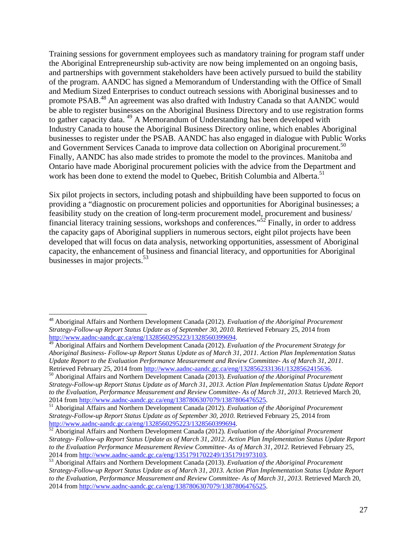Training sessions for government employees such as mandatory training for program staff under the Aboriginal Entrepreneurship sub-activity are now being implemented on an ongoing basis, and partnerships with government stakeholders have been actively pursued to build the stability of the program. AANDC has signed a Memorandum of Understanding with the Office of Small and Medium Sized Enterprises to conduct outreach sessions with Aboriginal businesses and to promote PSAB.48 An agreement was also drafted with Industry Canada so that AANDC would be able to register businesses on the Aboriginal Business Directory and to use registration forms to gather capacity data. 49 A Memorandum of Understanding has been developed with Industry Canada to house the Aboriginal Business Directory online, which enables Aboriginal businesses to register under the PSAB. AANDC has also engaged in dialogue with Public Works and Government Services Canada to improve data collection on Aboriginal procurement.<sup>50</sup> Finally, AANDC has also made strides to promote the model to the provinces. Manitoba and Ontario have made Aboriginal procurement policies with the advice from the Department and work has been done to extend the model to Quebec, British Columbia and Alberta.<sup>51</sup>

Six pilot projects in sectors, including potash and shipbuilding have been supported to focus on providing a "diagnostic on procurement policies and opportunities for Aboriginal businesses; a feasibility study on the creation of long-term procurement model, procurement and business/ financial literacy training sessions, workshops and conferences."52 Finally, in order to address the capacity gaps of Aboriginal suppliers in numerous sectors, eight pilot projects have been developed that will focus on data analysis, networking opportunities, assessment of Aboriginal capacity, the enhancement of business and financial literacy, and opportunities for Aboriginal businesses in major projects. $53$ 

<sup>48</sup> Aboriginal Affairs and Northern Development Canada (2012). *Evaluation of the Aboriginal Procurement Strategy-Follow-up Report Status Update as of September 30, 2010.* Retrieved February 25, 2014 from

Aboriginal Affairs and Northern Development Canada (2012). *Evaluation of the Procurement Strategy for Aboriginal Business- Follow-up Report Status Update as of March 31, 2011. Action Plan Implementation Status Update Report to the Evaluation Performance Measurement and Review Committee- As of March 31, 2011*.

Retrieved February 25, 2014 from http://www.aadnc-aandc.gc.ca/eng/1328562331361/1328562415636.<br><sup>50</sup> Aboriginal Affairs and Northern Development Canada (2013). *Evaluation of the Aboriginal Procurement Strategy-Follow-up Report Status Update as of March 31, 2013. Action Plan Implementation Status Update Report to the Evaluation, Performance Measurement and Review Committee- As of March 31, 2013. Retrieved March 20, 2014 from http://www.aadnc-aandc.gc.ca/eng/1387806307079/1387806476525.* 

<sup>&</sup>lt;sup>51</sup> Aboriginal Affairs and Northern Development Canada (2012). *Evaluation of the Aboriginal Procurement Strategy-Follow-up Report Status Update as of September 30, 2010. Retrieved February 25, 2014 from http://www.aadnc-aandc.gc.ca/eng/1328560295223/1328560399694.* 

<sup>&</sup>lt;sup>52</sup> Aboriginal Affairs and Northern Development Canada (2012). *Evaluation of the Aboriginal Procurement Strategy- Follow-up Report Status Update as of March 31, 2012. Action Plan Implementation Status Update Report to the Evaluation Performance Measurement Review Committee- As of March 31, 2012.* Retrieved February 25,

<sup>2014</sup> from http://www.aadnc-aandc.gc.ca/eng/1351791702249/1351791973103. 53 Aboriginal Affairs and Northern Development Canada (2013). *Evaluation of the Aboriginal Procurement Strategy-Follow-up Report Status Update as of March 31, 2013. Action Plan Implementation Status Update Report to the Evaluation, Performance Measurement and Review Committee- As of March 31, 2013.* Retrieved March 20, 2014 from http://www.aadnc-aandc.gc.ca/eng/1387806307079/1387806476525.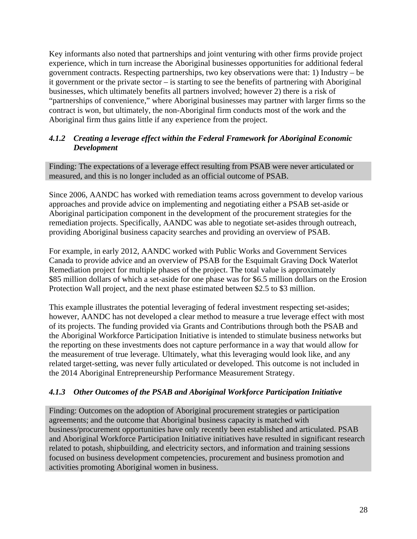Key informants also noted that partnerships and joint venturing with other firms provide project experience, which in turn increase the Aboriginal businesses opportunities for additional federal government contracts. Respecting partnerships, two key observations were that: 1) Industry – be it government or the private sector – is starting to see the benefits of partnering with Aboriginal businesses, which ultimately benefits all partners involved; however 2) there is a risk of "partnerships of convenience," where Aboriginal businesses may partner with larger firms so the contract is won, but ultimately, the non-Aboriginal firm conducts most of the work and the Aboriginal firm thus gains little if any experience from the project.

#### *4.1.2 Creating a leverage effect within the Federal Framework for Aboriginal Economic Development*

Finding: The expectations of a leverage effect resulting from PSAB were never articulated or measured, and this is no longer included as an official outcome of PSAB.

Since 2006, AANDC has worked with remediation teams across government to develop various approaches and provide advice on implementing and negotiating either a PSAB set-aside or Aboriginal participation component in the development of the procurement strategies for the remediation projects. Specifically, AANDC was able to negotiate set-asides through outreach, providing Aboriginal business capacity searches and providing an overview of PSAB.

For example, in early 2012, AANDC worked with Public Works and Government Services Canada to provide advice and an overview of PSAB for the Esquimalt Graving Dock Waterlot Remediation project for multiple phases of the project. The total value is approximately \$85 million dollars of which a set-aside for one phase was for \$6.5 million dollars on the Erosion Protection Wall project, and the next phase estimated between \$2.5 to \$3 million.

This example illustrates the potential leveraging of federal investment respecting set-asides; however, AANDC has not developed a clear method to measure a true leverage effect with most of its projects. The funding provided via Grants and Contributions through both the PSAB and the Aboriginal Workforce Participation Initiative is intended to stimulate business networks but the reporting on these investments does not capture performance in a way that would allow for the measurement of true leverage. Ultimately, what this leveraging would look like, and any related target-setting, was never fully articulated or developed. This outcome is not included in the 2014 Aboriginal Entrepreneurship Performance Measurement Strategy.

#### *4.1.3 Other Outcomes of the PSAB and Aboriginal Workforce Participation Initiative*

Finding: Outcomes on the adoption of Aboriginal procurement strategies or participation agreements; and the outcome that Aboriginal business capacity is matched with business/procurement opportunities have only recently been established and articulated. PSAB and Aboriginal Workforce Participation Initiative initiatives have resulted in significant research related to potash, shipbuilding, and electricity sectors, and information and training sessions focused on business development competencies, procurement and business promotion and activities promoting Aboriginal women in business.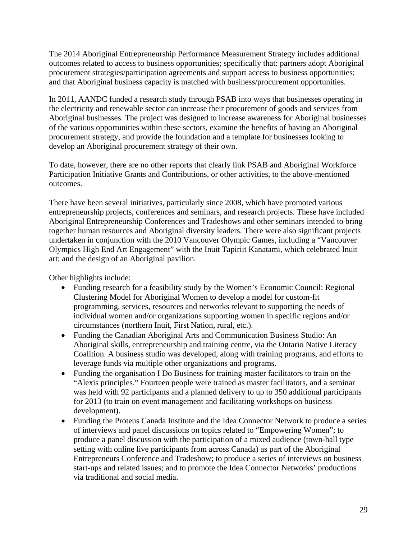The 2014 Aboriginal Entrepreneurship Performance Measurement Strategy includes additional outcomes related to access to business opportunities; specifically that: partners adopt Aboriginal procurement strategies/participation agreements and support access to business opportunities; and that Aboriginal business capacity is matched with business/procurement opportunities.

In 2011, AANDC funded a research study through PSAB into ways that businesses operating in the electricity and renewable sector can increase their procurement of goods and services from Aboriginal businesses. The project was designed to increase awareness for Aboriginal businesses of the various opportunities within these sectors, examine the benefits of having an Aboriginal procurement strategy, and provide the foundation and a template for businesses looking to develop an Aboriginal procurement strategy of their own.

To date, however, there are no other reports that clearly link PSAB and Aboriginal Workforce Participation Initiative Grants and Contributions, or other activities, to the above-mentioned outcomes.

There have been several initiatives, particularly since 2008, which have promoted various entrepreneurship projects, conferences and seminars, and research projects. These have included Aboriginal Entrepreneurship Conferences and Tradeshows and other seminars intended to bring together human resources and Aboriginal diversity leaders. There were also significant projects undertaken in conjunction with the 2010 Vancouver Olympic Games, including a "Vancouver Olympics High End Art Engagement" with the Inuit Tapiriit Kanatami, which celebrated Inuit art; and the design of an Aboriginal pavilion.

Other highlights include:

- Funding research for a feasibility study by the Women's Economic Council: Regional Clustering Model for Aboriginal Women to develop a model for custom-fit programming, services, resources and networks relevant to supporting the needs of individual women and/or organizations supporting women in specific regions and/or circumstances (northern Inuit, First Nation, rural, etc.).
- Funding the Canadian Aboriginal Arts and Communication Business Studio: An Aboriginal skills, entrepreneurship and training centre, via the Ontario Native Literacy Coalition. A business studio was developed, along with training programs, and efforts to leverage funds via multiple other organizations and programs.
- Funding the organisation I Do Business for training master facilitators to train on the "Alexis principles." Fourteen people were trained as master facilitators, and a seminar was held with 92 participants and a planned delivery to up to 350 additional participants for 2013 (to train on event management and facilitating workshops on business development).
- Funding the Proteus Canada Institute and the Idea Connector Network to produce a series of interviews and panel discussions on topics related to "Empowering Women"; to produce a panel discussion with the participation of a mixed audience (town-hall type setting with online live participants from across Canada) as part of the Aboriginal Entrepreneurs Conference and Tradeshow; to produce a series of interviews on business start-ups and related issues; and to promote the Idea Connector Networks' productions via traditional and social media.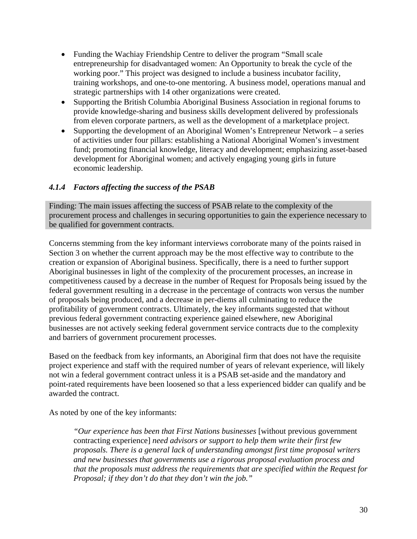- Funding the Wachiay Friendship Centre to deliver the program "Small scale entrepreneurship for disadvantaged women: An Opportunity to break the cycle of the working poor." This project was designed to include a business incubator facility, training workshops, and one-to-one mentoring. A business model, operations manual and strategic partnerships with 14 other organizations were created.
- Supporting the British Columbia Aboriginal Business Association in regional forums to provide knowledge-sharing and business skills development delivered by professionals from eleven corporate partners, as well as the development of a marketplace project.
- Supporting the development of an Aboriginal Women's Entrepreneur Network a series of activities under four pillars: establishing a National Aboriginal Women's investment fund; promoting financial knowledge, literacy and development; emphasizing asset-based development for Aboriginal women; and actively engaging young girls in future economic leadership.

#### *4.1.4 Factors affecting the success of the PSAB*

Finding: The main issues affecting the success of PSAB relate to the complexity of the procurement process and challenges in securing opportunities to gain the experience necessary to be qualified for government contracts.

Concerns stemming from the key informant interviews corroborate many of the points raised in Section 3 on whether the current approach may be the most effective way to contribute to the creation or expansion of Aboriginal business. Specifically, there is a need to further support Aboriginal businesses in light of the complexity of the procurement processes, an increase in competitiveness caused by a decrease in the number of Request for Proposals being issued by the federal government resulting in a decrease in the percentage of contracts won versus the number of proposals being produced, and a decrease in per-diems all culminating to reduce the profitability of government contracts. Ultimately, the key informants suggested that without previous federal government contracting experience gained elsewhere, new Aboriginal businesses are not actively seeking federal government service contracts due to the complexity and barriers of government procurement processes.

Based on the feedback from key informants, an Aboriginal firm that does not have the requisite project experience and staff with the required number of years of relevant experience, will likely not win a federal government contract unless it is a PSAB set-aside and the mandatory and point-rated requirements have been loosened so that a less experienced bidder can qualify and be awarded the contract.

As noted by one of the key informants:

*"Our experience has been that First Nations businesses* [without previous government contracting experience] *need advisors or support to help them write their first few proposals. There is a general lack of understanding amongst first time proposal writers and new businesses that governments use a rigorous proposal evaluation process and that the proposals must address the requirements that are specified within the Request for Proposal; if they don't do that they don't win the job."*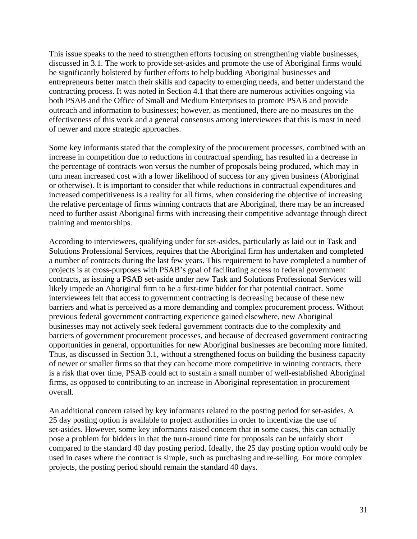This issue speaks to the need to strengthen efforts focusing on strengthening viable businesses, discussed in 3.1. The work to provide set-asides and promote the use of Aboriginal firms would be significantly bolstered by further efforts to help budding Aboriginal businesses and entrepreneurs better match their skills and capacity to emerging needs, and better understand the contracting process. It was noted in Section 4.1 that there are numerous activities ongoing via both PSAB and the Office of Small and Medium Enterprises to promote PSAB and provide outreach and information to businesses; however, as mentioned, there are no measures on the effectiveness of this work and a general consensus among interviewees that this is most in need of newer and more strategic approaches.

Some key informants stated that the complexity of the procurement processes, combined with an increase in competition due to reductions in contractual spending, has resulted in a decrease in the percentage of contracts won versus the number of proposals being produced, which may in turn mean increased cost with a lower likelihood of success for any given business (Aboriginal or otherwise). It is important to consider that while reductions in contractual expenditures and increased competitiveness is a reality for all firms, when considering the objective of increasing the relative percentage of firms winning contracts that are Aboriginal, there may be an increased need to further assist Aboriginal firms with increasing their competitive advantage through direct training and mentorships.

According to interviewees, qualifying under for set-asides, particularly as laid out in Task and Solutions Professional Services, requires that the Aboriginal firm has undertaken and completed a number of contracts during the last few years. This requirement to have completed a number of projects is at cross-purposes with PSAB's goal of facilitating access to federal government contracts, as issuing a PSAB set-aside under new Task and Solutions Professional Services will likely impede an Aboriginal firm to be a first-time bidder for that potential contract. Some interviewees felt that access to government contracting is decreasing because of these new barriers and what is perceived as a more demanding and complex procurement process. Without previous federal government contracting experience gained elsewhere, new Aboriginal businesses may not actively seek federal government contracts due to the complexity and barriers of government procurement processes, and because of decreased government contracting opportunities in general, opportunities for new Aboriginal businesses are becoming more limited. Thus, as discussed in Section 3.1, without a strengthened focus on building the business capacity of newer or smaller firms so that they can become more competitive in winning contracts, there is a risk that over time, PSAB could act to sustain a small number of well-established Aboriginal firms, as opposed to contributing to an increase in Aboriginal representation in procurement overall.

An additional concern raised by key informants related to the posting period for set-asides. A 25 day posting option is available to project authorities in order to incentivize the use of set-asides. However, some key informants raised concern that in some cases, this can actually pose a problem for bidders in that the turn-around time for proposals can be unfairly short compared to the standard 40 day posting period. Ideally, the 25 day posting option would only be used in cases where the contract is simple, such as purchasing and re-selling. For more complex projects, the posting period should remain the standard 40 days.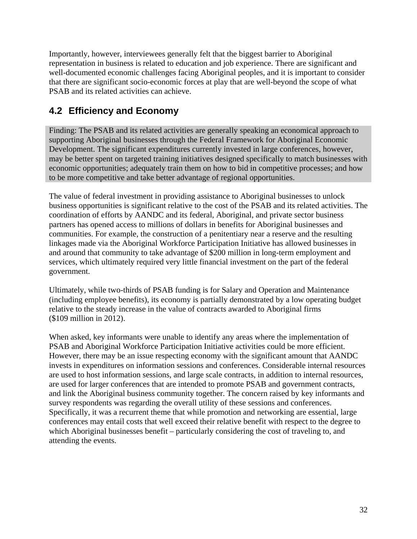Importantly, however, interviewees generally felt that the biggest barrier to Aboriginal representation in business is related to education and job experience. There are significant and well-documented economic challenges facing Aboriginal peoples, and it is important to consider that there are significant socio-economic forces at play that are well-beyond the scope of what PSAB and its related activities can achieve.

## **4.2 Efficiency and Economy**

Finding: The PSAB and its related activities are generally speaking an economical approach to supporting Aboriginal businesses through the Federal Framework for Aboriginal Economic Development. The significant expenditures currently invested in large conferences, however, may be better spent on targeted training initiatives designed specifically to match businesses with economic opportunities; adequately train them on how to bid in competitive processes; and how to be more competitive and take better advantage of regional opportunities.

The value of federal investment in providing assistance to Aboriginal businesses to unlock business opportunities is significant relative to the cost of the PSAB and its related activities. The coordination of efforts by AANDC and its federal, Aboriginal, and private sector business partners has opened access to millions of dollars in benefits for Aboriginal businesses and communities. For example, the construction of a penitentiary near a reserve and the resulting linkages made via the Aboriginal Workforce Participation Initiative has allowed businesses in and around that community to take advantage of \$200 million in long-term employment and services, which ultimately required very little financial investment on the part of the federal government.

Ultimately, while two-thirds of PSAB funding is for Salary and Operation and Maintenance (including employee benefits), its economy is partially demonstrated by a low operating budget relative to the steady increase in the value of contracts awarded to Aboriginal firms (\$109 million in 2012).

When asked, key informants were unable to identify any areas where the implementation of PSAB and Aboriginal Workforce Participation Initiative activities could be more efficient. However, there may be an issue respecting economy with the significant amount that AANDC invests in expenditures on information sessions and conferences. Considerable internal resources are used to host information sessions, and large scale contracts, in addition to internal resources, are used for larger conferences that are intended to promote PSAB and government contracts, and link the Aboriginal business community together. The concern raised by key informants and survey respondents was regarding the overall utility of these sessions and conferences. Specifically, it was a recurrent theme that while promotion and networking are essential, large conferences may entail costs that well exceed their relative benefit with respect to the degree to which Aboriginal businesses benefit – particularly considering the cost of traveling to, and attending the events.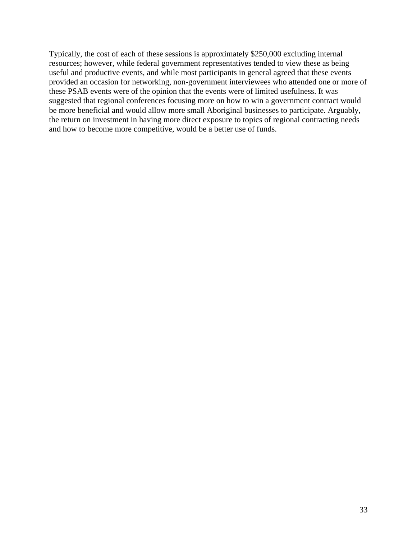Typically, the cost of each of these sessions is approximately \$250,000 excluding internal resources; however, while federal government representatives tended to view these as being useful and productive events, and while most participants in general agreed that these events provided an occasion for networking, non-government interviewees who attended one or more of these PSAB events were of the opinion that the events were of limited usefulness. It was suggested that regional conferences focusing more on how to win a government contract would be more beneficial and would allow more small Aboriginal businesses to participate. Arguably, the return on investment in having more direct exposure to topics of regional contracting needs and how to become more competitive, would be a better use of funds.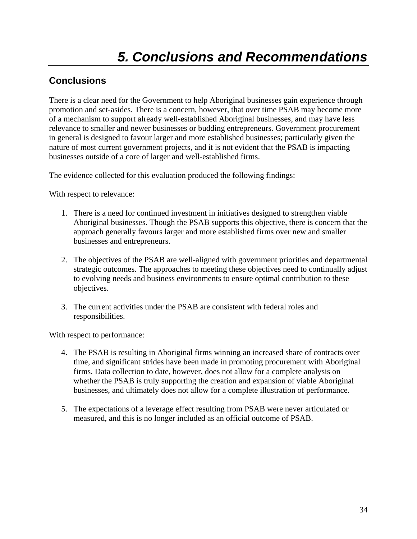## **Conclusions**

There is a clear need for the Government to help Aboriginal businesses gain experience through promotion and set-asides. There is a concern, however, that over time PSAB may become more of a mechanism to support already well-established Aboriginal businesses, and may have less relevance to smaller and newer businesses or budding entrepreneurs. Government procurement in general is designed to favour larger and more established businesses; particularly given the nature of most current government projects, and it is not evident that the PSAB is impacting businesses outside of a core of larger and well-established firms.

The evidence collected for this evaluation produced the following findings:

With respect to relevance:

- 1. There is a need for continued investment in initiatives designed to strengthen viable Aboriginal businesses. Though the PSAB supports this objective, there is concern that the approach generally favours larger and more established firms over new and smaller businesses and entrepreneurs.
- 2. The objectives of the PSAB are well-aligned with government priorities and departmental strategic outcomes. The approaches to meeting these objectives need to continually adjust to evolving needs and business environments to ensure optimal contribution to these objectives.
- 3. The current activities under the PSAB are consistent with federal roles and responsibilities.

With respect to performance:

- 4. The PSAB is resulting in Aboriginal firms winning an increased share of contracts over time, and significant strides have been made in promoting procurement with Aboriginal firms. Data collection to date, however, does not allow for a complete analysis on whether the PSAB is truly supporting the creation and expansion of viable Aboriginal businesses, and ultimately does not allow for a complete illustration of performance.
- 5. The expectations of a leverage effect resulting from PSAB were never articulated or measured, and this is no longer included as an official outcome of PSAB.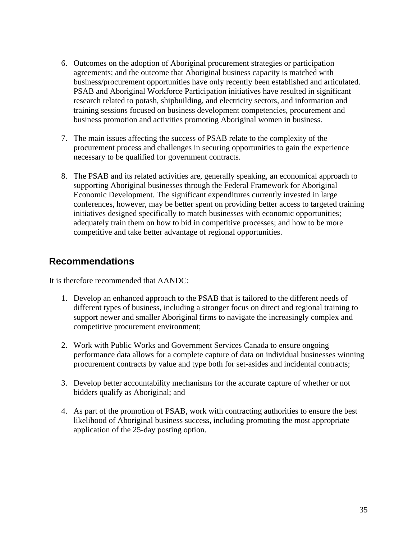- 6. Outcomes on the adoption of Aboriginal procurement strategies or participation agreements; and the outcome that Aboriginal business capacity is matched with business/procurement opportunities have only recently been established and articulated. PSAB and Aboriginal Workforce Participation initiatives have resulted in significant research related to potash, shipbuilding, and electricity sectors, and information and training sessions focused on business development competencies, procurement and business promotion and activities promoting Aboriginal women in business.
- 7. The main issues affecting the success of PSAB relate to the complexity of the procurement process and challenges in securing opportunities to gain the experience necessary to be qualified for government contracts.
- 8. The PSAB and its related activities are, generally speaking, an economical approach to supporting Aboriginal businesses through the Federal Framework for Aboriginal Economic Development. The significant expenditures currently invested in large conferences, however, may be better spent on providing better access to targeted training initiatives designed specifically to match businesses with economic opportunities; adequately train them on how to bid in competitive processes; and how to be more competitive and take better advantage of regional opportunities.

### **Recommendations**

It is therefore recommended that AANDC:

- 1. Develop an enhanced approach to the PSAB that is tailored to the different needs of different types of business, including a stronger focus on direct and regional training to support newer and smaller Aboriginal firms to navigate the increasingly complex and competitive procurement environment;
- 2. Work with Public Works and Government Services Canada to ensure ongoing performance data allows for a complete capture of data on individual businesses winning procurement contracts by value and type both for set-asides and incidental contracts;
- 3. Develop better accountability mechanisms for the accurate capture of whether or not bidders qualify as Aboriginal; and
- 4. As part of the promotion of PSAB, work with contracting authorities to ensure the best likelihood of Aboriginal business success, including promoting the most appropriate application of the 25-day posting option.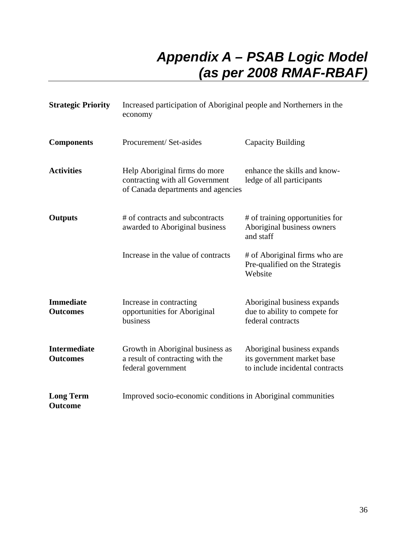## *Appendix A – PSAB Logic Model (as per 2008 RMAF-RBAF)*

| <b>Strategic Priority</b>              | Increased participation of Aboriginal people and Northerners in the<br>economy                         |                                                                                              |
|----------------------------------------|--------------------------------------------------------------------------------------------------------|----------------------------------------------------------------------------------------------|
| <b>Components</b>                      | Procurement/Set-asides                                                                                 | Capacity Building                                                                            |
| <b>Activities</b>                      | Help Aboriginal firms do more<br>contracting with all Government<br>of Canada departments and agencies | enhance the skills and know-<br>ledge of all participants                                    |
| <b>Outputs</b>                         | # of contracts and subcontracts<br>awarded to Aboriginal business                                      | # of training opportunities for<br>Aboriginal business owners<br>and staff                   |
|                                        | Increase in the value of contracts                                                                     | # of Aboriginal firms who are<br>Pre-qualified on the Strategis<br>Website                   |
| <b>Immediate</b><br><b>Outcomes</b>    | Increase in contracting<br>opportunities for Aboriginal<br>business                                    | Aboriginal business expands<br>due to ability to compete for<br>federal contracts            |
| <b>Intermediate</b><br><b>Outcomes</b> | Growth in Aboriginal business as<br>a result of contracting with the<br>federal government             | Aboriginal business expands<br>its government market base<br>to include incidental contracts |
| <b>Long Term</b><br><b>Outcome</b>     | Improved socio-economic conditions in Aboriginal communities                                           |                                                                                              |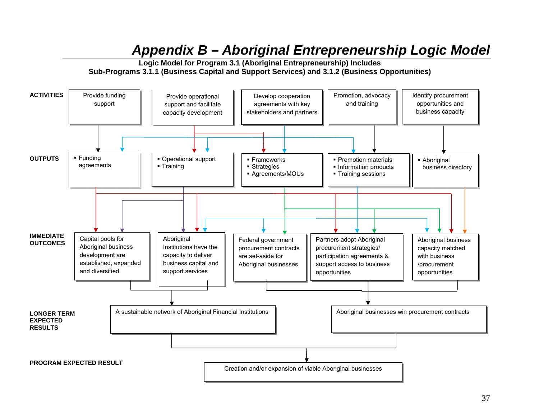## *Appendix B – Aboriginal Entrepreneurship Logic Model*



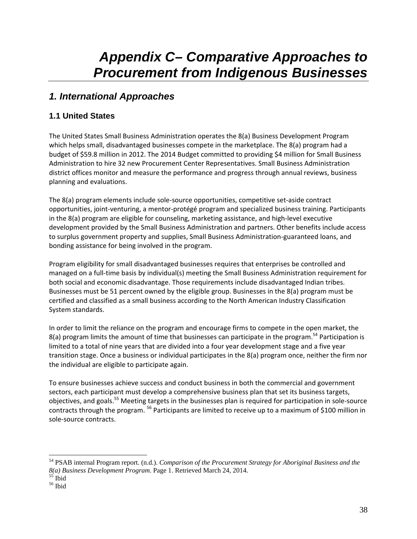## *Appendix C– Comparative Approaches to Procurement from Indigenous Businesses*

## *1. International Approaches*

### **1.1 United States**

The United States Small Business Administration operates the 8(a) Business Development Program which helps small, disadvantaged businesses compete in the marketplace. The 8(a) program had a budget of \$59.8 million in 2012. The 2014 Budget committed to providing \$4 million for Small Business Administration to hire 32 new Procurement Center Representatives. Small Business Administration district offices monitor and measure the performance and progress through annual reviews, business planning and evaluations.

The 8(a) program elements include sole‐source opportunities, competitive set‐aside contract opportunities, joint‐venturing, a mentor‐protégé program and specialized business training. Participants in the 8(a) program are eligible for counseling, marketing assistance, and high-level executive development provided by the Small Business Administration and partners. Other benefits include access to surplus government property and supplies, Small Business Administration‐guaranteed loans, and bonding assistance for being involved in the program.

Program eligibility for small disadvantaged businesses requires that enterprises be controlled and managed on a full‐time basis by individual(s) meeting the Small Business Administration requirement for both social and economic disadvantage. Those requirements include disadvantaged Indian tribes. Businesses must be 51 percent owned by the eligible group. Businesses in the 8(a) program must be certified and classified as a small business according to the North American Industry Classification System standards.

In order to limit the reliance on the program and encourage firms to compete in the open market, the 8(a) program limits the amount of time that businesses can participate in the program.<sup>54</sup> Participation is limited to a total of nine years that are divided into a four year development stage and a five year transition stage. Once a business or individual participates in the 8(a) program once, neither the firm nor the individual are eligible to participate again.

To ensure businesses achieve success and conduct business in both the commercial and government sectors, each participant must develop a comprehensive business plan that set its business targets, objectives, and goals.<sup>55</sup> Meeting targets in the businesses plan is required for participation in sole-source contracts through the program. <sup>56</sup> Participants are limited to receive up to a maximum of \$100 million in sole‐source contracts.

<sup>54</sup> PSAB internal Program report. (n.d.). *Comparison of the Procurement Strategy for Aboriginal Business and the 8(a) Business Development Program.* Page 1. Retrieved March 24, 2014. 55 Ibid

<sup>56</sup> Ibid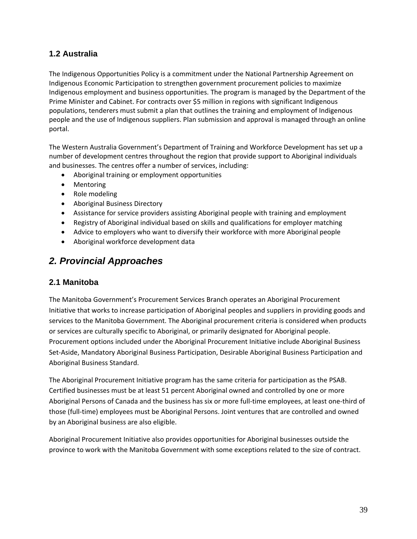#### **1.2 Australia**

The Indigenous Opportunities Policy is a commitment under the National Partnership Agreement on Indigenous Economic Participation to strengthen government procurement policies to maximize Indigenous employment and business opportunities. The program is managed by the Department of the Prime Minister and Cabinet. For contracts over \$5 million in regions with significant Indigenous populations, tenderers must submit a plan that outlines the training and employment of Indigenous people and the use of Indigenous suppliers. Plan submission and approval is managed through an online portal.

The Western Australia Government's Department of Training and Workforce Development has set up a number of development centres throughout the region that provide support to Aboriginal individuals and businesses. The centres offer a number of services, including:

- Aboriginal training or employment opportunities
- Mentoring
- Role modeling
- Aboriginal Business Directory
- Assistance for service providers assisting Aboriginal people with training and employment
- Registry of Aboriginal individual based on skills and qualifications for employer matching
- Advice to employers who want to diversify their workforce with more Aboriginal people
- Aboriginal workforce development data

### *2. Provincial Approaches*

#### **2.1 Manitoba**

The Manitoba Government's Procurement Services Branch operates an Aboriginal Procurement Initiative that works to increase participation of Aboriginal peoples and suppliers in providing goods and services to the Manitoba Government. The Aboriginal procurement criteria is considered when products or services are culturally specific to Aboriginal, or primarily designated for Aboriginal people. Procurement options included under the Aboriginal Procurement Initiative include Aboriginal Business Set‐Aside, Mandatory Aboriginal Business Participation, Desirable Aboriginal Business Participation and Aboriginal Business Standard.

The Aboriginal Procurement Initiative program has the same criteria for participation as the PSAB. Certified businesses must be at least 51 percent Aboriginal owned and controlled by one or more Aboriginal Persons of Canada and the business has six or more full‐time employees, at least one‐third of those (full‐time) employees must be Aboriginal Persons. Joint ventures that are controlled and owned by an Aboriginal business are also eligible.

Aboriginal Procurement Initiative also provides opportunities for Aboriginal businesses outside the province to work with the Manitoba Government with some exceptions related to the size of contract.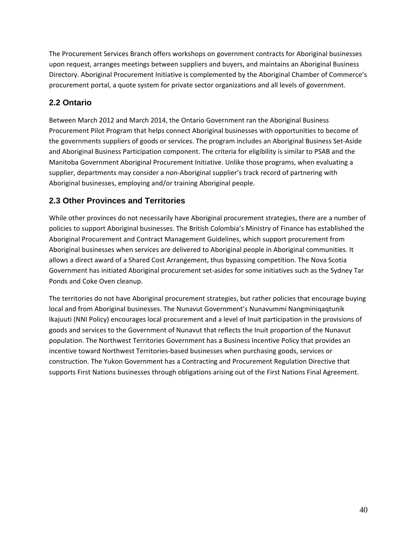The Procurement Services Branch offers workshops on government contracts for Aboriginal businesses upon request, arranges meetings between suppliers and buyers, and maintains an Aboriginal Business Directory. Aboriginal Procurement Initiative is complemented by the Aboriginal Chamber of Commerce's procurement portal, a quote system for private sector organizations and all levels of government.

#### **2.2 Ontario**

Between March 2012 and March 2014, the Ontario Government ran the Aboriginal Business Procurement Pilot Program that helps connect Aboriginal businesses with opportunities to become of the governments suppliers of goods or services. The program includes an Aboriginal Business Set‐Aside and Aboriginal Business Participation component. The criteria for eligibility is similar to PSAB and the Manitoba Government Aboriginal Procurement Initiative. Unlike those programs, when evaluating a supplier, departments may consider a non‐Aboriginal supplier's track record of partnering with Aboriginal businesses, employing and/or training Aboriginal people.

#### **2.3 Other Provinces and Territories**

While other provinces do not necessarily have Aboriginal procurement strategies, there are a number of policies to support Aboriginal businesses. The British Colombia's Ministry of Finance has established the Aboriginal Procurement and Contract Management Guidelines, which support procurement from Aboriginal businesses when services are delivered to Aboriginal people in Aboriginal communities. It allows a direct award of a Shared Cost Arrangement, thus bypassing competition. The Nova Scotia Government has initiated Aboriginal procurement set‐asides for some initiatives such as the Sydney Tar Ponds and Coke Oven cleanup.

The territories do not have Aboriginal procurement strategies, but rather policies that encourage buying local and from Aboriginal businesses. The Nunavut Government's Nunavummi Nangminiqaqtunik Ikajuuti (NNI Policy) encourages local procurement and a level of Inuit participation in the provisions of goods and services to the Government of Nunavut that reflects the Inuit proportion of the Nunavut population. The Northwest Territories Government has a Business Incentive Policy that provides an incentive toward Northwest Territories‐based businesses when purchasing goods, services or construction. The Yukon Government has a Contracting and Procurement Regulation Directive that supports First Nations businesses through obligations arising out of the First Nations Final Agreement.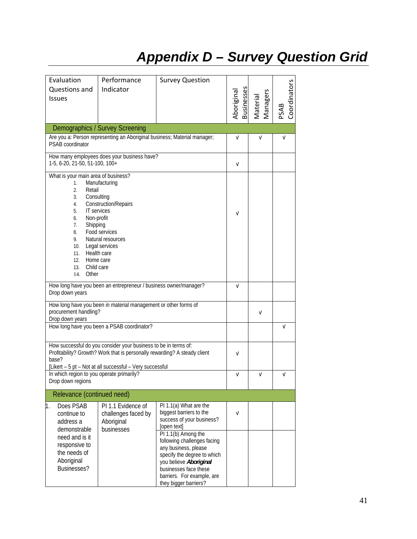## *Appendix D – Survey Question Grid*

| Evaluation                                | Performance                                                                                                                                  | <b>Survey Question</b>                                                   |                          |                      |                      |
|-------------------------------------------|----------------------------------------------------------------------------------------------------------------------------------------------|--------------------------------------------------------------------------|--------------------------|----------------------|----------------------|
| Questions and                             | Indicator                                                                                                                                    |                                                                          |                          |                      |                      |
| <b>Issues</b>                             |                                                                                                                                              |                                                                          |                          |                      |                      |
|                                           |                                                                                                                                              |                                                                          | Aboriginal<br>Businesses | Managers<br>Material | Coordinators<br>PSAB |
|                                           |                                                                                                                                              |                                                                          |                          |                      |                      |
|                                           | Demographics / Survey Screening                                                                                                              | Are you a: Person representing an Aboriginal business; Material manager; |                          |                      |                      |
| PSAB coordinator                          |                                                                                                                                              |                                                                          | V                        | ν                    | $\sqrt{ }$           |
| 1-5, 6-20, 21-50, 51-100, 100+            | How many employees does your business have?                                                                                                  |                                                                          | V                        |                      |                      |
| What is your main area of business?       |                                                                                                                                              |                                                                          |                          |                      |                      |
| 1.<br>$\overline{2}$ .<br>Retail          | Manufacturing                                                                                                                                |                                                                          |                          |                      |                      |
| 3.                                        | Consulting                                                                                                                                   |                                                                          |                          |                      |                      |
| 4.<br>5.                                  | <b>Construction/Repairs</b><br><b>IT</b> services                                                                                            |                                                                          |                          |                      |                      |
| Non-profit<br>6.                          |                                                                                                                                              |                                                                          | V                        |                      |                      |
| Shipping<br>7.<br>8.                      | Food services                                                                                                                                |                                                                          |                          |                      |                      |
| 9.                                        | Natural resources                                                                                                                            |                                                                          |                          |                      |                      |
| 10.                                       | Legal services                                                                                                                               |                                                                          |                          |                      |                      |
| Health care<br>11.<br>12.                 | Home care                                                                                                                                    |                                                                          |                          |                      |                      |
| Child care<br>13.                         |                                                                                                                                              |                                                                          |                          |                      |                      |
| Other<br>14.                              |                                                                                                                                              |                                                                          |                          |                      |                      |
| Drop down years                           | How long have you been an entrepreneur / business owner/manager?                                                                             |                                                                          | $\sqrt{ }$               |                      |                      |
|                                           | How long have you been in material management or other forms of                                                                              |                                                                          |                          |                      |                      |
| procurement handling?<br>Drop down years  |                                                                                                                                              |                                                                          |                          | ν                    |                      |
|                                           | How long have you been a PSAB coordinator?                                                                                                   |                                                                          |                          |                      | $\sqrt{ }$           |
|                                           |                                                                                                                                              |                                                                          |                          |                      |                      |
|                                           | How successful do you consider your business to be in terms of:<br>Profitability? Growth? Work that is personally rewarding? A steady client |                                                                          | V                        |                      |                      |
| base?                                     |                                                                                                                                              |                                                                          |                          |                      |                      |
| In which region to you operate primarily? | [Likert - 5 pt - Not at all successful - Very successful                                                                                     |                                                                          | $\sqrt{ }$               | ν                    | V                    |
| Drop down regions                         |                                                                                                                                              |                                                                          |                          |                      |                      |
|                                           | Relevance (continued need)                                                                                                                   |                                                                          |                          |                      |                      |
| Does PSAB<br>1.                           | PI 1.1 Evidence of                                                                                                                           | PI 1.1(a) What are the                                                   |                          |                      |                      |
| continue to<br>address a                  | challenges faced by<br>Aboriginal                                                                                                            | biggest barriers to the<br>success of your business?                     | $\sqrt{ }$               |                      |                      |
| demonstrable                              | businesses                                                                                                                                   | [open text]                                                              |                          |                      |                      |
| need and is it                            |                                                                                                                                              | PI 1.1(b) Among the<br>following challenges facing                       |                          |                      |                      |
| responsive to                             |                                                                                                                                              | any business, please                                                     |                          |                      |                      |
| the needs of<br>Aboriginal                |                                                                                                                                              | specify the degree to which                                              |                          |                      |                      |
| Businesses?                               |                                                                                                                                              | you believe Aboriginal<br>businesses face these                          |                          |                      |                      |
|                                           |                                                                                                                                              | barriers. For example, are                                               |                          |                      |                      |
|                                           |                                                                                                                                              | they bigger barriers?                                                    |                          |                      |                      |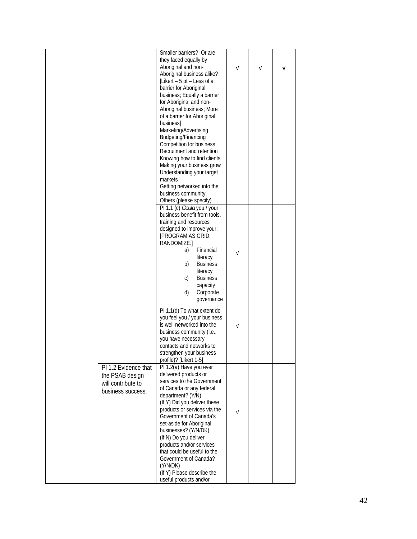|                                                                                    | Smaller barriers? Or are<br>they faced equally by<br>Aboriginal and non-<br>Aboriginal business alike?<br>[Likert - 5 pt - Less of a<br>barrier for Aboriginal<br>business; Equally a barrier<br>for Aboriginal and non-<br>Aboriginal business; More<br>of a barrier for Aboriginal<br>businessl<br>Marketing/Advertising<br>Budgeting/Financing<br>Competition for business<br>Recruitment and retention<br>Knowing how to find clients<br>Making your business grow<br>Understanding your target<br>markets | $\sqrt{ }$ | ν | ν |
|------------------------------------------------------------------------------------|----------------------------------------------------------------------------------------------------------------------------------------------------------------------------------------------------------------------------------------------------------------------------------------------------------------------------------------------------------------------------------------------------------------------------------------------------------------------------------------------------------------|------------|---|---|
|                                                                                    | Getting networked into the<br>business community<br>Others (please specify)<br>PI 1.1 (c) Could you / your<br>business benefit from tools,<br>training and resources                                                                                                                                                                                                                                                                                                                                           |            |   |   |
|                                                                                    | designed to improve your:<br>[PROGRAM AS GRID.<br>RANDOMIZE.]<br>Financial<br>a)<br>literacy<br><b>Business</b><br>b)<br>literacy<br><b>Business</b><br>C)<br>capacity<br>d)<br>Corporate<br>governance                                                                                                                                                                                                                                                                                                        | ν          |   |   |
|                                                                                    | PI 1.1(d) To what extent do<br>you feel you / your business<br>is well-networked into the<br>business community (i.e.,<br>you have necessary<br>contacts and networks to<br>strengthen your business<br>profile)? [Likert 1-5]                                                                                                                                                                                                                                                                                 | V          |   |   |
| PI 1.2 Evidence that<br>the PSAB design<br>will contribute to<br>business success. | PI 1.2(a) Have you ever<br>delivered products or<br>services to the Government<br>of Canada or any federal<br>department? (Y/N)<br>(If Y) Did you deliver these<br>products or services via the<br>Government of Canada's<br>set-aside for Aboriginal<br>businesses? (Y/N/DK)<br>(If N) Do you deliver<br>products and/or services<br>that could be useful to the<br>Government of Canada?<br>(Y/N/DK)<br>(If Y) Please describe the<br>useful products and/or                                                 | V          |   |   |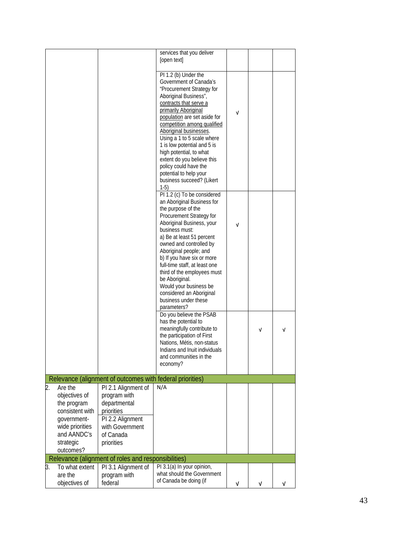|                                |                                                           | services that you deliver<br>[open text]                  |            |   |   |
|--------------------------------|-----------------------------------------------------------|-----------------------------------------------------------|------------|---|---|
|                                |                                                           |                                                           |            |   |   |
|                                |                                                           | PI 1.2 (b) Under the                                      |            |   |   |
|                                |                                                           | Government of Canada's                                    |            |   |   |
|                                |                                                           | "Procurement Strategy for                                 |            |   |   |
|                                |                                                           | Aboriginal Business",<br>contracts that serve a           |            |   |   |
|                                |                                                           | primarily Aboriginal                                      |            |   |   |
|                                |                                                           | population are set aside for                              | $\sqrt{ }$ |   |   |
|                                |                                                           | competition among qualified                               |            |   |   |
|                                |                                                           | Aboriginal businesses.                                    |            |   |   |
|                                |                                                           | Using a 1 to 5 scale where<br>1 is low potential and 5 is |            |   |   |
|                                |                                                           | high potential, to what                                   |            |   |   |
|                                |                                                           | extent do you believe this                                |            |   |   |
|                                |                                                           | policy could have the                                     |            |   |   |
|                                |                                                           | potential to help your<br>business succeed? (Likert       |            |   |   |
|                                |                                                           | $1-5)$                                                    |            |   |   |
|                                |                                                           | PI 1.2 (c) To be considered                               |            |   |   |
|                                |                                                           | an Aboriginal Business for                                |            |   |   |
|                                |                                                           | the purpose of the                                        |            |   |   |
|                                |                                                           | Procurement Strategy for<br>Aboriginal Business, your     |            |   |   |
|                                |                                                           | business must:                                            | $\sqrt{ }$ |   |   |
|                                |                                                           | a) Be at least 51 percent                                 |            |   |   |
|                                |                                                           | owned and controlled by                                   |            |   |   |
|                                |                                                           | Aboriginal people; and<br>b) If you have six or more      |            |   |   |
|                                |                                                           | full-time staff, at least one                             |            |   |   |
|                                |                                                           | third of the employees must                               |            |   |   |
|                                |                                                           | be Aboriginal.                                            |            |   |   |
|                                |                                                           | Would your business be                                    |            |   |   |
|                                |                                                           | considered an Aboriginal<br>business under these          |            |   |   |
|                                |                                                           | parameters?                                               |            |   |   |
|                                |                                                           | Do you believe the PSAB                                   |            |   |   |
|                                |                                                           | has the potential to                                      |            |   |   |
|                                |                                                           | meaningfully contribute to<br>the participation of First  |            | V | V |
|                                |                                                           | Nations, Métis, non-status                                |            |   |   |
|                                |                                                           | Indians and Inuit individuals                             |            |   |   |
|                                |                                                           | and communities in the                                    |            |   |   |
|                                |                                                           | economy?                                                  |            |   |   |
|                                | Relevance (alignment of outcomes with federal priorities) |                                                           |            |   |   |
| 2.<br>Are the                  | PI 2.1 Alignment of                                       | N/A                                                       |            |   |   |
| objectives of                  | program with                                              |                                                           |            |   |   |
| the program                    | departmental                                              |                                                           |            |   |   |
| consistent with                | priorities                                                |                                                           |            |   |   |
| government-<br>wide priorities | PI 2.2 Alignment<br>with Government                       |                                                           |            |   |   |
| and AANDC's                    | of Canada                                                 |                                                           |            |   |   |
| strategic                      | priorities                                                |                                                           |            |   |   |
| outcomes?                      |                                                           |                                                           |            |   |   |
|                                | Relevance (alignment of roles and responsibilities)       |                                                           |            |   |   |
| To what extent<br>3.           | PI 3.1 Alignment of                                       | PI 3.1(a) In your opinion,                                |            |   |   |
| are the                        | program with                                              | what should the Government<br>of Canada be doing (if      |            |   |   |
| objectives of                  | federal                                                   |                                                           | V          | v | v |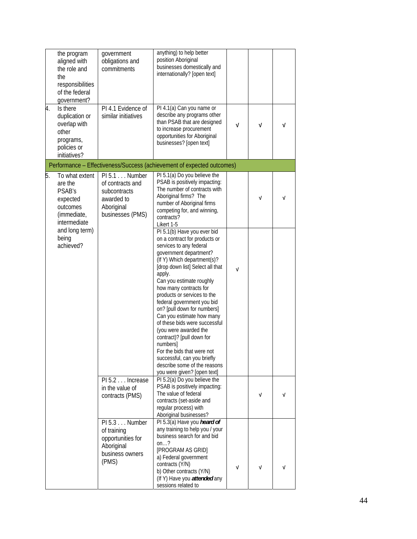| 4. | the program<br>aligned with<br>the role and<br>the<br>responsibilities<br>of the federal<br>government?<br>Is there<br>duplication or | government<br>obligations and<br>commitments<br>PI 4.1 Evidence of<br>similar initiatives         | anything) to help better<br>position Aboriginal<br>businesses domestically and<br>internationally? [open text]<br>PI 4.1(a) Can you name or<br>describe any programs other                                                                                                                                                                                                                                                                                                                                                                                                                                   |            |   |            |
|----|---------------------------------------------------------------------------------------------------------------------------------------|---------------------------------------------------------------------------------------------------|--------------------------------------------------------------------------------------------------------------------------------------------------------------------------------------------------------------------------------------------------------------------------------------------------------------------------------------------------------------------------------------------------------------------------------------------------------------------------------------------------------------------------------------------------------------------------------------------------------------|------------|---|------------|
|    | overlap with<br>other<br>programs,<br>policies or<br>initiatives?                                                                     |                                                                                                   | than PSAB that are designed<br>to increase procurement<br>opportunities for Aboriginal<br>businesses? [open text]                                                                                                                                                                                                                                                                                                                                                                                                                                                                                            | v          | Λ | v          |
|    |                                                                                                                                       |                                                                                                   | Performance - Effectiveness/Success (achievement of expected outcomes)                                                                                                                                                                                                                                                                                                                                                                                                                                                                                                                                       |            |   |            |
| 5. | To what extent<br>are the<br>PSAB's<br>expected<br>outcomes<br>(immediate,<br>intermediate                                            | PI 5.1 Number<br>of contracts and<br>subcontracts<br>awarded to<br>Aboriginal<br>businesses (PMS) | PI 5.1(a) Do you believe the<br>PSAB is positively impacting:<br>The number of contracts with<br>Aboriginal firms? The<br>number of Aboriginal firms<br>competing for, and winning,<br>contracts?<br>Likert 1-5                                                                                                                                                                                                                                                                                                                                                                                              |            | V | $\sqrt{ }$ |
|    | and long term)<br>being<br>achieved?                                                                                                  |                                                                                                   | PI 5.1(b) Have you ever bid<br>on a contract for products or<br>services to any federal<br>government department?<br>(If Y) Which department(s)?<br>[drop down list] Select all that<br>apply.<br>Can you estimate roughly<br>how many contracts for<br>products or services to the<br>federal government you bid<br>on? [pull down for numbers]<br>Can you estimate how many<br>of these bids were successful<br>(you were awarded the<br>contract)? [pull down for<br>numbers]<br>For the bids that were not<br>successful, can you briefly<br>describe some of the reasons<br>you were given? [open text] | $\sqrt{ }$ |   |            |
|    |                                                                                                                                       | PI 5.2 Increase<br>in the value of<br>contracts (PMS)                                             | PI 5.2(a) Do you believe the<br>PSAB is positively impacting:<br>The value of federal<br>contracts (set-aside and<br>regular process) with<br>Aboriginal businesses?                                                                                                                                                                                                                                                                                                                                                                                                                                         |            | v |            |
|    |                                                                                                                                       | PI 5.3 Number<br>of training<br>opportunities for<br>Aboriginal<br>business owners<br>(PMS)       | PI 5.3(a) Have you heard of<br>any training to help you / your<br>business search for and bid<br>on?<br>[PROGRAM AS GRID]<br>a) Federal government<br>contracts (Y/N)<br>b) Other contracts (Y/N)                                                                                                                                                                                                                                                                                                                                                                                                            | $\sqrt{ }$ | V | V          |
|    |                                                                                                                                       |                                                                                                   | (If Y) Have you <i>attended</i> any<br>sessions related to                                                                                                                                                                                                                                                                                                                                                                                                                                                                                                                                                   |            |   |            |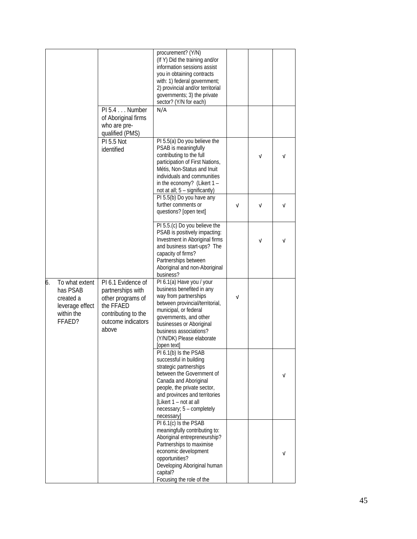|                                                                                          | PI 5.4 Number                                                                                                                   | procurement? (Y/N)<br>(If Y) Did the training and/or<br>information sessions assist<br>you in obtaining contracts<br>with: 1) federal government;<br>2) provincial and/or territorial<br>governments; 3) the private<br>sector? (Y/N for each)<br>N/A                   |            |            |   |
|------------------------------------------------------------------------------------------|---------------------------------------------------------------------------------------------------------------------------------|-------------------------------------------------------------------------------------------------------------------------------------------------------------------------------------------------------------------------------------------------------------------------|------------|------------|---|
|                                                                                          | of Aboriginal firms<br>who are pre-<br>qualified (PMS)                                                                          |                                                                                                                                                                                                                                                                         |            |            |   |
|                                                                                          | <b>PI 5.5 Not</b><br>identified                                                                                                 | PI 5.5(a) Do you believe the<br>PSAB is meaningfully<br>contributing to the full<br>participation of First Nations,<br>Métis, Non-Status and Inuit<br>individuals and communities<br>in the economy? (Likert $1 -$<br>not at all; 5 - significantly)                    |            | $\sqrt{ }$ | v |
|                                                                                          |                                                                                                                                 | PI 5.5(b) Do you have any<br>further comments or<br>questions? [open text]                                                                                                                                                                                              | $\sqrt{ }$ | $\sqrt{ }$ | v |
|                                                                                          |                                                                                                                                 | PI 5.5.(c) Do you believe the<br>PSAB is positively impacting:<br>Investment in Aboriginal firms<br>and business start-ups? The<br>capacity of firms?<br>Partnerships between<br>Aboriginal and non-Aboriginal<br>business?                                             |            | v          | V |
| 6.<br>To what extent<br>has PSAB<br>created a<br>leverage effect<br>within the<br>FFAED? | PI 6.1 Evidence of<br>partnerships with<br>other programs of<br>the FFAED<br>contributing to the<br>outcome indicators<br>above | PI 6.1(a) Have you / your<br>business benefited in any<br>way from partnerships<br>between provincial/territorial,<br>municipal, or federal<br>governments, and other<br>businesses or Aboriginal<br>business associations?<br>(Y/N/DK) Please elaborate<br>[open text] | ν          |            |   |
|                                                                                          |                                                                                                                                 | PI 6.1(b) Is the PSAB<br>successful in building<br>strategic partnerships<br>between the Government of<br>Canada and Aboriginal<br>people, the private sector,<br>and provinces and territories<br>[Likert 1 - not at all<br>necessary; 5 - completely<br>necessary]    |            |            | v |
|                                                                                          |                                                                                                                                 | PI $6.\overline{1(c)}$ Is the PSAB<br>meaningfully contributing to:<br>Aboriginal entrepreneurship?<br>Partnerships to maximise<br>economic development<br>opportunities?<br>Developing Aboriginal human<br>capital?<br>Focusing the role of the                        |            |            | v |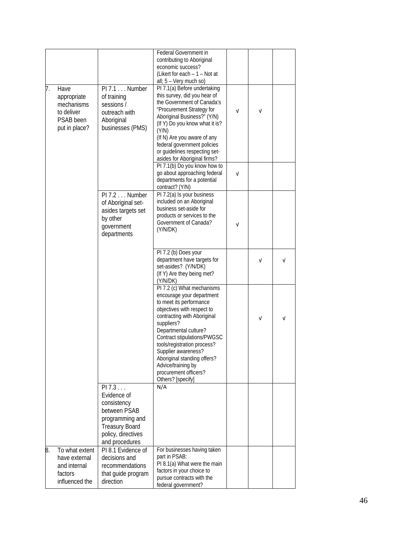|    |                                                                               |                                                                                                                                          | Federal Government in<br>contributing to Aboriginal<br>economic success?<br>(Likert for each $-1$ – Not at<br>all; 5 - Very much so)                                                                                                                                                                                                                                           |            |   |   |
|----|-------------------------------------------------------------------------------|------------------------------------------------------------------------------------------------------------------------------------------|--------------------------------------------------------------------------------------------------------------------------------------------------------------------------------------------------------------------------------------------------------------------------------------------------------------------------------------------------------------------------------|------------|---|---|
| 7. | Have<br>appropriate<br>mechanisms<br>to deliver<br>PSAB been<br>put in place? | PI 7.1 Number<br>of training<br>sessions /<br>outreach with<br>Aboriginal<br>businesses (PMS)                                            | PI 7.1(a) Before undertaking<br>this survey, did you hear of<br>the Government of Canada's<br>"Procurement Strategy for<br>Aboriginal Business?" (Y/N)<br>(If Y) Do you know what it is?<br>(Y/N)<br>(If N) Are you aware of any<br>federal government policies<br>or guidelines respecting set-<br>asides for Aboriginal firms?<br>PI 7.1(b) Do you know how to               | V          | ν |   |
|    |                                                                               |                                                                                                                                          | go about approaching federal<br>departments for a potential<br>contract? (Y/N)                                                                                                                                                                                                                                                                                                 | $\sqrt{2}$ |   |   |
|    |                                                                               | PI 7.2 Number<br>of Aboriginal set-<br>asides targets set<br>by other<br>government<br>departments                                       | PI 7.2(a) Is your business<br>included on an Aboriginal<br>business set-aside for<br>products or services to the<br>Government of Canada?<br>(Y/N/DK)                                                                                                                                                                                                                          | ν          |   |   |
|    |                                                                               |                                                                                                                                          | PI 7.2 (b) Does your<br>department have targets for<br>set-asides? (Y/N/DK)<br>(If Y) Are they being met?<br>(Y/N/DK)                                                                                                                                                                                                                                                          |            | ν | ν |
|    |                                                                               |                                                                                                                                          | PI 7.2 (c) What mechanisms<br>encourage your department<br>to meet its performance<br>objectives with respect to<br>contracting with Aboriginal<br>suppliers?<br>Departmental culture?<br>Contract stipulations/PWGSC<br>tools/registration process?<br>Supplier awareness?<br>Aboriginal standing offers?<br>Advice/training by<br>procurement officers?<br>Others? [specify] |            | ν | v |
|    |                                                                               | PI 7.3<br>Evidence of<br>consistency<br>between PSAB<br>programming and<br><b>Treasury Board</b><br>policy, directives<br>and procedures | N/A                                                                                                                                                                                                                                                                                                                                                                            |            |   |   |
| 8. | To what extent<br>have external<br>and internal<br>factors<br>influenced the  | PI 8.1 Evidence of<br>decisions and<br>recommendations<br>that guide program<br>direction                                                | For businesses having taken<br>part in PSAB:<br>PI 8.1(a) What were the main<br>factors in your choice to<br>pursue contracts with the<br>federal government?                                                                                                                                                                                                                  |            |   |   |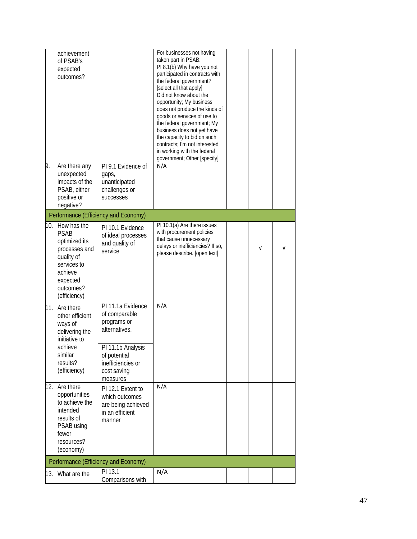|    | achievement<br>of PSAB's<br>expected<br>outcomes?                                                                                                 |                                                                                                                                                         | For businesses not having<br>taken part in PSAB:<br>PI 8.1(b) Why have you not<br>participated in contracts with<br>the federal government?<br>[select all that apply]<br>Did not know about the<br>opportunity; My business<br>does not produce the kinds of<br>goods or services of use to<br>the federal government; My<br>business does not yet have<br>the capacity to bid on such<br>contracts; I'm not interested<br>in working with the federal<br>government; Other [specify] |   |            |
|----|---------------------------------------------------------------------------------------------------------------------------------------------------|---------------------------------------------------------------------------------------------------------------------------------------------------------|----------------------------------------------------------------------------------------------------------------------------------------------------------------------------------------------------------------------------------------------------------------------------------------------------------------------------------------------------------------------------------------------------------------------------------------------------------------------------------------|---|------------|
| 9. | Are there any<br>unexpected<br>impacts of the<br>PSAB, either<br>positive or<br>negative?                                                         | PI 9.1 Evidence of<br>gaps,<br>unanticipated<br>challenges or<br>successes                                                                              | N/A                                                                                                                                                                                                                                                                                                                                                                                                                                                                                    |   |            |
|    |                                                                                                                                                   | Performance (Efficiency and Economy)                                                                                                                    |                                                                                                                                                                                                                                                                                                                                                                                                                                                                                        |   |            |
|    | 10. How has the<br><b>PSAB</b><br>optimized its<br>processes and<br>quality of<br>services to<br>achieve<br>expected<br>outcomes?<br>(efficiency) | PI 10.1 Evidence<br>of ideal processes<br>and quality of<br>service                                                                                     | PI 10.1(a) Are there issues<br>with procurement policies<br>that cause unnecessary<br>delays or inefficiencies? If so,<br>please describe. [open text]                                                                                                                                                                                                                                                                                                                                 | ν | $\sqrt{ }$ |
|    | 11. Are there<br>other efficient<br>ways of<br>delivering the<br>initiative to<br>achieve<br>similar<br>results?<br>(efficiency)                  | PI 11.1a Evidence<br>of comparable<br>programs or<br>alternatives.<br>PI 11.1b Analysis<br>of potential<br>inefficiencies or<br>cost saving<br>measures | N/A                                                                                                                                                                                                                                                                                                                                                                                                                                                                                    |   |            |
|    | 12. Are there<br>opportunities<br>to achieve the<br>intended<br>results of<br>PSAB using<br>fewer<br>resources?<br>(economy)                      | PI 12.1 Extent to<br>which outcomes<br>are being achieved<br>in an efficient<br>manner                                                                  | N/A                                                                                                                                                                                                                                                                                                                                                                                                                                                                                    |   |            |
|    |                                                                                                                                                   | Performance (Efficiency and Economy)                                                                                                                    |                                                                                                                                                                                                                                                                                                                                                                                                                                                                                        |   |            |
|    | 13. What are the                                                                                                                                  | PI 13.1<br>Comparisons with                                                                                                                             | N/A                                                                                                                                                                                                                                                                                                                                                                                                                                                                                    |   |            |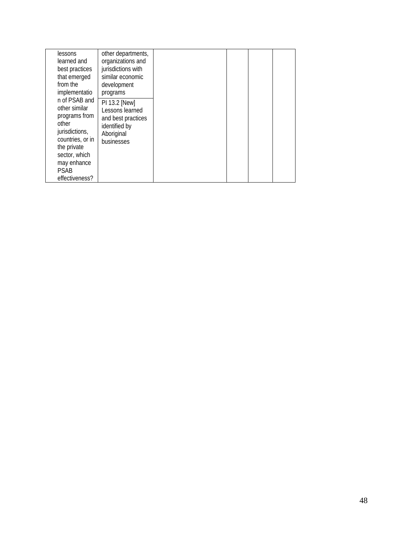| lessons                                                                                                                                                                        | other departments,                                                                                  |  |  |
|--------------------------------------------------------------------------------------------------------------------------------------------------------------------------------|-----------------------------------------------------------------------------------------------------|--|--|
| learned and                                                                                                                                                                    | organizations and                                                                                   |  |  |
| best practices                                                                                                                                                                 | jurisdictions with                                                                                  |  |  |
| that emerged                                                                                                                                                                   | similar economic                                                                                    |  |  |
| from the                                                                                                                                                                       | development                                                                                         |  |  |
| implementatio                                                                                                                                                                  | programs                                                                                            |  |  |
| n of PSAB and<br>other similar<br>programs from<br>other<br>jurisdictions,<br>countries, or in<br>the private<br>sector, which<br>may enhance<br><b>PSAB</b><br>effectiveness? | PI 13.2 [New]<br>Lessons learned<br>and best practices<br>identified by<br>Aboriginal<br>businesses |  |  |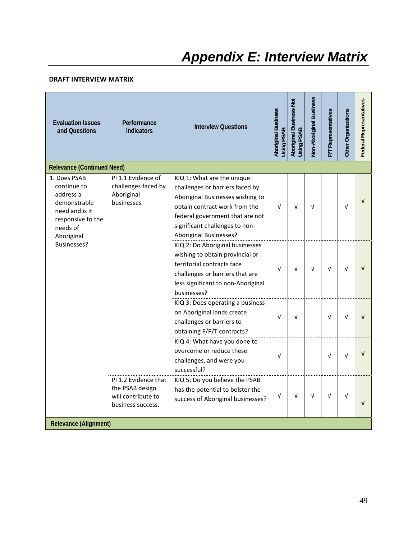#### **DRAFT INTERVIEW MATRIX**

| <b>Evaluation Issues</b><br>and Questions                                                                                 | Performance<br><b>Indicators</b>                                                   | <b>Interview Questions</b>                                                                                                                                                                                                               | <b>Aboriginal Business</b><br>Using PSAB | Aboriginal Business Not<br>Using PSAB | Non-Aboriginal Business | P/T Representatives | Other Organizations | Federal Representatives |
|---------------------------------------------------------------------------------------------------------------------------|------------------------------------------------------------------------------------|------------------------------------------------------------------------------------------------------------------------------------------------------------------------------------------------------------------------------------------|------------------------------------------|---------------------------------------|-------------------------|---------------------|---------------------|-------------------------|
| <b>Relevance (Continued Need)</b>                                                                                         |                                                                                    |                                                                                                                                                                                                                                          |                                          |                                       |                         |                     |                     |                         |
| 1. Does PSAB<br>continue to<br>address a<br>demonstrable<br>need and is it<br>responsive to the<br>needs of<br>Aboriginal | PI 1.1 Evidence of<br>challenges faced by<br>Aboriginal<br>businesses              | KIQ 1: What are the unique<br>challenges or barriers faced by<br>Aboriginal Businesses wishing to<br>obtain contract work from the<br>federal government that are not<br>significant challenges to non-<br><b>Aboriginal Businesses?</b> | $\sqrt{ }$                               | $\sqrt{ }$                            | V                       |                     | V                   |                         |
| Businesses?                                                                                                               |                                                                                    | KIQ 2: Do Aboriginal businesses<br>wishing to obtain provincial or<br>territorial contracts face<br>challenges or barriers that are<br>less significant to non-Aboriginal<br>businesses?                                                 | $\sqrt{ }$                               | ν                                     | $\sqrt{ }$              | v                   | ν                   |                         |
|                                                                                                                           |                                                                                    | KIQ 3: Does operating a business<br>on Aboriginal lands create<br>challenges or barriers to<br>obtaining F/P/T contracts?                                                                                                                | $\sqrt{ }$                               | ν                                     |                         | ν                   |                     |                         |
|                                                                                                                           |                                                                                    | KIQ 4: What have you done to<br>overcome or reduce these<br>challenges, and were you<br>successful?                                                                                                                                      | v                                        |                                       |                         | ν                   | ν                   |                         |
| <b>Relevance (Alignment)</b>                                                                                              | PI 1.2 Evidence that<br>the PSAB design<br>will contribute to<br>business success. | KIQ 5: Do you believe the PSAB<br>has the potential to bolster the<br>success of Aboriginal businesses?                                                                                                                                  | $\sqrt{ }$                               | ν                                     | $\sqrt{ }$              | V                   | V                   |                         |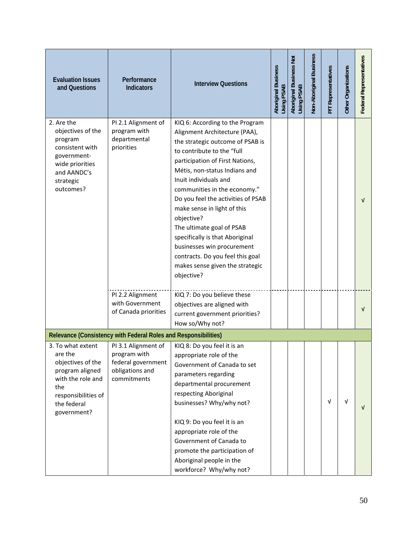| <b>Evaluation Issues</b><br>and Questions                                                                                                             | Performance<br><b>Indicators</b>                                                            | <b>Interview Questions</b>                                                                                                                                                                                                                                                                                                                                                                                                                                                                                                            | <b>Aboriginal Business</b><br>Using PSAB | Aboriginal Business Not<br>Using PSAB | Non-Aboriginal Business | P/T Representatives | Other Organizations | Federal Representatives |
|-------------------------------------------------------------------------------------------------------------------------------------------------------|---------------------------------------------------------------------------------------------|---------------------------------------------------------------------------------------------------------------------------------------------------------------------------------------------------------------------------------------------------------------------------------------------------------------------------------------------------------------------------------------------------------------------------------------------------------------------------------------------------------------------------------------|------------------------------------------|---------------------------------------|-------------------------|---------------------|---------------------|-------------------------|
| 2. Are the<br>objectives of the<br>program<br>consistent with<br>government-<br>wide priorities<br>and AANDC's<br>strategic<br>outcomes?              | PI 2.1 Alignment of<br>program with<br>departmental<br>priorities                           | KIQ 6: According to the Program<br>Alignment Architecture (PAA),<br>the strategic outcome of PSAB is<br>to contribute to the "full<br>participation of First Nations,<br>Métis, non-status Indians and<br>Inuit individuals and<br>communities in the economy."<br>Do you feel the activities of PSAB<br>make sense in light of this<br>objective?<br>The ultimate goal of PSAB<br>specifically is that Aboriginal<br>businesses win procurement<br>contracts. Do you feel this goal<br>makes sense given the strategic<br>objective? |                                          |                                       |                         |                     |                     | $\sqrt{ }$              |
|                                                                                                                                                       | PI 2.2 Alignment<br>with Government<br>of Canada priorities                                 | KIQ 7: Do you believe these<br>objectives are aligned with<br>current government priorities?<br>How so/Why not?                                                                                                                                                                                                                                                                                                                                                                                                                       |                                          |                                       |                         |                     |                     | V                       |
|                                                                                                                                                       | Relevance (Consistency with Federal Roles and Responsibilities)                             |                                                                                                                                                                                                                                                                                                                                                                                                                                                                                                                                       |                                          |                                       |                         |                     |                     |                         |
| 3. To what extent<br>are the<br>objectives of the<br>program aligned<br>with the role and<br>the<br>responsibilities of<br>the federal<br>government? | PI 3.1 Alignment of<br>program with<br>federal government<br>obligations and<br>commitments | KIQ 8: Do you feel it is an<br>appropriate role of the<br>Government of Canada to set<br>parameters regarding<br>departmental procurement<br>respecting Aboriginal<br>businesses? Why/why not?<br>KIQ 9: Do you feel it is an<br>appropriate role of the<br>Government of Canada to<br>promote the participation of<br>Aboriginal people in the<br>workforce? Why/why not?                                                                                                                                                            |                                          |                                       |                         | V                   | V                   | $\sqrt{ }$              |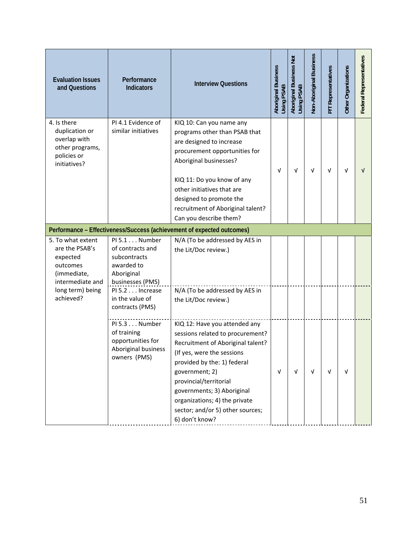| <b>Evaluation Issues</b><br>and Questions                                                       | Performance<br><b>Indicators</b>                                                                  | <b>Interview Questions</b>                                                                                                                                                                                                                                                                                                           | <b>Aboriginal Business</b><br>Using PSAB | Aboriginal Business Not<br>Using PSAB | Non-Aboriginal Business | P/T Representatives | Other Organizations | Federal Representatives |
|-------------------------------------------------------------------------------------------------|---------------------------------------------------------------------------------------------------|--------------------------------------------------------------------------------------------------------------------------------------------------------------------------------------------------------------------------------------------------------------------------------------------------------------------------------------|------------------------------------------|---------------------------------------|-------------------------|---------------------|---------------------|-------------------------|
| 4. Is there<br>duplication or<br>overlap with<br>other programs,<br>policies or<br>initiatives? | PI 4.1 Evidence of<br>similar initiatives                                                         | KIQ 10: Can you name any<br>programs other than PSAB that<br>are designed to increase<br>procurement opportunities for<br>Aboriginal businesses?<br>KIQ 11: Do you know of any<br>other initiatives that are<br>designed to promote the<br>recruitment of Aboriginal talent?<br>Can you describe them?                               | v                                        | ν                                     | v                       | ν                   | v                   | V                       |
|                                                                                                 |                                                                                                   | Performance - Effectiveness/Success (achievement of expected outcomes)                                                                                                                                                                                                                                                               |                                          |                                       |                         |                     |                     |                         |
| 5. To what extent<br>are the PSAB's<br>expected<br>outcomes<br>(immediate,<br>intermediate and  | PI 5.1 Number<br>of contracts and<br>subcontracts<br>awarded to<br>Aboriginal<br>businesses (PMS) | N/A (To be addressed by AES in<br>the Lit/Doc review.)                                                                                                                                                                                                                                                                               |                                          |                                       |                         |                     |                     |                         |
| long term) being<br>achieved?                                                                   | PI 5.2 Increase<br>in the value of<br>contracts (PMS)                                             | N/A (To be addressed by AES in<br>the Lit/Doc review.)                                                                                                                                                                                                                                                                               |                                          |                                       |                         |                     |                     |                         |
|                                                                                                 | PI 5.3 Number<br>of training<br>opportunities for<br>Aboriginal business<br>owners (PMS)          | KIQ 12: Have you attended any<br>sessions related to procurement?<br>Recruitment of Aboriginal talent?<br>(If yes, were the sessions<br>provided by the: 1) federal<br>government; 2)<br>provincial/territorial<br>governments; 3) Aboriginal<br>organizations; 4) the private<br>sector; and/or 5) other sources;<br>6) don't know? | $\sqrt{ }$                               | $\sqrt{ }$                            | $\sqrt{ }$              | V                   | V                   |                         |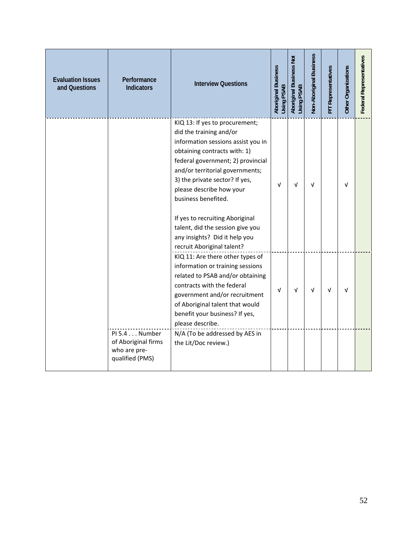| <b>Evaluation Issues</b><br>and Questions | Performance<br><b>Indicators</b>                                        | <b>Interview Questions</b>                                                                                                                                                                                                                                                                                                                                                                                                         | <b>Aboriginal Business</b><br>Using PSAB | Aboriginal Business Not<br>Using PSAB | Non-Aboriginal Business | P/T Representatives | Other Organizations | <b>Federal Representatives</b> |
|-------------------------------------------|-------------------------------------------------------------------------|------------------------------------------------------------------------------------------------------------------------------------------------------------------------------------------------------------------------------------------------------------------------------------------------------------------------------------------------------------------------------------------------------------------------------------|------------------------------------------|---------------------------------------|-------------------------|---------------------|---------------------|--------------------------------|
|                                           |                                                                         | KIQ 13: If yes to procurement;<br>did the training and/or<br>information sessions assist you in<br>obtaining contracts with: 1)<br>federal government; 2) provincial<br>and/or territorial governments;<br>3) the private sector? If yes,<br>please describe how your<br>business benefited.<br>If yes to recruiting Aboriginal<br>talent, did the session give you<br>any insights? Did it help you<br>recruit Aboriginal talent? | $\sqrt{ }$                               | V                                     | v                       |                     | v                   |                                |
|                                           |                                                                         | KIQ 11: Are there other types of<br>information or training sessions<br>related to PSAB and/or obtaining<br>contracts with the federal<br>government and/or recruitment<br>of Aboriginal talent that would<br>benefit your business? If yes,<br>please describe.                                                                                                                                                                   | $\sqrt{ }$                               | v                                     | v                       | $\sqrt{ }$          | v                   |                                |
|                                           | PI 5.4 Number<br>of Aboriginal firms<br>who are pre-<br>qualified (PMS) | N/A (To be addressed by AES in<br>the Lit/Doc review.)                                                                                                                                                                                                                                                                                                                                                                             |                                          |                                       |                         |                     |                     |                                |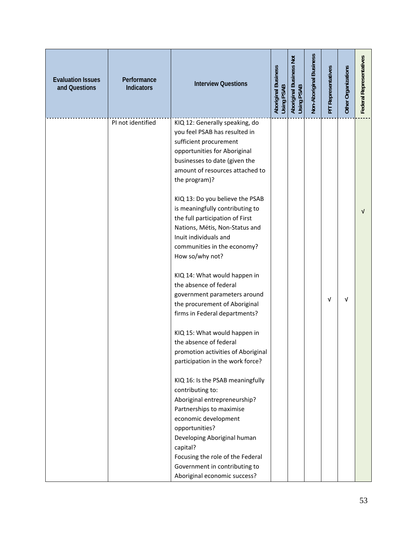| <b>Evaluation Issues</b><br>and Questions | Performance<br><b>Indicators</b> | <b>Interview Questions</b>                                                                                                                                                                                                                                                                                                                                                                                                                                                                                                                                                                                                                                                                                                                                                                                                                                                                                                                                                                                                                         | Aboriginal Business<br>Using PSAB | Aboriginal Business Not<br>Using PSAB | Non-Aboriginal Business | P/T Representatives | Other Organizations | Federal Representatives |
|-------------------------------------------|----------------------------------|----------------------------------------------------------------------------------------------------------------------------------------------------------------------------------------------------------------------------------------------------------------------------------------------------------------------------------------------------------------------------------------------------------------------------------------------------------------------------------------------------------------------------------------------------------------------------------------------------------------------------------------------------------------------------------------------------------------------------------------------------------------------------------------------------------------------------------------------------------------------------------------------------------------------------------------------------------------------------------------------------------------------------------------------------|-----------------------------------|---------------------------------------|-------------------------|---------------------|---------------------|-------------------------|
|                                           | PI not identified                | KIQ 12: Generally speaking, do<br>you feel PSAB has resulted in<br>sufficient procurement<br>opportunities for Aboriginal<br>businesses to date (given the<br>amount of resources attached to<br>the program)?<br>KIQ 13: Do you believe the PSAB<br>is meaningfully contributing to<br>the full participation of First<br>Nations, Métis, Non-Status and<br>Inuit individuals and<br>communities in the economy?<br>How so/why not?<br>KIQ 14: What would happen in<br>the absence of federal<br>government parameters around<br>the procurement of Aboriginal<br>firms in Federal departments?<br>KIQ 15: What would happen in<br>the absence of federal<br>promotion activities of Aboriginal<br>participation in the work force?<br>KIQ 16: Is the PSAB meaningfully<br>contributing to:<br>Aboriginal entrepreneurship?<br>Partnerships to maximise<br>economic development<br>opportunities?<br>Developing Aboriginal human<br>capital?<br>Focusing the role of the Federal<br>Government in contributing to<br>Aboriginal economic success? |                                   |                                       |                         | v                   | $\sqrt{ }$          | ν                       |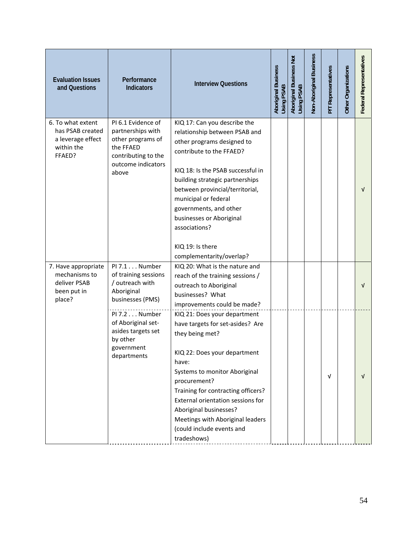| <b>Evaluation Issues</b><br>and Questions                                          | Performance<br><b>Indicators</b>                                                                                                | <b>Interview Questions</b>                                                                                                                                                                                                                                                                                                                                                        | <b>Aboriginal Business</b><br>Using PSAB | Aboriginal Business Not<br>Using PSAB | Non-Aboriginal Business | P/T Representatives | Other Organizations | Federal Representatives |
|------------------------------------------------------------------------------------|---------------------------------------------------------------------------------------------------------------------------------|-----------------------------------------------------------------------------------------------------------------------------------------------------------------------------------------------------------------------------------------------------------------------------------------------------------------------------------------------------------------------------------|------------------------------------------|---------------------------------------|-------------------------|---------------------|---------------------|-------------------------|
| 6. To what extent<br>has PSAB created<br>a leverage effect<br>within the<br>FFAED? | PI 6.1 Evidence of<br>partnerships with<br>other programs of<br>the FFAED<br>contributing to the<br>outcome indicators<br>above | KIQ 17: Can you describe the<br>relationship between PSAB and<br>other programs designed to<br>contribute to the FFAED?<br>KIQ 18: Is the PSAB successful in<br>building strategic partnerships<br>between provincial/territorial,<br>municipal or federal<br>governments, and other<br>businesses or Aboriginal<br>associations?<br>KIQ 19: Is there<br>complementarity/overlap? |                                          |                                       |                         |                     |                     | $\sqrt{ }$              |
| 7. Have appropriate<br>mechanisms to<br>deliver PSAB<br>been put in<br>place?      | PI 7.1 Number<br>of training sessions<br>/ outreach with<br>Aboriginal<br>businesses (PMS)                                      | KIQ 20: What is the nature and<br>reach of the training sessions /<br>outreach to Aboriginal<br>businesses? What<br>improvements could be made?                                                                                                                                                                                                                                   |                                          |                                       |                         |                     |                     | $\sqrt{ }$              |
|                                                                                    | PI 7.2 Number<br>of Aboriginal set-<br>asides targets set<br>by other<br>government<br>departments                              | KIQ 21: Does your department<br>have targets for set-asides? Are<br>they being met?<br>KIQ 22: Does your department<br>have:<br>Systems to monitor Aboriginal<br>procurement?<br>Training for contracting officers?<br>External orientation sessions for<br>Aboriginal businesses?<br>Meetings with Aboriginal leaders<br>(could include events and<br>tradeshows)                |                                          |                                       |                         | V                   |                     | $\sqrt{ }$              |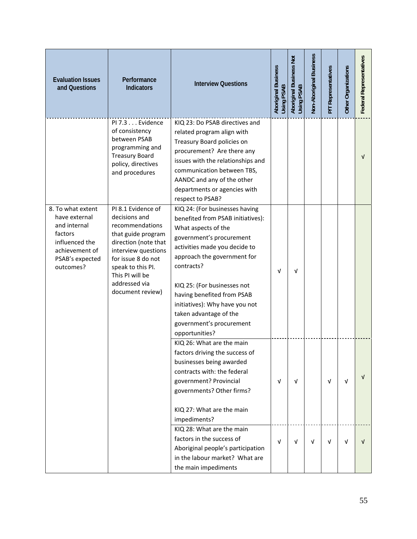| <b>Evaluation Issues</b><br>and Questions                                                                                         | Performance<br><b>Indicators</b>                                                                                                                                                                                               | <b>Interview Questions</b>                                                                                                                                                                                                                                                                                                                                                  | <b>Aboriginal Business</b><br>Using PSAB | Aboriginal Business Not<br>Using PSAB | Non-Aboriginal Business | P/T Representatives | Other Organizations | Federal Representatives |
|-----------------------------------------------------------------------------------------------------------------------------------|--------------------------------------------------------------------------------------------------------------------------------------------------------------------------------------------------------------------------------|-----------------------------------------------------------------------------------------------------------------------------------------------------------------------------------------------------------------------------------------------------------------------------------------------------------------------------------------------------------------------------|------------------------------------------|---------------------------------------|-------------------------|---------------------|---------------------|-------------------------|
|                                                                                                                                   | PI 7.3 Evidence<br>of consistency<br>between PSAB<br>programming and<br><b>Treasury Board</b><br>policy, directives<br>and procedures                                                                                          | KIQ 23: Do PSAB directives and<br>related program align with<br>Treasury Board policies on<br>procurement? Are there any<br>issues with the relationships and<br>communication between TBS,<br>AANDC and any of the other<br>departments or agencies with<br>respect to PSAB?                                                                                               |                                          |                                       |                         |                     |                     | $\sqrt{ }$              |
| 8. To what extent<br>have external<br>and internal<br>factors<br>influenced the<br>achievement of<br>PSAB's expected<br>outcomes? | PI 8.1 Evidence of<br>decisions and<br>recommendations<br>that guide program<br>direction (note that<br>interview questions<br>for issue 8 do not<br>speak to this PI.<br>This PI will be<br>addressed via<br>document review) | KIQ 24: (For businesses having<br>benefited from PSAB initiatives):<br>What aspects of the<br>government's procurement<br>activities made you decide to<br>approach the government for<br>contracts?<br>KIQ 25: (For businesses not<br>having benefited from PSAB<br>initiatives): Why have you not<br>taken advantage of the<br>government's procurement<br>opportunities? | $\sqrt{ }$                               | $\sqrt{ }$                            |                         |                     |                     |                         |
|                                                                                                                                   |                                                                                                                                                                                                                                | KIQ 26: What are the main<br>factors driving the success of<br>businesses being awarded<br>contracts with: the federal<br>government? Provincial<br>governments? Other firms?<br>KIQ 27: What are the main<br>impediments?                                                                                                                                                  | $\sqrt{ }$                               | $\sqrt{ }$                            |                         | V                   | $\sqrt{ }$          | $\sqrt{ }$              |
|                                                                                                                                   |                                                                                                                                                                                                                                | KIQ 28: What are the main<br>factors in the success of<br>Aboriginal people's participation<br>in the labour market? What are<br>the main impediments                                                                                                                                                                                                                       | $\sqrt{ }$                               | $\sqrt{ }$                            | V                       | V                   | V                   | V                       |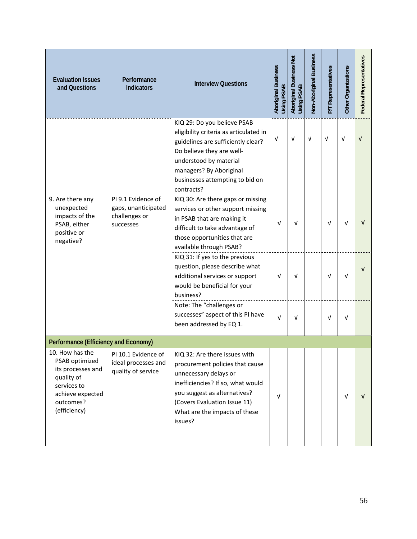| <b>Evaluation Issues</b><br>and Questions                                                                                            | Performance<br><b>Indicators</b>                                        | <b>Interview Questions</b>                                                                                                                                                                                                                     | <b>Aboriginal Business</b><br>Using PSAB | Aboriginal Business Not<br>Using PSAB | Non-Aboriginal Business | P/T Representatives | Other Organizations | Federal Representatives |
|--------------------------------------------------------------------------------------------------------------------------------------|-------------------------------------------------------------------------|------------------------------------------------------------------------------------------------------------------------------------------------------------------------------------------------------------------------------------------------|------------------------------------------|---------------------------------------|-------------------------|---------------------|---------------------|-------------------------|
|                                                                                                                                      |                                                                         | KIQ 29: Do you believe PSAB<br>eligibility criteria as articulated in<br>guidelines are sufficiently clear?<br>Do believe they are well-<br>understood by material<br>managers? By Aboriginal<br>businesses attempting to bid on<br>contracts? | V                                        | $\sqrt{ }$                            | V                       | V                   | V                   | $\sqrt{ }$              |
| 9. Are there any<br>unexpected<br>impacts of the<br>PSAB, either<br>positive or<br>negative?                                         | PI 9.1 Evidence of<br>gaps, unanticipated<br>challenges or<br>successes | KIQ 30: Are there gaps or missing<br>services or other support missing<br>in PSAB that are making it<br>difficult to take advantage of<br>those opportunities that are<br>available through PSAB?                                              | V                                        | V                                     |                         | v                   | $\sqrt{ }$          |                         |
|                                                                                                                                      |                                                                         | KIQ 31: If yes to the previous<br>question, please describe what<br>additional services or support<br>would be beneficial for your<br>business?                                                                                                | V                                        | $\sqrt{ }$                            |                         | v                   | $\sqrt{ }$          | v                       |
|                                                                                                                                      |                                                                         | Note: The "challenges or<br>successes" aspect of this PI have<br>been addressed by EQ 1.                                                                                                                                                       | $\sqrt{ }$                               | V                                     |                         | v                   | $\sqrt{ }$          |                         |
| Performance (Efficiency and Economy)                                                                                                 |                                                                         |                                                                                                                                                                                                                                                |                                          |                                       |                         |                     |                     |                         |
| 10. How has the<br>PSAB optimized<br>its processes and<br>quality of<br>services to<br>achieve expected<br>outcomes?<br>(efficiency) | PI 10.1 Evidence of<br>ideal processes and<br>quality of service        | KIQ 32: Are there issues with<br>procurement policies that cause<br>unnecessary delays or<br>inefficiencies? If so, what would<br>you suggest as alternatives?<br>(Covers Evaluation Issue 11)<br>What are the impacts of these<br>issues?     | $\sqrt{ }$                               |                                       |                         |                     | $\sqrt{ }$          | $\sqrt{ }$              |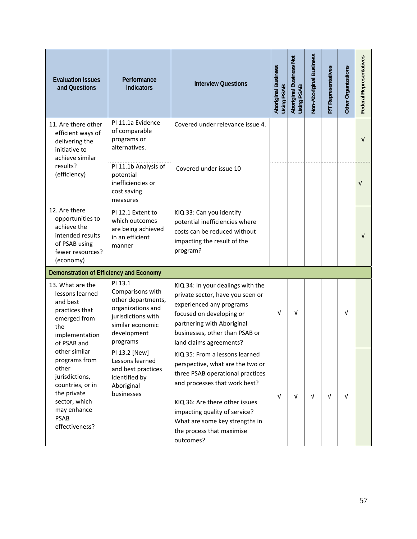| <b>Evaluation Issues</b><br>and Questions                                                                                                              | Performance<br><b>Indicators</b>                                                                                                            | <b>Interview Questions</b>                                                                                                                                                                                                                                                             | <b>Aboriginal Business</b><br>Using PSAB | Aboriginal Business Not<br>Using PSAB | Non-Aboriginal Business | P/T Representatives | Other Organizations | Federal Representatives |
|--------------------------------------------------------------------------------------------------------------------------------------------------------|---------------------------------------------------------------------------------------------------------------------------------------------|----------------------------------------------------------------------------------------------------------------------------------------------------------------------------------------------------------------------------------------------------------------------------------------|------------------------------------------|---------------------------------------|-------------------------|---------------------|---------------------|-------------------------|
| 11. Are there other<br>efficient ways of<br>delivering the<br>initiative to<br>achieve similar                                                         | PI 11.1a Evidence<br>of comparable<br>programs or<br>alternatives.                                                                          | Covered under relevance issue 4.                                                                                                                                                                                                                                                       |                                          |                                       |                         |                     |                     | $\sqrt{ }$              |
| results?<br>(efficiency)                                                                                                                               | PI 11.1b Analysis of<br>potential<br>inefficiencies or<br>cost saving<br>measures                                                           | Covered under issue 10                                                                                                                                                                                                                                                                 |                                          |                                       |                         |                     |                     | $\sqrt{ }$              |
| 12. Are there<br>opportunities to<br>achieve the<br>intended results<br>of PSAB using<br>fewer resources?<br>(economy)                                 | PI 12.1 Extent to<br>which outcomes<br>are being achieved<br>in an efficient<br>manner                                                      | KIQ 33: Can you identify<br>potential inefficiencies where<br>costs can be reduced without<br>impacting the result of the<br>program?                                                                                                                                                  |                                          |                                       |                         |                     |                     | V                       |
| Demonstration of Efficiency and Economy                                                                                                                |                                                                                                                                             |                                                                                                                                                                                                                                                                                        |                                          |                                       |                         |                     |                     |                         |
| 13. What are the<br>lessons learned<br>and best<br>practices that<br>emerged from<br>the<br>implementation<br>of PSAB and                              | PI 13.1<br>Comparisons with<br>other departments,<br>organizations and<br>jurisdictions with<br>similar economic<br>development<br>programs | KIQ 34: In your dealings with the<br>private sector, have you seen or<br>experienced any programs<br>focused on developing or<br>partnering with Aboriginal<br>businesses, other than PSAB or<br>land claims agreements?                                                               | V                                        | $\sqrt{ }$                            |                         |                     | $\sqrt{ }$          |                         |
| other similar<br>programs from<br>other<br>jurisdictions,<br>countries, or in<br>the private<br>sector, which<br>may enhance<br>PSAB<br>effectiveness? | PI 13.2 [New]<br>Lessons learned<br>and best practices<br>identified by<br>Aboriginal<br>businesses                                         | KIQ 35: From a lessons learned<br>perspective, what are the two or<br>three PSAB operational practices<br>and processes that work best?<br>KIQ 36: Are there other issues<br>impacting quality of service?<br>What are some key strengths in<br>the process that maximise<br>outcomes? | V                                        | V                                     | V                       | v                   | $\sqrt{ }$          |                         |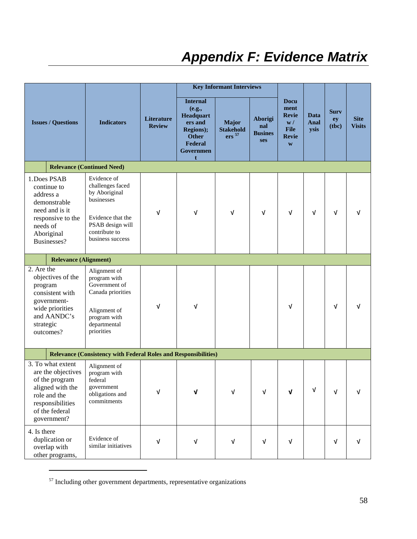## *Appendix F: Evidence Matrix*

|                                                                                                                                                    |                                                                                                                                              |                             |                                                                                                             | <b>Key Informant Interviews</b>                |                                                |                                                                                          |                      |                            |                              |
|----------------------------------------------------------------------------------------------------------------------------------------------------|----------------------------------------------------------------------------------------------------------------------------------------------|-----------------------------|-------------------------------------------------------------------------------------------------------------|------------------------------------------------|------------------------------------------------|------------------------------------------------------------------------------------------|----------------------|----------------------------|------------------------------|
| <b>Issues / Questions</b>                                                                                                                          | <b>Indicators</b>                                                                                                                            | Literature<br><b>Review</b> | <b>Internal</b><br>(e.g.,<br>Headquart<br>ers and<br>Regions);<br><b>Other</b><br>Federal<br>Governmen<br>t | Major<br><b>Stakehold</b><br>ers <sup>57</sup> | <b>Aborigi</b><br>nal<br><b>Busines</b><br>ses | <b>Docu</b><br>ment<br><b>Revie</b><br>$\mathbf{w}/$<br><b>File</b><br><b>Revie</b><br>W | Data<br>Anal<br>ysis | <b>Surv</b><br>ey<br>(tbc) | <b>Site</b><br><b>Visits</b> |
|                                                                                                                                                    | <b>Relevance (Continued Need)</b>                                                                                                            |                             |                                                                                                             |                                                |                                                |                                                                                          |                      |                            |                              |
| 1. Does PSAB<br>continue to<br>address a<br>demonstrable<br>need and is it<br>responsive to the<br>needs of<br>Aboriginal<br>Businesses?           | Evidence of<br>challenges faced<br>by Aboriginal<br>businesses<br>Evidence that the<br>PSAB design will<br>contribute to<br>business success | $\sqrt{ }$                  | $\sqrt{ }$                                                                                                  | $\sqrt{ }$                                     | $\sqrt{ }$                                     | $\sqrt{ }$                                                                               | $\sqrt{ }$           | $\sqrt{ }$                 | ν                            |
| <b>Relevance (Alignment)</b>                                                                                                                       |                                                                                                                                              |                             |                                                                                                             |                                                |                                                |                                                                                          |                      |                            |                              |
| 2. Are the<br>objectives of the<br>program<br>consistent with<br>government-<br>wide priorities<br>and AANDC's<br>strategic<br>outcomes?           | Alignment of<br>program with<br>Government of<br>Canada priorities<br>Alignment of<br>program with<br>departmental<br>priorities             | $\sqrt{ }$                  | $\sqrt{ }$                                                                                                  |                                                |                                                | $\sqrt{ }$                                                                               |                      | $\sqrt{ }$                 |                              |
|                                                                                                                                                    | <b>Relevance (Consistency with Federal Roles and Responsibilities)</b>                                                                       |                             |                                                                                                             |                                                |                                                |                                                                                          |                      |                            |                              |
| 3. To what extent<br>are the objectives<br>of the program<br>aligned with the<br>role and the<br>responsibilities<br>of the federal<br>government? | Alignment of<br>program with<br>federal<br>government<br>obligations and<br>commitments                                                      | $\sqrt{ }$                  | $\sqrt{ }$                                                                                                  | V                                              | $\sqrt{ }$                                     | $\mathbf v$                                                                              | $\sqrt{ }$           | $\sqrt{ }$                 |                              |
| 4. Is there<br>duplication or<br>overlap with<br>other programs,                                                                                   | Evidence of<br>similar initiatives                                                                                                           | $\sqrt{ }$                  | $\sqrt{ }$                                                                                                  | $\sqrt{ }$                                     | V                                              | $\sqrt{ }$                                                                               |                      | $\sqrt{ }$                 |                              |

 $57$  Including other government departments, representative organizations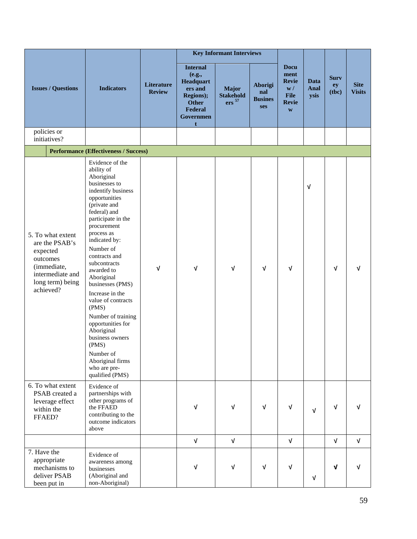|                                                                                                                                 |                                                                                                                                                                                                                                                                                                                                                                                                                                                                                                                  |                             | <b>Key Informant Interviews</b>                                                                             |                                                |                                                |                                                                                          |                      |                            |                              |
|---------------------------------------------------------------------------------------------------------------------------------|------------------------------------------------------------------------------------------------------------------------------------------------------------------------------------------------------------------------------------------------------------------------------------------------------------------------------------------------------------------------------------------------------------------------------------------------------------------------------------------------------------------|-----------------------------|-------------------------------------------------------------------------------------------------------------|------------------------------------------------|------------------------------------------------|------------------------------------------------------------------------------------------|----------------------|----------------------------|------------------------------|
| <b>Issues / Questions</b>                                                                                                       | <b>Indicators</b>                                                                                                                                                                                                                                                                                                                                                                                                                                                                                                | Literature<br><b>Review</b> | <b>Internal</b><br>(e.g.,<br>Headquart<br>ers and<br>Regions);<br><b>Other</b><br>Federal<br>Governmen<br>t | Major<br><b>Stakehold</b><br>ers <sup>57</sup> | <b>Aborigi</b><br>nal<br><b>Busines</b><br>ses | <b>Docu</b><br>ment<br><b>Revie</b><br>$\mathbf{w}/$<br><b>File</b><br><b>Revie</b><br>W | Data<br>Anal<br>ysis | <b>Surv</b><br>ey<br>(tbc) | <b>Site</b><br><b>Visits</b> |
| policies or<br>initiatives?                                                                                                     |                                                                                                                                                                                                                                                                                                                                                                                                                                                                                                                  |                             |                                                                                                             |                                                |                                                |                                                                                          |                      |                            |                              |
|                                                                                                                                 | <b>Performance (Effectiveness / Success)</b>                                                                                                                                                                                                                                                                                                                                                                                                                                                                     |                             |                                                                                                             |                                                |                                                |                                                                                          |                      |                            |                              |
| 5. To what extent<br>are the PSAB's<br>expected<br>outcomes<br>(immediate,<br>intermediate and<br>long term) being<br>achieved? | Evidence of the<br>ability of<br>Aboriginal<br>businesses to<br>indentify business<br>opportunities<br>(private and<br>federal) and<br>participate in the<br>procurement<br>process as<br>indicated by:<br>Number of<br>contracts and<br>subcontracts<br>awarded to<br>Aboriginal<br>businesses (PMS)<br>Increase in the<br>value of contracts<br>(PMS)<br>Number of training<br>opportunities for<br>Aboriginal<br>business owners<br>(PMS)<br>Number of<br>Aboriginal firms<br>who are pre-<br>qualified (PMS) | $\sqrt{ }$                  | $\sqrt{ }$                                                                                                  | $\sqrt{ }$                                     | $\sqrt{ }$                                     | $\sqrt{ }$                                                                               | V                    | $\sqrt{ }$                 | ν                            |
| 6. To what extent<br>PSAB created a<br>leverage effect<br>within the<br>FFAED?                                                  | Evidence of<br>partnerships with<br>other programs of<br>the FFAED<br>contributing to the<br>outcome indicators<br>above                                                                                                                                                                                                                                                                                                                                                                                         |                             | $\sqrt{ }$                                                                                                  | $\sqrt{ }$                                     | $\sqrt{ }$                                     | V                                                                                        | $\sqrt{ }$           | $\sqrt{ }$                 | $\sqrt{ }$                   |
|                                                                                                                                 |                                                                                                                                                                                                                                                                                                                                                                                                                                                                                                                  |                             | $\sqrt{ }$                                                                                                  | $\sqrt{ }$                                     |                                                | $\sqrt{ }$                                                                               |                      | $\sqrt{ }$                 | $\sqrt{ }$                   |
| 7. Have the<br>appropriate<br>mechanisms to<br>deliver PSAB<br>been put in                                                      | Evidence of<br>awareness among<br>businesses<br>(Aboriginal and<br>non-Aboriginal)                                                                                                                                                                                                                                                                                                                                                                                                                               |                             | $\sqrt{ }$                                                                                                  | $\sqrt{ }$                                     | $\sqrt{ }$                                     | $\sqrt{ }$                                                                               | $\sqrt{ }$           | $\sqrt{ }$                 | v                            |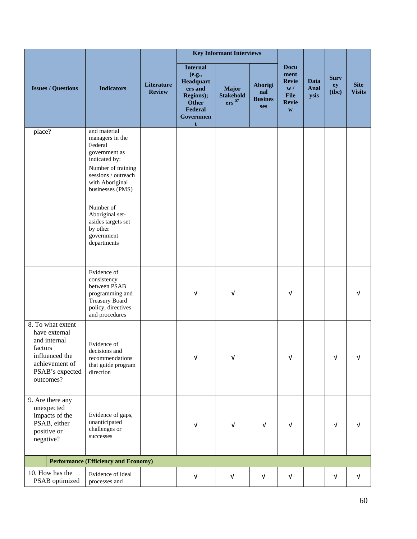|                                                                                                                                   |                                                                                                                                                                                                                                                                 |                             | <b>Key Informant Interviews</b>                                                                                    |                                                |                                                |                                                                                              |                      |                            |                              |
|-----------------------------------------------------------------------------------------------------------------------------------|-----------------------------------------------------------------------------------------------------------------------------------------------------------------------------------------------------------------------------------------------------------------|-----------------------------|--------------------------------------------------------------------------------------------------------------------|------------------------------------------------|------------------------------------------------|----------------------------------------------------------------------------------------------|----------------------|----------------------------|------------------------------|
| <b>Issues / Questions</b>                                                                                                         | <b>Indicators</b>                                                                                                                                                                                                                                               | Literature<br><b>Review</b> | <b>Internal</b><br>(e.g.,<br>Headquart<br>ers and<br>Regions);<br><b>Other</b><br>Federal<br><b>Governmen</b><br>t | Major<br><b>Stakehold</b><br>ers <sup>57</sup> | <b>Aborigi</b><br>nal<br><b>Busines</b><br>ses | <b>Docu</b><br>ment<br><b>Revie</b><br>$\mathbf{w}/$<br>File<br><b>Revie</b><br>$\mathbf{W}$ | Data<br>Anal<br>ysis | <b>Surv</b><br>ey<br>(tbc) | <b>Site</b><br><b>Visits</b> |
| place?                                                                                                                            | and material<br>managers in the<br>Federal<br>government as<br>indicated by:<br>Number of training<br>sessions / outreach<br>with Aboriginal<br>businesses (PMS)<br>Number of<br>Aboriginal set-<br>asides targets set<br>by other<br>government<br>departments |                             |                                                                                                                    |                                                |                                                |                                                                                              |                      |                            |                              |
|                                                                                                                                   | Evidence of<br>consistency<br>between PSAB<br>programming and<br><b>Treasury Board</b><br>policy, directives<br>and procedures                                                                                                                                  |                             | $\sqrt{ }$                                                                                                         | $\sqrt{ }$                                     |                                                | V                                                                                            |                      |                            | v                            |
| 8. To what extent<br>have external<br>and internal<br>factors<br>influenced the<br>achievement of<br>PSAB's expected<br>outcomes? | Evidence of<br>decisions and<br>recommendations<br>that guide program<br>direction                                                                                                                                                                              |                             | $\sqrt{ }$                                                                                                         | V                                              |                                                | ν                                                                                            |                      | ν                          | v                            |
| 9. Are there any<br>unexpected<br>impacts of the<br>PSAB, either<br>positive or<br>negative?                                      | Evidence of gaps,<br>unanticipated<br>challenges or<br>successes                                                                                                                                                                                                |                             | $\sqrt{ }$                                                                                                         | $\sqrt{ }$                                     | $\sqrt{ }$                                     | V                                                                                            |                      | $\sqrt{ }$                 | v                            |
|                                                                                                                                   | <b>Performance (Efficiency and Economy)</b>                                                                                                                                                                                                                     |                             |                                                                                                                    |                                                |                                                |                                                                                              |                      |                            |                              |
| 10. How has the<br>PSAB optimized                                                                                                 | Evidence of ideal<br>processes and                                                                                                                                                                                                                              |                             | $\sqrt{ }$                                                                                                         | $\sqrt{ }$                                     | V                                              | V                                                                                            |                      | $\sqrt{ }$                 | $\sqrt{ }$                   |